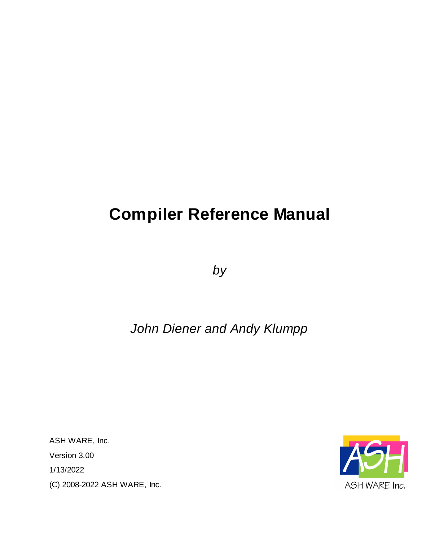# **Compiler Reference Manual**

*by*

# *John Diener and Andy Klumpp*

ASH WARE, Inc. Version 3.00 1/13/2022 (C) 2008-2022 ASH WARE, Inc.

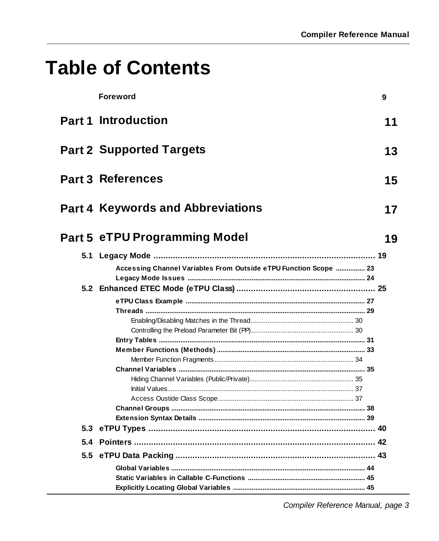# **Table of Contents**

|     | <b>Foreword</b>                                                  | 9  |
|-----|------------------------------------------------------------------|----|
|     | <b>Part 1 Introduction</b>                                       | 11 |
|     | <b>Part 2 Supported Targets</b>                                  | 13 |
|     | <b>Part 3 References</b>                                         | 15 |
|     | <b>Part 4 Keywords and Abbreviations</b>                         | 17 |
|     | <b>Part 5 eTPU Programming Model</b>                             | 19 |
| 5.1 |                                                                  |    |
|     | Accessing Channel Variables From Outside eTPU Function Scope  23 |    |
|     |                                                                  |    |
|     |                                                                  |    |
|     |                                                                  |    |
|     |                                                                  |    |
|     |                                                                  |    |
|     |                                                                  |    |
|     |                                                                  |    |
|     |                                                                  |    |
|     |                                                                  |    |
|     |                                                                  |    |
|     |                                                                  |    |
|     |                                                                  |    |
|     |                                                                  |    |
|     |                                                                  |    |
|     |                                                                  |    |
|     | 5.4 Pointers …………………………………………………………………………………………… 42              |    |
|     |                                                                  |    |
|     | Global Variables …………………………………………………………………………………………… 44          |    |
|     |                                                                  |    |
|     |                                                                  |    |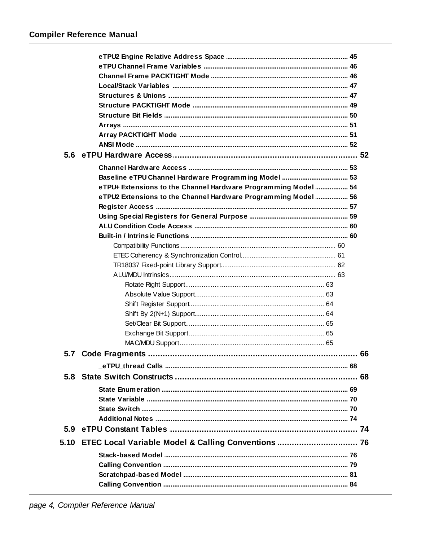|      | Baseline eTPU Channel Hardware Programming Model  53           |  |
|------|----------------------------------------------------------------|--|
|      | eTPU+ Extensions to the Channel Hardware Programming Model  54 |  |
|      | eTPU2 Extensions to the Channel Hardware Programming Model  56 |  |
|      |                                                                |  |
|      |                                                                |  |
|      |                                                                |  |
|      |                                                                |  |
|      |                                                                |  |
|      |                                                                |  |
|      |                                                                |  |
|      |                                                                |  |
|      |                                                                |  |
|      |                                                                |  |
|      |                                                                |  |
|      |                                                                |  |
|      |                                                                |  |
|      |                                                                |  |
|      |                                                                |  |
|      |                                                                |  |
|      |                                                                |  |
| 5.8  |                                                                |  |
|      |                                                                |  |
|      |                                                                |  |
|      |                                                                |  |
|      |                                                                |  |
|      |                                                                |  |
| 5.10 | ETEC Local Variable Model & Calling Conventions  76            |  |
|      |                                                                |  |
|      |                                                                |  |
|      |                                                                |  |
|      |                                                                |  |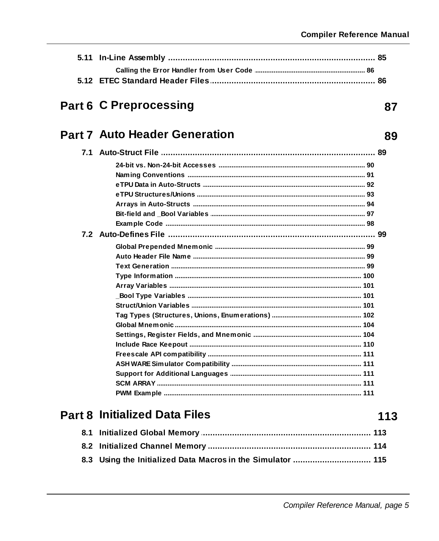87

89

# **Part 6 C Preprocessing**

## **Part 7 Auto Header Generation**

### **Part 8 Initialized Data Files**

113

| 8.3 Using the Initialized Data Macros in the Simulator  115 |  |
|-------------------------------------------------------------|--|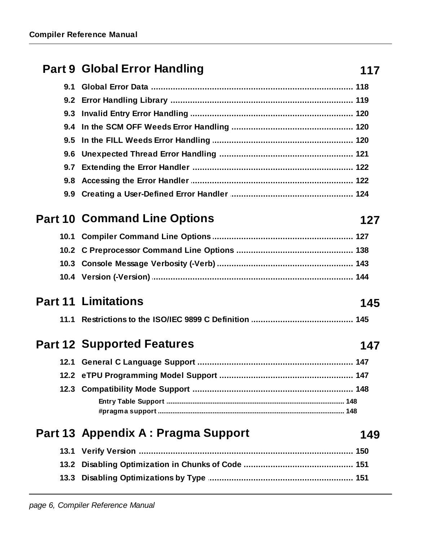## **Part 9 Global Error Handling**

## **Part 10 Command Line Options**

# **Part 11 Limitations**

## **Part 12 Supported Features**

## Part 13 Appendix A : Pragma Support

### 117

127

147

149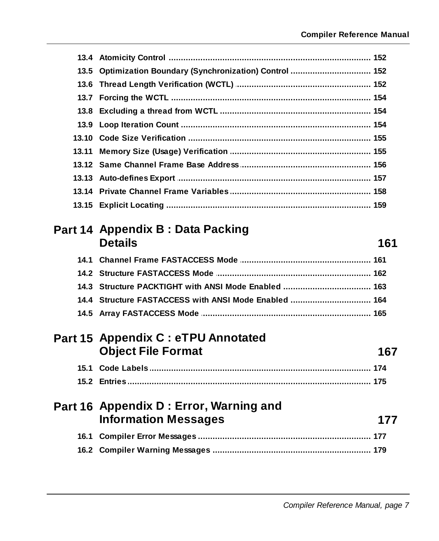| 13.5 Optimization Boundary (Synchronization) Control  152 |                |
|-----------------------------------------------------------|----------------|
|                                                           |                |
|                                                           |                |
|                                                           |                |
|                                                           |                |
|                                                           |                |
|                                                           |                |
|                                                           |                |
|                                                           |                |
|                                                           |                |
|                                                           |                |
| Part 14 Appendix B: Data Packing                          |                |
|                                                           | 161            |
|                                                           |                |
|                                                           |                |
|                                                           |                |
|                                                           | <b>Details</b> |

| 14.4 Structure FASTACCESS with ANSI Mode Enabled  164 |  |
|-------------------------------------------------------|--|
|                                                       |  |

### Part 15 Appendix C : eTPU Annotated **Object File Format**

### Part 16 Appendix D : Error, Warning and **Information Messages** 177

167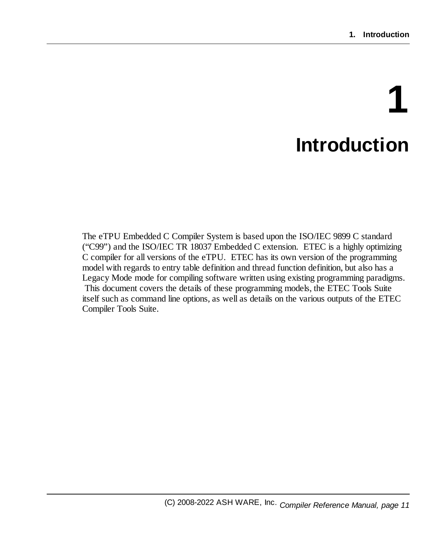# **1 Introduction**

<span id="page-10-0"></span>The eTPU Embedded C Compiler System is based upon the ISO/IEC 9899 C standard ("C99") and the ISO/IEC TR 18037 Embedded C extension. ETEC is a highly optimizing C compiler for all versions of the eTPU. ETEC has its own version of the programming model with regards to entry table definition and thread function definition, but also has a Legacy Mode mode for compiling software written using existing programming paradigms. This document covers the details of these programming models, the ETEC Tools Suite itself such as command line options, as well as details on the various outputs of the ETEC Compiler Tools Suite.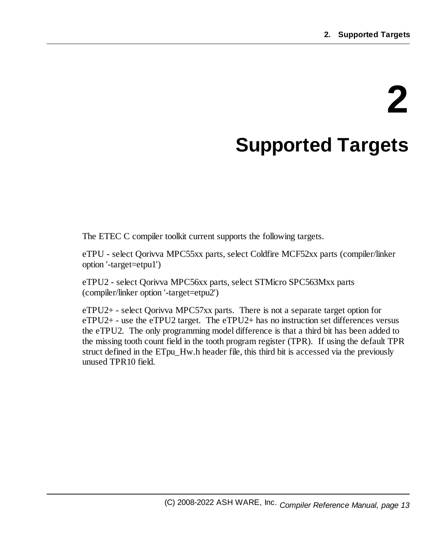# **2 Supported Targets**

<span id="page-12-0"></span>The ETEC C compiler toolkit current supports the following targets.

eTPU - select Qorivva MPC55xx parts, select Coldfire MCF52xx parts (compiler/linker option '-target=etpu1')

eTPU2 - select Qorivva MPC56xx parts, select STMicro SPC563Mxx parts (compiler/linker option '-target=etpu2')

eTPU2+ - select Qorivva MPC57xx parts. There is not a separate target option for eTPU2+ - use the eTPU2 target. The eTPU2+ has no instruction set differences versus the eTPU2. The only programming model difference is that a third bit has been added to the missing tooth count field in the tooth program register (TPR). If using the default TPR struct defined in the ETpu\_Hw.h header file, this third bit is accessed via the previously unused TPR10 field.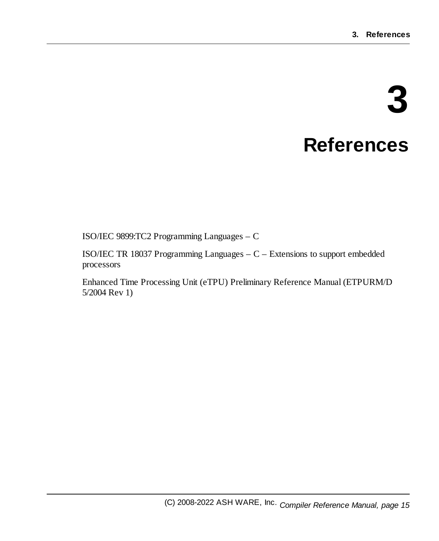# **3 References**

<span id="page-14-0"></span>ISO/IEC 9899:TC2 Programming Languages – C

ISO/IEC TR 18037 Programming Languages – C – Extensions to support embedded processors

Enhanced Time Processing Unit (eTPU) Preliminary Reference Manual (ETPURM/D 5/2004 Rev 1)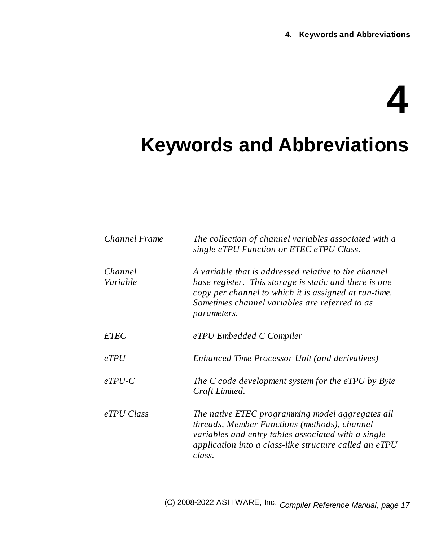# **4**

# <span id="page-16-0"></span>**Keywords and Abbreviations**

| <b>Channel Frame</b> | The collection of channel variables associated with a<br>single eTPU Function or ETEC eTPU Class.                                                                                                                                        |  |  |  |
|----------------------|------------------------------------------------------------------------------------------------------------------------------------------------------------------------------------------------------------------------------------------|--|--|--|
| Channel<br>Variable  | A variable that is addressed relative to the channel<br>base register. This storage is static and there is one<br>copy per channel to which it is assigned at run-time.<br>Sometimes channel variables are referred to as<br>parameters. |  |  |  |
| <b>ETEC</b>          | eTPU Embedded C Compiler                                                                                                                                                                                                                 |  |  |  |
| eTPU                 | Enhanced Time Processor Unit (and derivatives)                                                                                                                                                                                           |  |  |  |
| $eTPU-C$             | The C code development system for the eTPU by Byte<br>Craft Limited.                                                                                                                                                                     |  |  |  |
| eTPU Class           | The native ETEC programming model aggregates all<br>threads, Member Functions (methods), channel<br>variables and entry tables associated with a single<br>application into a class-like structure called an eTPU<br>class.              |  |  |  |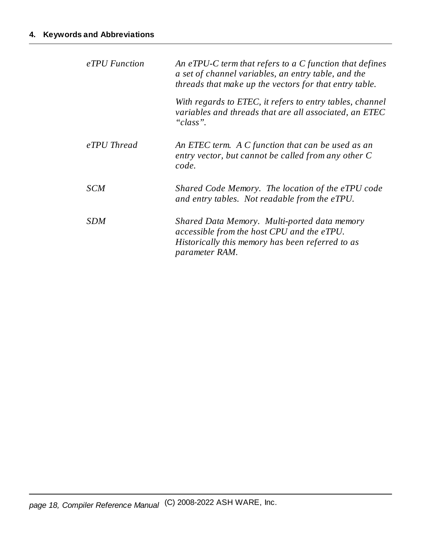| eTPU Function | An eTPU-C term that refers to a $C$ function that defines<br>a set of channel variables, an entry table, and the<br>threads that make up the vectors for that entry table. |  |  |  |
|---------------|----------------------------------------------------------------------------------------------------------------------------------------------------------------------------|--|--|--|
|               | With regards to ETEC, it refers to entry tables, channel<br>variables and threads that are all associated, an ETEC<br>"class".                                             |  |  |  |
| eTPU Thread   | An ETEC term. A C function that can be used as an<br>entry vector, but cannot be called from any other C<br>code.                                                          |  |  |  |
| SCM           | Shared Code Memory. The location of the eTPU code<br>and entry tables. Not readable from the eTPU.                                                                         |  |  |  |
| SDM           | Shared Data Memory. Multi-ported data memory<br>accessible from the host CPU and the eTPU.<br>Historically this memory has been referred to as<br><i>parameter RAM.</i>    |  |  |  |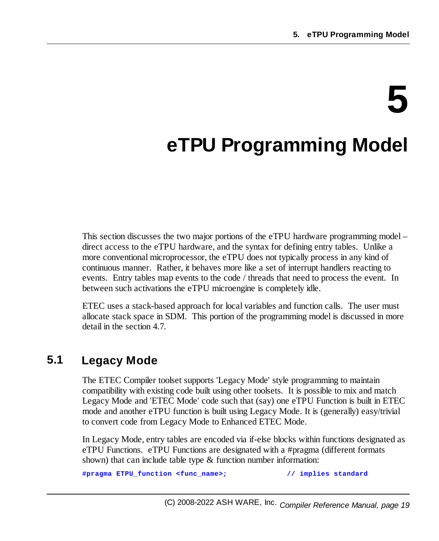# **5**

# <span id="page-18-0"></span>**eTPU Programming Model**

This section discusses the two major portions of the eTPU hardware programming model – direct access to the eTPU hardware, and the syntax for defining entry tables. Unlike a more conventional microprocessor, the eTPU does not typically process in any kind of continuous manner. Rather, it behaves more like a set of interrupt handlers reacting to events. Entry tables map events to the code / threads that need to process the event. In between such activations the eTPU microengine is completely idle.

ETEC uses a stack-based approach for local variables and function calls. The user must allocate stack space in SDM. This portion of the programming model is discussed in more detail in the section 4.7.

### <span id="page-18-1"></span>**5.1 Legacy Mode**

The ETEC Compiler toolset supports 'Legacy Mode' style programming to maintain compatibility with existing code built using other toolsets. It is possible to mix and match Legacy Mode and 'ETEC Mode' code such that (say) one eTPU Function is built in ETEC mode and another eTPU function is built using Legacy Mode. It is (generally) easy/trivial to convert code from Legacy Mode to Enhanced ETEC Mode.

In Legacy Mode, entry tables are encoded via if-else blocks within functions designated as eTPU Functions. eTPU Functions are designated with a #pragma (different formats shown) that can include table type & function number information:

**#pragma ETPU\_function <func\_name>; // implies standard**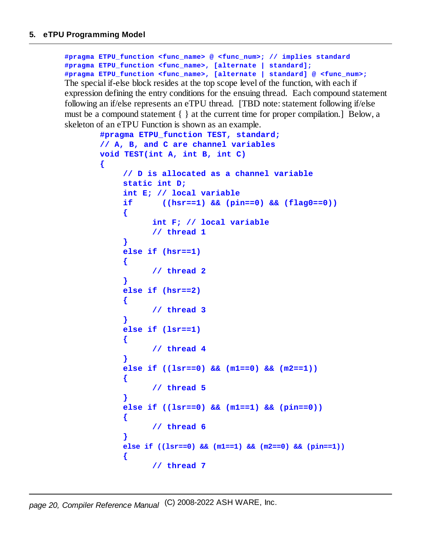**{**

**#pragma ETPU\_function <func\_name> @ <func\_num>; // implies standard #pragma ETPU\_function <func\_name>, [alternate | standard]; #pragma ETPU\_function <func\_name>, [alternate | standard] @ <func\_num>;** The special if-else block resides at the top scope level of the function, with each if expression defining the entry conditions for the ensuing thread. Each compound statement following an if/else represents an eTPU thread. [TBD note: statement following if/else must be a compound statement  $\{\}$  at the current time for proper compilation. Below, a skeleton of an eTPU Function is shown as an example.

```
#pragma ETPU_function TEST, standard;
// A, B, and C are channel variables
void TEST(int A, int B, int C)
     // D is allocated as a channel variable
    static int D;
     int E; // local variable
     if ((hsr==1) && (pin==0) && (flag0==0))
     {
           int F; // local variable
           // thread 1
     }
     else if (hsr==1)
     {
           // thread 2
     }
     else if (hsr==2)
     {
           // thread 3
     }
    else if (lsr==1)
     {
           // thread 4
     }
     else if ((lsr==0) && (m1==0) && (m2==1))
     {
           // thread 5
     }
     else if ((lsr==0) && (m1==1) && (pin==0))
     {
           // thread 6
     }
    else if ((lsr==0) && (m1==1) && (m2==0) && (pin==1))
     {
           // thread 7
```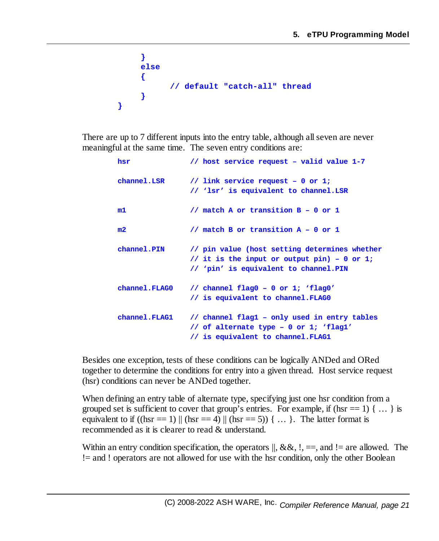```
}
     else
     {
           // default "catch-all" thread
     }
}
```
There are up to 7 different inputs into the entry table, although all seven are never meaningful at the same time. The seven entry conditions are:

| hsr           | // host service request - valid value 1-7                                                                                             |
|---------------|---------------------------------------------------------------------------------------------------------------------------------------|
| channel.LSR   | // link service request - 0 or 1;<br>// 'lsr' is equivalent to channel.LSR                                                            |
| m1            | // match A or transition $B - 0$ or 1                                                                                                 |
| m2            | // match B or transition $A - 0$ or 1                                                                                                 |
| channel.PIN   | // pin value (host setting determines whether<br>// it is the input or output pin) - 0 or 1;<br>// 'pin' is equivalent to channel.PIN |
| channel.FLAG0 | // channel flag0 - 0 or 1; 'flag0'<br>// is equivalent to channel.FLAG0                                                               |
| channel.FLAG1 | // channel flag1 - only used in entry tables<br>// of alternate type - 0 or 1; 'flag1'<br>// is equivalent to channel.FLAG1           |

Besides one exception, tests of these conditions can be logically ANDed and ORed together to determine the conditions for entry into a given thread. Host service request (hsr) conditions can never be ANDed together.

When defining an entry table of alternate type, specifying just one hsr condition from a grouped set is sufficient to cover that group's entries. For example, if (hsr =  $1$ ) { ... } is equivalent to if  $((\text{hsr} = 1) || (\text{hsr} = 4) || (\text{hsr} = 5))$  { ... }. The latter format is recommended as it is clearer to read & understand.

Within an entry condition specification, the operators  $\parallel$ , &&, !, = =, and != are allowed. The != and ! operators are not allowed for use with the hsr condition, only the other Boolean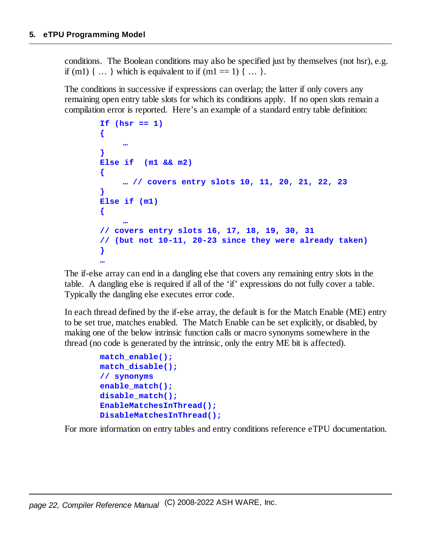conditions. The Boolean conditions may also be specified just by themselves (not hsr), e.g. if (m1)  $\{ \dots \}$  which is equivalent to if (m1 == 1)  $\{ \dots \}$ .

The conditions in successive if expressions can overlap; the latter if only covers any remaining open entry table slots for which its conditions apply. If no open slots remain a compilation error is reported. Here's an example of a standard entry table definition:

```
If (hsr == 1)
{
     …
}
Else if (m1 && m2)
{
     … // covers entry slots 10, 11, 20, 21, 22, 23
}
Else if (m1)
{
     …
// covers entry slots 16, 17, 18, 19, 30, 31
// (but not 10-11, 20-23 since they were already taken)
}
…
```
The if-else array can end in a dangling else that covers any remaining entry slots in the table. A dangling else is required if all of the 'if' expressions do not fully cover a table. Typically the dangling else executes error code.

In each thread defined by the if-else array, the default is for the Match Enable (ME) entry to be set true, matches enabled. The Match Enable can be set explicitly, or disabled, by making one of the below intrinsic function calls or macro synonyms somewhere in the thread (no code is generated by the intrinsic, only the entry ME bit is affected).

```
match_enable();
match_disable();
// synonyms
enable_match();
disable_match();
EnableMatchesInThread();
DisableMatchesInThread();
```
For more information on entry tables and entry conditions reference eTPU documentation.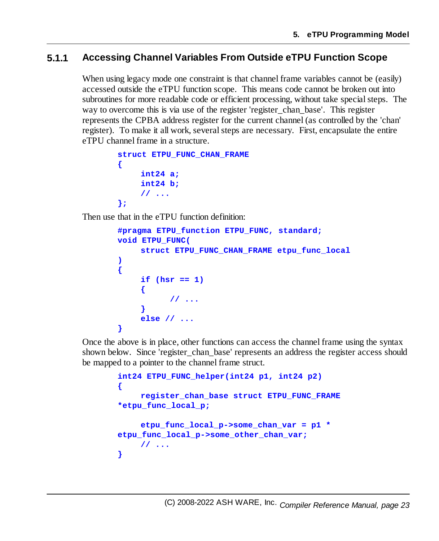### <span id="page-22-0"></span>**5.1.1 Accessing Channel Variables From Outside eTPU Function Scope**

When using legacy mode one constraint is that channel frame variables cannot be (easily) accessed outside the eTPU function scope. This means code cannot be broken out into subroutines for more readable code or efficient processing, without take special steps. The way to overcome this is via use of the register 'register chan base'. This register represents the CPBA address register for the current channel (as controlled by the 'chan' register). To make it all work, several steps are necessary. First, encapsulate the entire eTPU channel frame in a structure.

```
struct ETPU_FUNC_CHAN_FRAME
{
    int24 a;
    int24 b;
    // ...
};
```
Then use that in the eTPU function definition:

```
#pragma ETPU_function ETPU_FUNC, standard;
void ETPU_FUNC(
     struct ETPU_FUNC_CHAN_FRAME etpu_func_local
)
{
     if (hsr == 1)
     {
           // ...
     }
     else // ...
}
```
Once the above is in place, other functions can access the channel frame using the syntax shown below. Since 'register\_chan\_base' represents an address the register access should be mapped to a pointer to the channel frame struct.

```
int24 ETPU_FUNC_helper(int24 p1, int24 p2)
{
    register_chan_base struct ETPU_FUNC_FRAME
*etpu_func_local_p;
    etpu_func_local_p->some_chan_var = p1 *
etpu_func_local_p->some_other_chan_var;
    // ...
}
```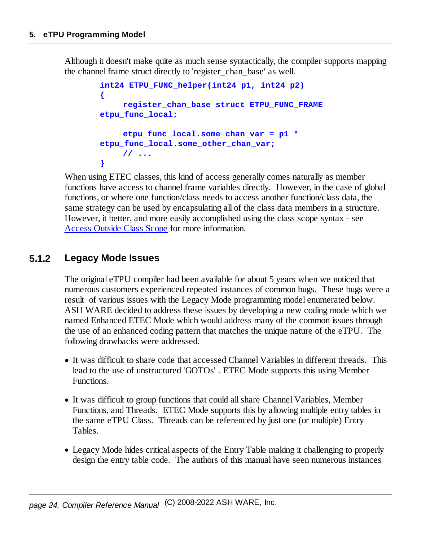Although it doesn't make quite as much sense syntactically, the compiler supports mapping the channel frame struct directly to 'register\_chan\_base' as well.

```
int24 ETPU_FUNC_helper(int24 p1, int24 p2)
{
    register_chan_base struct ETPU_FUNC_FRAME
etpu_func_local;
     etpu_func_local.some_chan_var = p1 *
etpu_func_local.some_other_chan_var;
    // ...
}
```
When using ETEC classes, this kind of access generally comes naturally as member functions have access to channel frame variables directly. However, in the case of global functions, or where one function/class needs to access another function/class data, the same strategy can be used by encapsulating all of the class data members in a structure. However, it better, and more easily accomplished using the class scope syntax - see Access [Outside](#page-36-1) Class Scope for more information.

### <span id="page-23-0"></span>**5.1.2 Legacy Mode Issues**

The original eTPU compiler had been available for about 5 years when we noticed that numerous customers experienced repeated instances of common bugs. These bugs were a result of various issues with the Legacy Mode programming model enumerated below. ASH WARE decided to address these issues by developing a new coding mode which we named Enhanced ETEC Mode which would address many of the common issues through the use of an enhanced coding pattern that matches the unique nature of the eTPU. The following drawbacks were addressed.

- · It was difficult to share code that accessed Channel Variables in different threads. This lead to the use of unstructured 'GOTOs' . ETEC Mode supports this using Member Functions.
- · It was difficult to group functions that could allshare Channel Variables, Member Functions, and Threads. ETEC Mode supports this by allowing multiple entry tables in the same eTPU Class. Threads can be referenced by just one (or multiple) Entry Tables.
- · Legacy Mode hides critical aspects of the Entry Table making it challenging to properly design the entry table code. The authors of this manual have seen numerous instances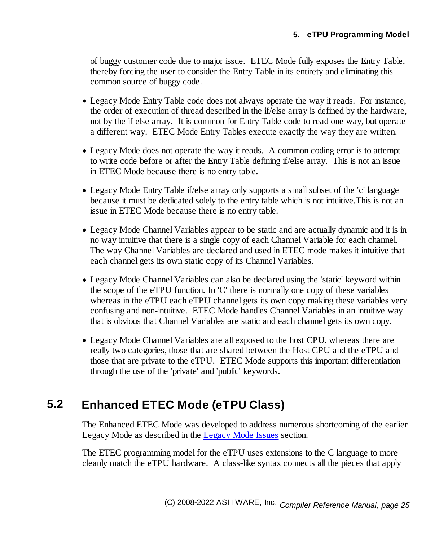of buggy customer code due to major issue. ETEC Mode fully exposes the Entry Table, thereby forcing the user to consider the Entry Table in its entirety and eliminating this common source of buggy code.

- · Legacy Mode Entry Table code does not always operate the way it reads. For instance, the order of execution of thread described in the if/else array is defined by the hardware, not by the if else array. It is common for Entry Table code to read one way, but operate a different way. ETEC Mode Entry Tables execute exactly the way they are written.
- · Legacy Mode does not operate the way it reads. A common coding error is to attempt to write code before or after the Entry Table defining if/else array. This is not an issue in ETEC Mode because there is no entry table.
- Legacy Mode Entry Table if/else array only supports a small subset of the 'c' language because it must be dedicated solely to the entry table which is not intuitive.This is not an issue in ETEC Mode because there is no entry table.
- · Legacy Mode Channel Variables appear to be static and are actually dynamic and it is in no way intuitive that there is a single copy of each Channel Variable for each channel. The way Channel Variables are declared and used in ETEC mode makes it intuitive that each channel gets its own static copy of its Channel Variables.
- · Legacy Mode Channel Variables can also be declared using the 'static' keyword within the scope of the eTPU function. In 'C' there is normally one copy of these variables whereas in the eTPU each eTPU channel gets its own copy making these variables very confusing and non-intuitive. ETEC Mode handles Channel Variables in an intuitive way that is obvious that Channel Variables are static and each channel gets its own copy.
- · Legacy Mode Channel Variables are all exposed to the host CPU, whereas there are really two categories, those that are shared between the Host CPU and the eTPU and those that are private to the eTPU. ETEC Mode supports this important differentiation through the use of the 'private' and 'public' keywords.

### <span id="page-24-0"></span>**5.2 Enhanced ETEC Mode (eTPU Class)**

The Enhanced ETEC Mode was developed to address numerous shortcoming of the earlier Legacy Mode as described in the [Legacy](#page-23-0) Mode Issues section.

The ETEC programming model for the eTPU uses extensions to the C language to more cleanly match the eTPU hardware. A class-like syntax connects all the pieces that apply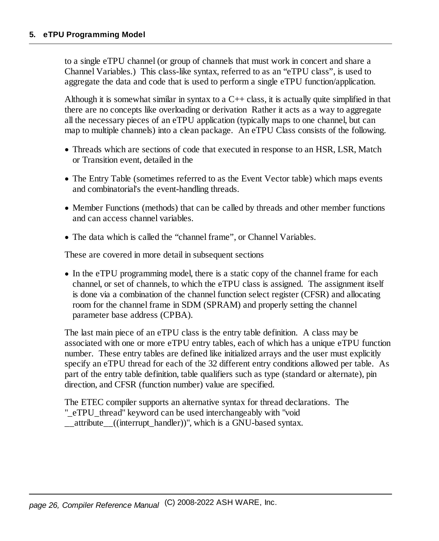to a single eTPU channel (or group of channels that must work in concert and share a Channel Variables.) This class-like syntax, referred to as an "eTPU class", is used to aggregate the data and code that is used to perform a single eTPU function/application.

Although it is somewhat similar in syntax to a  $C_{++}$  class, it is actually quite simplified in that there are no concepts like overloading or derivation Rather it acts as a way to aggregate all the necessary pieces of an eTPU application (typically maps to one channel, but can map to multiple channels) into a clean package. An eTPU Class consists of the following.

- · Threads which are sections of code that executed in response to an HSR, LSR, Match or Transition event, detailed in the
- · The Entry Table (sometimes referred to as the Event Vector table) which maps events and combinatorial's the event-handling threads.
- · Member Functions (methods) that can be called by threads and other member functions and can access channel variables.
- · The data which is called the "channel frame", or Channel Variables.

These are covered in more detail in subsequent sections

· In the eTPU programming model, there is a static copy of the channel frame for each channel, or set of channels, to which the eTPU class is assigned. The assignment itself is done via a combination of the channel function select register (CFSR) and allocating room for the channel frame in SDM (SPRAM) and properly setting the channel parameter base address (CPBA).

The last main piece of an eTPU class is the entry table definition. A class may be associated with one or more eTPU entry tables, each of which has a unique eTPU function number. These entry tables are defined like initialized arrays and the user must explicitly specify an eTPU thread for each of the 32 different entry conditions allowed per table. As part of the entry table definition, table qualifiers such as type (standard or alternate), pin direction, and CFSR (function number) value are specified.

The ETEC compiler supports an alternative syntax for thread declarations. The "\_eTPU\_thread" keyword can be used interchangeably with "void attribute ((interrupt handler))", which is a GNU-based syntax.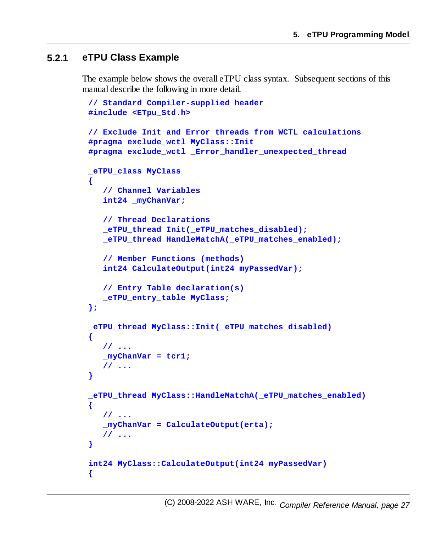### <span id="page-26-0"></span>**5.2.1 eTPU Class Example**

The example below shows the overall eTPU class syntax. Subsequent sections of this manual describe the following in more detail.

```
// Standard Compiler-supplied header
#include <ETpu_Std.h>
// Exclude Init and Error threads from WCTL calculations
#pragma exclude_wctl MyClass::Init
#pragma exclude_wctl _Error_handler_unexpected_thread
_eTPU_class MyClass
{
   // Channel Variables
   int24 _myChanVar;
   // Thread Declarations
   _eTPU_thread Init(_eTPU_matches_disabled);
   _eTPU_thread HandleMatchA(_eTPU_matches_enabled);
   // Member Functions (methods)
   int24 CalculateOutput(int24 myPassedVar);
   // Entry Table declaration(s)
   _eTPU_entry_table MyClass;
};
_eTPU_thread MyClass::Init(_eTPU_matches_disabled)
{
  // ...
   _myChanVar = tcr1;
  // ...
}
_eTPU_thread MyClass::HandleMatchA(_eTPU_matches_enabled)
{
   // ...
   _myChanVar = CalculateOutput(erta);
  // ...
}
int24 MyClass::CalculateOutput(int24 myPassedVar)
{
```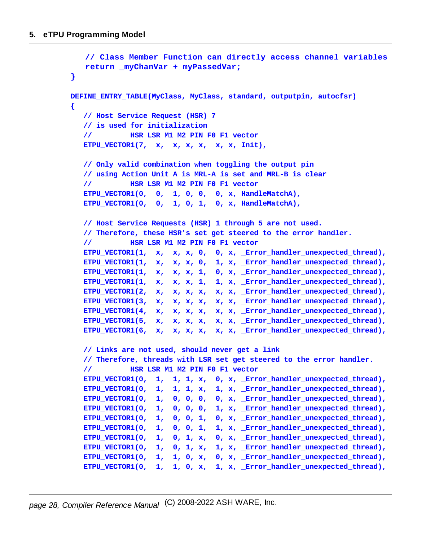```
// Class Member Function can directly access channel variables
   return _myChanVar + myPassedVar;
}
DEFINE_ENTRY_TABLE(MyClass, MyClass, standard, outputpin, autocfsr)
{
  // Host Service Request (HSR) 7
  // is used for initialization
   // HSR LSR M1 M2 PIN F0 F1 vector
  ETPU_VECTOR1(7, x, x, x, x, x, x, Init),
  // Only valid combination when toggling the output pin
   // using Action Unit A is MRL-A is set and MRL-B is clear
   // HSR LSR M1 M2 PIN F0 F1 vector
  ETPU_VECTOR1(0, 0, 1, 0, 0, 0, x, HandleMatchA),
  ETPU_VECTOR1(0, 0, 1, 0, 1, 0, x, HandleMatchA),
  // Host Service Requests (HSR) 1 through 5 are not used.
   // Therefore, these HSR's set get steered to the error handler.
   // HSR LSR M1 M2 PIN F0 F1 vector
  ETPU_VECTOR1(1, x, x, x, 0, 0, x, _Error_handler_unexpected_thread),
  ETPU_VECTOR1(1, x, x, x, 0, 1, x, _Error_handler_unexpected_thread),
  ETPU_VECTOR1(1, x, x, x, 1, 0, x, _Error_handler_unexpected_thread),
  ETPU_VECTOR1(1, x, x, x, 1, 1, x, _Error_handler_unexpected_thread),
  ETPU_VECTOR1(2, x, x, x, x, x, x, _Error_handler_unexpected_thread),
  ETPU_VECTOR1(3, x, x, x, x, x, x, _Error_handler_unexpected_thread),
  ETPU_VECTOR1(4, x, x, x, x, x, x, _Error_handler_unexpected_thread),
  ETPU_VECTOR1(5, x, x, x, x, x, x, _Error_handler_unexpected_thread),
  ETPU_VECTOR1(6, x, x, x, x, x, x, _Error_handler_unexpected_thread),
   // Links are not used, should never get a link
   // Therefore, threads with LSR set get steered to the error handler.
   // HSR LSR M1 M2 PIN F0 F1 vector
  ETPU_VECTOR1(0, 1, 1, 1, x, 0, x, _Error_handler_unexpected_thread),
  ETPU_VECTOR1(0, 1, 1, 1, x, 1, x, _Error_handler_unexpected_thread),
  ETPU_VECTOR1(0, 1, 0, 0, 0, 0, x, _Error_handler_unexpected_thread),
  ETPU_VECTOR1(0, 1, 0, 0, 0, 1, x, _Error_handler_unexpected_thread),
  ETPU_VECTOR1(0, 1, 0, 0, 1, 0, x, _Error_handler_unexpected_thread),
  ETPU_VECTOR1(0, 1, 0, 0, 1, 1, x, _Error_handler_unexpected_thread),
  ETPU_VECTOR1(0, 1, 0, 1, x, 0, x, _Error_handler_unexpected_thread),
  ETPU_VECTOR1(0, 1, 0, 1, x, 1, x, _Error_handler_unexpected_thread),
  ETPU_VECTOR1(0, 1, 1, 0, x, 0, x, _Error_handler_unexpected_thread),
  ETPU_VECTOR1(0, 1, 1, 0, x, 1, x, _Error_handler_unexpected_thread),
```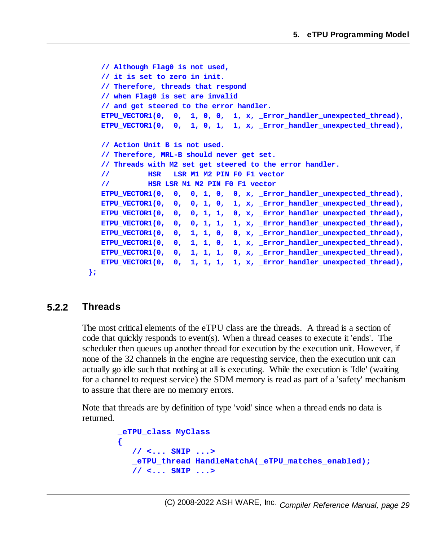```
// Although Flag0 is not used,
  // it is set to zero in init.
  // Therefore, threads that respond
  // when Flag0 is set are invalid
  // and get steered to the error handler.
  ETPU_VECTOR1(0, 0, 1, 0, 0, 1, x, _Error_handler_unexpected_thread),
  ETPU_VECTOR1(0, 0, 1, 0, 1, 1, x, _Error_handler_unexpected_thread),
  // Action Unit B is not used.
  // Therefore, MRL-B should never get set.
  // Threads with M2 set get steered to the error handler.
  // HSR LSR M1 M2 PIN F0 F1 vector
  // HSR LSR M1 M2 PIN F0 F1 vector
  ETPU_VECTOR1(0, 0, 0, 1, 0, 0, x, _Error_handler_unexpected_thread),
  ETPU_VECTOR1(0, 0, 0, 1, 0, 1, x, _Error_handler_unexpected_thread),
  ETPU_VECTOR1(0, 0, 0, 1, 1, 0, x, _Error_handler_unexpected_thread),
  ETPU_VECTOR1(0, 0, 0, 1, 1, 1, x, _Error_handler_unexpected_thread),
  ETPU_VECTOR1(0, 0, 1, 1, 0, 0, x, _Error_handler_unexpected_thread),
  ETPU_VECTOR1(0, 0, 1, 1, 0, 1, x, _Error_handler_unexpected_thread),
  ETPU_VECTOR1(0, 0, 1, 1, 1, 0, x, _Error_handler_unexpected_thread),
  ETPU_VECTOR1(0, 0, 1, 1, 1, 1, x, _Error_handler_unexpected_thread),
};
```
### <span id="page-28-0"></span>**5.2.2 Threads**

The most critical elements of the eTPU class are the threads. A thread is a section of code that quickly responds to event(s). When a thread ceases to execute it 'ends'. The scheduler then queues up another thread for execution by the execution unit. However, if none of the 32 channels in the engine are requesting service, then the execution unit can actually go idle such that nothing at all is executing. While the execution is 'Idle' (waiting for a channel to request service) the SDM memory is read as part of a 'safety' mechanism to assure that there are no memory errors.

Note that threads are by definition of type 'void' since when a thread ends no data is returned.

```
_eTPU_class MyClass
{
   // <... SNIP ...>
   _eTPU_thread HandleMatchA(_eTPU_matches_enabled);
   // <... SNIP ...>
```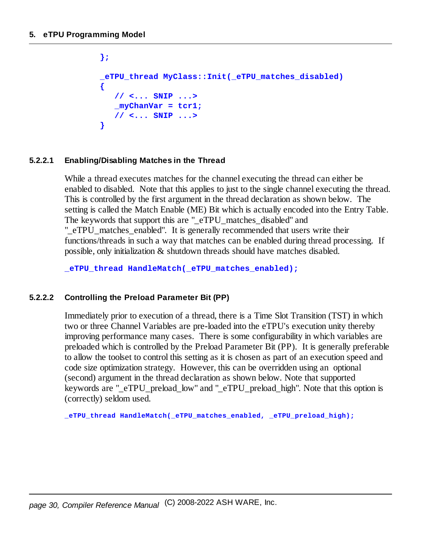```
};
_eTPU_thread MyClass::Init(_eTPU_matches_disabled)
{
   // <... SNIP ...>
   _myChanVar = tcr1;
   // <... SNIP ...>
}
```
#### <span id="page-29-0"></span>**5.2.2.1 Enabling/Disabling Matches in the Thread**

While a thread executes matches for the channel executing the thread can either be enabled to disabled. Note that this applies to just to the single channel executing the thread. This is controlled by the first argument in the thread declaration as shown below. The setting is called the Match Enable (ME) Bit which is actually encoded into the Entry Table. The keywords that support this are "\_eTPU\_matches\_disabled" and "\_eTPU\_matches\_enabled". It is generally recommended that users write their functions/threads in such a way that matches can be enabled during thread processing. If possible, only initialization & shutdown threads should have matches disabled.

**\_eTPU\_thread HandleMatch(\_eTPU\_matches\_enabled);**

#### <span id="page-29-1"></span>**5.2.2.2 Controlling the Preload Parameter Bit (PP)**

Immediately prior to execution of a thread, there is a Time Slot Transition (TST) in which two or three Channel Variables are pre-loaded into the eTPU's execution unity thereby improving performance many cases. There is some configurability in which variables are preloaded which is controlled by the Preload Parameter Bit (PP). It is generally preferable to allow the toolset to control this setting as it is chosen as part of an execution speed and code size optimization strategy. However, this can be overridden using an optional (second) argument in the thread declaration as shown below. Note that supported keywords are " eTPU preload low" and " eTPU preload high". Note that this option is (correctly) seldom used.

**\_eTPU\_thread HandleMatch(\_eTPU\_matches\_enabled, \_eTPU\_preload\_high);**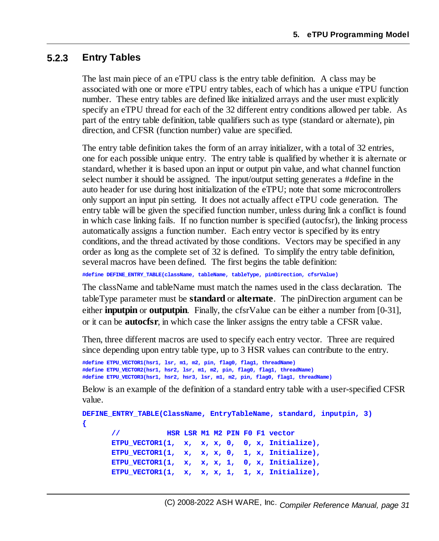### <span id="page-30-0"></span>**5.2.3 Entry Tables**

The last main piece of an eTPU class is the entry table definition. A class may be associated with one or more eTPU entry tables, each of which has a unique eTPU function number. These entry tables are defined like initialized arrays and the user must explicitly specify an eTPU thread for each of the 32 different entry conditions allowed per table. As part of the entry table definition, table qualifiers such as type (standard or alternate), pin direction, and CFSR (function number) value are specified.

The entry table definition takes the form of an array initializer, with a total of 32 entries, one for each possible unique entry. The entry table is qualified by whether it is alternate or standard, whether it is based upon an input or output pin value, and what channel function select number it should be assigned. The input/output setting generates a #define in the auto header for use during host initialization of the eTPU; note that some microcontrollers only support an input pin setting. It does not actually affect eTPU code generation. The entry table will be given the specified function number, unless during link a conflict is found in which case linking fails. If no function number is specified (autocfsr), the linking process automatically assigns a function number. Each entry vector is specified by its entry conditions, and the thread activated by those conditions. Vectors may be specified in any order as long as the complete set of 32 is defined. To simplify the entry table definition, several macros have been defined. The first begins the table definition:

**#define DEFINE\_ENTRY\_TABLE(className, tableName, tableType, pinDirection, cfsrValue)**

The className and tableName must match the names used in the class declaration. The tableType parameter must be **standard** or **alternate**. The pinDirection argument can be either **inputpin** or **outputpin**. Finally, the cfsrValue can be either a number from [0-31], or it can be **autocfsr**, in which case the linker assigns the entry table a CFSR value.

Then, three different macros are used to specify each entry vector. Three are required since depending upon entry table type, up to 3 HSR values can contribute to the entry.

```
#define ETPU_VECTOR1(hsr1, lsr, m1, m2, pin, flag0, flag1, threadName)
#define ETPU_VECTOR2(hsr1, hsr2, lsr, m1, m2, pin, flag0, flag1, threadName)
#define ETPU_VECTOR3(hsr1, hsr2, hsr3, lsr, m1, m2, pin, flag0, flag1, threadName)
```
Below is an example of the definition of a standard entry table with a user-specified CFSR value.

```
DEFINE_ENTRY_TABLE(ClassName, EntryTableName, standard, inputpin, 3)
{
      // HSR LSR M1 M2 PIN F0 F1 vector
      ETPU_VECTOR1(1, x, x, x, 0, 0, x, Initialize),
      ETPU_VECTOR1(1, x, x, x, 0, 1, x, Initialize),
      ETPU_VECTOR1(1, x, x, x, 1, 0, x, Initialize),
      ETPU_VECTOR1(1, x, x, x, 1, 1, x, Initialize),
```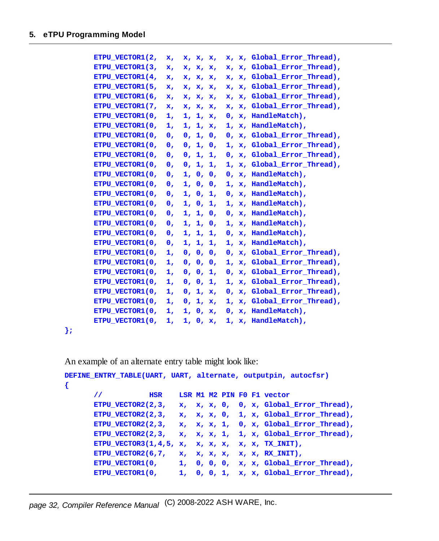| ETPU VECTOR1(2, | x,             | x, x, x, | x, x, Global Error Thread),        |
|-----------------|----------------|----------|------------------------------------|
| ETPU VECTOR1(3, | x,             | x, x, x, | x, x, Global Error Thread),        |
| ETPU VECTOR1(4, | x,             | x, x, x, | x, Global Error Thread),<br>x,     |
| ETPU VECTOR1(5, | x,             | x, x, x, | x, x, Global Error Thread),        |
| ETPU VECTOR1(6, | x,             | x, x, x, | x, Global Error Thread),<br>x.     |
| ETPU VECTOR1(7, | x,             | x, x, x, | x, Global Error Thread),<br>x.     |
| ETPU VECTOR1(0, | 1,             | 1, 1, x, | 0, x, HandleMatch),                |
| ETPU VECTOR1(0, | 1.             | 1, 1, x, | 1, x, HandleMatch),                |
| ETPU VECTOR1(0, | 0,             | 0, 1, 0, | x, Global Error Thread),<br>0,     |
| ETPU VECTOR1(0, | 0,             | 0, 1, 0, | 1, x, Global Error Thread),        |
| ETPU VECTOR1(0, | $\mathbf{0}$ . | 0, 1, 1, | 0, x, Global_Error_Thread),        |
| ETPU VECTOR1(0, | 0,             | 0, 1, 1, | x, Global Error Thread),<br>ı,     |
| ETPU VECTOR1(0, | 0,             | 1, 0, 0, | 0, x, HandleMatch),                |
| ETPU VECTOR1(0, | $\mathbf{0}$ . | 1, 0, 0, | 1, x, HandleMatch),                |
| ETPU VECTOR1(0, | 0,             | 1, 0, 1, | x, HandleMatch),<br>$\mathbf{0}$ . |
| ETPU VECTOR1(0, | 0,             | 1, 0, 1, | 1, x, HandleMatch),                |
| ETPU VECTOR1(0, | 0,             | 1, 1, 0, | 0, x, HandleMatch),                |
| ETPU VECTOR1(0, | 0,             | 1, 1, 0, | x, HandleMatch),<br>1,             |
| ETPU VECTOR1(0, | $\mathbf{0}$ , | 1, 1, 1, | 0, x, HandleMatch),                |
| ETPU VECTOR1(0, | 0,             | 1, 1, 1, | 1, x, HandleMatch),                |
| ETPU VECTOR1(0, | 1,             | 0, 0, 0, | x, Global Error Thread),<br>0.     |
| ETPU VECTOR1(0, | 1,             | 0, 0, 0, | 1, x, Global Error Thread),        |
| ETPU VECTOR1(0, | 1,             | 0, 0, 1, | 0, x, Global Error Thread),        |
| ETPU VECTOR1(0, | 1,             | 0, 0, 1, | x, Global Error Thread),<br>1.     |
| ETPU VECTOR1(0, | 1,             | 0, 1, x, | 0, x, Global Error Thread),        |
| ETPU VECTOR1(0, | 1,             | 0, 1, x, | 1, x, Global Error Thread),        |
| ETPU VECTOR1(0, | 1,             | 1, 0, x, | x, HandleMatch),<br>0.             |
| ETPU VECTOR1(0, | ı,             | 1, 0, x, | 1, x, HandleMatch),                |

**};**

**{**

An example of an alternate entry table might look like:

```
DEFINE_ENTRY_TABLE(UART, UART, alternate, outputpin, autocfsr)
      // HSR LSR M1 M2 PIN F0 F1 vector
      ETPU_VECTOR2(2,3, x, x, x, 0, 0, x, Global_Error_Thread),
      ETPU_VECTOR2(2,3, x, x, x, 0, 1, x, Global_Error_Thread),
      ETPU_VECTOR2(2,3, x, x, x, 1, 0, x, Global_Error_Thread),
      ETPU_VECTOR2(2,3, x, x, x, 1, 1, x, Global_Error_Thread),
      ETPU_VECTOR3(1,4,5, x, x, x, x, x, x, TX_INIT),
      ETPU_VECTOR2(6,7, x, x, x, x, x, x, RX_INIT),
      ETPU_VECTOR1(0, 1, 0, 0, 0, x, x, Global_Error_Thread),
      ETPU_VECTOR1(0, 1, 0, 0, 1, x, x, Global_Error_Thread),
```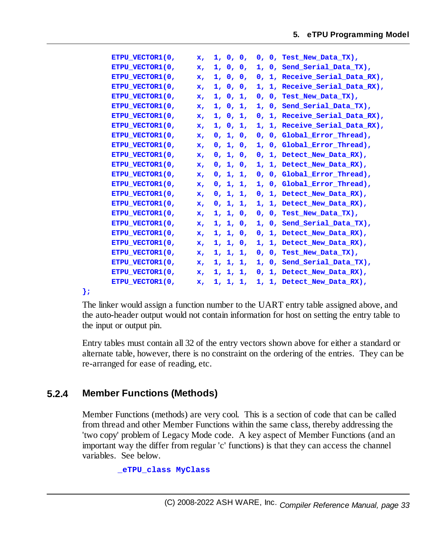**ETPU\_VECTOR1(0, x, 1, 0, 0, 0, 0, Test\_New\_Data\_TX), ETPU\_VECTOR1(0, x, 1, 0, 0, 1, 0, Send\_Serial\_Data\_TX), ETPU\_VECTOR1(0, x, 1, 0, 0, 0, 1, Receive\_Serial\_Data\_RX), ETPU\_VECTOR1(0, x, 1, 0, 0, 1, 1, Receive\_Serial\_Data\_RX), ETPU\_VECTOR1(0, x, 1, 0, 1, 0, 0, Test\_New\_Data\_TX), ETPU\_VECTOR1(0, x, 1, 0, 1, 1, 0, Send\_Serial\_Data\_TX), ETPU\_VECTOR1(0, x, 1, 0, 1, 0, 1, Receive\_Serial\_Data\_RX), ETPU\_VECTOR1(0, x, 1, 0, 1, 1, 1, Receive\_Serial\_Data\_RX), ETPU\_VECTOR1(0, x, 0, 1, 0, 0, 0, Global\_Error\_Thread), ETPU\_VECTOR1(0, x, 0, 1, 0, 1, 0, Global\_Error\_Thread), ETPU\_VECTOR1(0, x, 0, 1, 0, 0, 1, Detect\_New\_Data\_RX), ETPU\_VECTOR1(0, x, 0, 1, 0, 1, 1, Detect\_New\_Data\_RX), ETPU\_VECTOR1(0, x, 0, 1, 1, 0, 0, Global\_Error\_Thread), ETPU\_VECTOR1(0, x, 0, 1, 1, 1, 0, Global\_Error\_Thread), ETPU\_VECTOR1(0, x, 0, 1, 1, 0, 1, Detect\_New\_Data\_RX), ETPU\_VECTOR1(0, x, 0, 1, 1, 1, 1, Detect\_New\_Data\_RX), ETPU\_VECTOR1(0, x, 1, 1, 0, 0, 0, Test\_New\_Data\_TX), ETPU\_VECTOR1(0, x, 1, 1, 0, 1, 0, Send\_Serial\_Data\_TX), ETPU\_VECTOR1(0, x, 1, 1, 0, 0, 1, Detect\_New\_Data\_RX), ETPU\_VECTOR1(0, x, 1, 1, 0, 1, 1, Detect\_New\_Data\_RX), ETPU\_VECTOR1(0, x, 1, 1, 1, 0, 0, Test\_New\_Data\_TX), ETPU\_VECTOR1(0, x, 1, 1, 1, 1, 0, Send\_Serial\_Data\_TX), ETPU\_VECTOR1(0, x, 1, 1, 1, 0, 1, Detect\_New\_Data\_RX), ETPU\_VECTOR1(0, x, 1, 1, 1, 1, 1, Detect\_New\_Data\_RX),**

**};**

The linker would assign a function number to the UART entry table assigned above, and the auto-header output would not contain information for host on setting the entry table to the input or output pin.

Entry tables must contain all 32 of the entry vectors shown above for either a standard or alternate table, however, there is no constraint on the ordering of the entries. They can be re-arranged for ease of reading, etc.

### <span id="page-32-0"></span>**5.2.4 Member Functions (Methods)**

Member Functions (methods) are very cool. This is a section of code that can be called from thread and other Member Functions within the same class, thereby addressing the 'two copy' problem of Legacy Mode code. A key aspect of Member Functions (and an important way the differ from regular 'c' functions) is that they can access the channel variables. See below.

**\_eTPU\_class MyClass**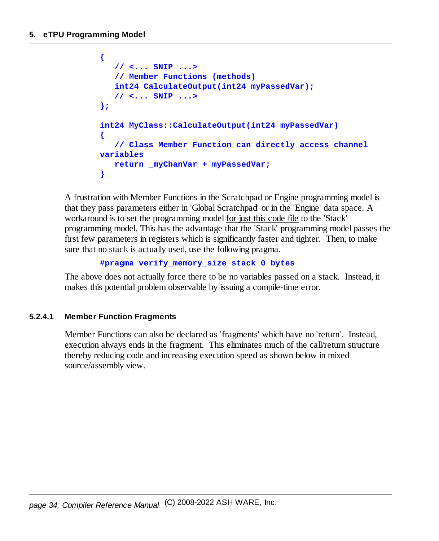```
{
   // <... SNIP ...>
   // Member Functions (methods)
   int24 CalculateOutput(int24 myPassedVar);
   // <... SNIP ...>
};
int24 MyClass::CalculateOutput(int24 myPassedVar)
{
   // Class Member Function can directly access channel
variables
  return _myChanVar + myPassedVar;
}
```
A frustration with Member Functions in the Scratchpad or Engine programming model is that they pass parameters either in 'Global Scratchpad' or in the 'Engine' data space. A workaround is to set the programming model for just this code file to the 'Stack' programming model. This has the advantage that the 'Stack' programming model passes the first few parameters in registers which is significantly faster and tighter. Then, to make sure that no stack is actually used, use the following pragma.

```
#pragma verify_memory_size stack 0 bytes
```
The above does not actually force there to be no variables passed on a stack. Instead, it makes this potential problem observable by issuing a compile-time error.

#### <span id="page-33-0"></span>**5.2.4.1 Member Function Fragments**

Member Functions can also be declared as 'fragments' which have no 'return'. Instead, execution always ends in the fragment. This eliminates much of the call/return structure thereby reducing code and increasing execution speed as shown below in mixed source/assembly view.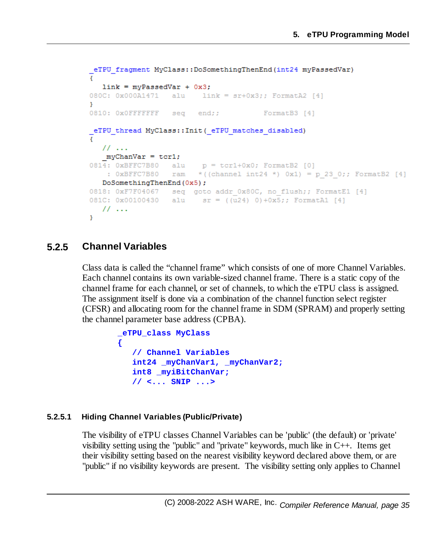```
_eTPU_fragment MyClass::DoSomethingThenEnd(int24 myPassedVar)
ŧ
  link = myPassedVar + 0x3;080C: 0x000A1471 alu link = sr+0x3;; FormatA2 [4]
Ą.
0810: 0x0FFFFFFF seq end;;
                                     FormatB3 [4]
eTPU thread MyClass:: Init ( eTPU matches disabled)
  11...mvChanVar = tcr1;0814: 0xBFFC7B80 alu
                        p = \text{tcr1}+0x0; FormatB2 [0]
   : 0xBFFC7B80 ram * ((channel int24 *) 0x1) = p 23 0;; FormatB2 [4]
  DoSomethingThenEnd(0x5);
0818: 0xF7F04067 seq goto addr 0x80C, no flush;; FormatE1 [4]
081C: 0x00100430 alu sr = ((u24) 0)+0x5;; FormatA1 [4]
 \frac{1}{2}...
Y
```
### <span id="page-34-0"></span>**5.2.5 Channel Variables**

Class data is called the "channel frame" which consists of one of more Channel Variables. Each channel contains its own variable-sized channel frame. There is a static copy of the channel frame for each channel, or set of channels, to which the eTPU class is assigned. The assignment itself is done via a combination of the channel function select register (CFSR) and allocating room for the channel frame in SDM (SPRAM) and properly setting the channel parameter base address (CPBA).

```
_eTPU_class MyClass
{
  // Channel Variables
  int24 _myChanVar1, _myChanVar2;
   int8 _myiBitChanVar;
   // <... SNIP ...>
```
#### <span id="page-34-1"></span>**5.2.5.1 Hiding Channel Variables (Public/Private)**

The visibility of eTPU classes Channel Variables can be 'public' (the default) or 'private' visibility setting using the "public" and "private" keywords, much like in C++. Items get their visibility setting based on the nearest visibility keyword declared above them, or are "public" if no visibility keywords are present. The visibility setting only applies to Channel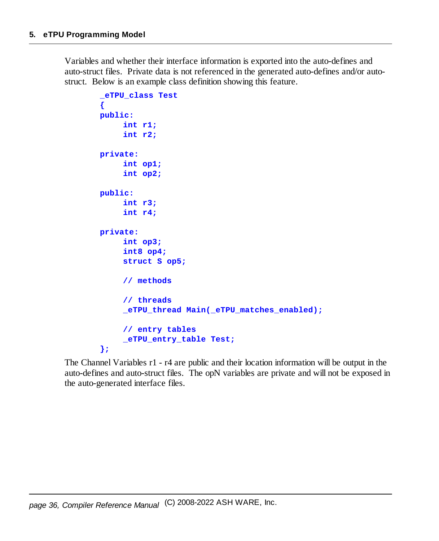Variables and whether their interface information is exported into the auto-defines and auto-struct files. Private data is not referenced in the generated auto-defines and/or autostruct. Below is an example class definition showing this feature.

```
_eTPU_class Test
{
public:
     int r1;
     int r2;
private:
     int op1;
     int op2;
public:
     int r3;
     int r4;
private:
     int op3;
     int8 op4;
     struct S op5;
     // methods
     // threads
     _eTPU_thread Main(_eTPU_matches_enabled);
     // entry tables
     _eTPU_entry_table Test;
};
```
The Channel Variables r1 - r4 are public and their location information will be output in the auto-defines and auto-struct files. The opN variables are private and will not be exposed in the auto-generated interface files.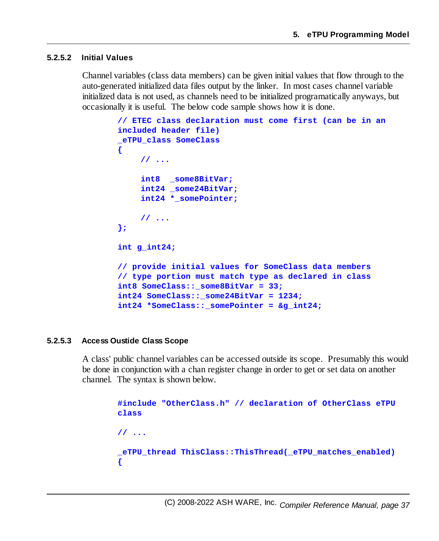#### **5.2.5.2 Initial Values**

Channel variables (class data members) can be given initial values that flow through to the auto-generated initialized data files output by the linker. In most cases channel variable initialized data is not used, as channels need to be initialized programatically anyways, but occasionally it is useful. The below code sample shows how it is done.

```
// ETEC class declaration must come first (can be in an
included header file)
_eTPU_class SomeClass
{
    // ...
    int8 _some8BitVar;
    int24 _some24BitVar;
    int24 *_somePointer;
    // ...
};
int g_int24;
// provide initial values for SomeClass data members
// type portion must match type as declared in class
int8 SomeClass::_some8BitVar = 33;
int24 SomeClass::_some24BitVar = 1234;
int24 *SomeClass::_somePointer = &g_int24;
```
#### **5.2.5.3 Access Oustide Class Scope**

A class' public channel variables can be accessed outside its scope. Presumably this would be done in conjunction with a chan register change in order to get or set data on another channel. The syntax is shown below.

> **#include "OtherClass.h" // declaration of OtherClass eTPU class // ... \_eTPU\_thread ThisClass::ThisThread(\_eTPU\_matches\_enabled) {**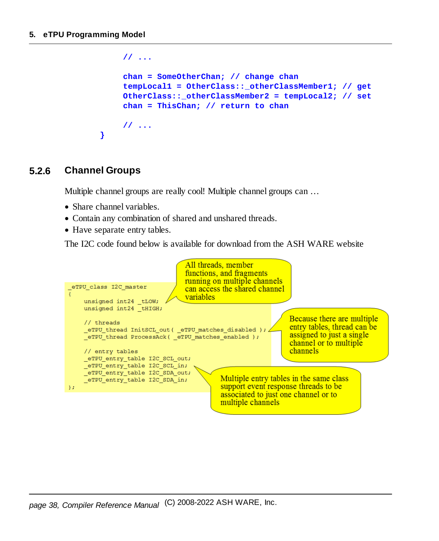```
// ...
    chan = SomeOtherChan; // change chan
    tempLocal1 = OtherClass::_otherClassMember1; // get
    OtherClass::_otherClassMember2 = tempLocal2; // set
    chan = ThisChan; // return to chan
    // ...
}
```
#### **5.2.6 Channel Groups**

Multiple channel groups are really cool! Multiple channel groups can …

- · Share channel variables.
- Contain any combination of shared and unshared threads.
- Have separate entry tables.

The I2C code found below is available for download from the ASH WARE website

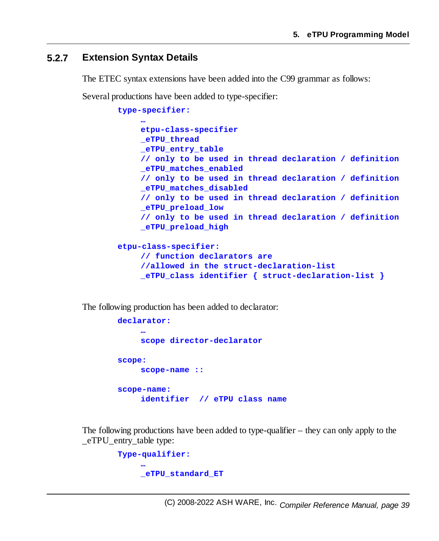#### **5.2.7 Extension Syntax Details**

The ETEC syntax extensions have been added into the C99 grammar as follows:

Several productions have been added to type-specifier:

```
type-specifier:
     …
    etpu-class-specifier
    _eTPU_thread
    _eTPU_entry_table
    // only to be used in thread declaration / definition
    _eTPU_matches_enabled
    // only to be used in thread declaration / definition
    _eTPU_matches_disabled
    // only to be used in thread declaration / definition
    _eTPU_preload_low
    // only to be used in thread declaration / definition
    _eTPU_preload_high
etpu-class-specifier:
    // function declarators are
    //allowed in the struct-declaration-list
    _eTPU_class identifier { struct-declaration-list }
```
The following production has been added to declarator:

```
declarator:
     …
    scope director-declarator
scope:
    scope-name ::
scope-name:
    identifier // eTPU class name
```
The following productions have been added to type-qualifier – they can only apply to the \_eTPU\_entry\_table type:

```
Type-qualifier:
     …
    _eTPU_standard_ET
```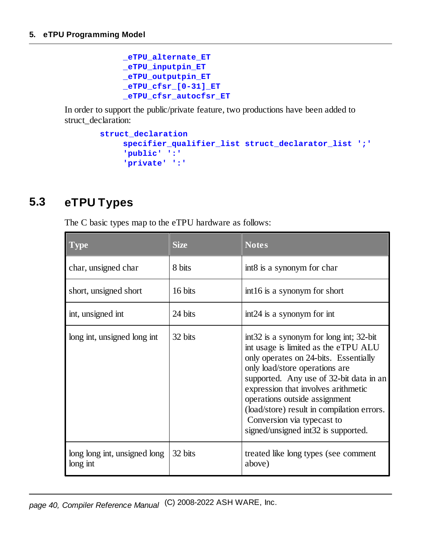```
_eTPU_alternate_ET
_eTPU_inputpin_ET
_eTPU_outputpin_ET
_eTPU_cfsr_[0-31]_ET
_eTPU_cfsr_autocfsr_ET
```
In order to support the public/private feature, two productions have been added to struct\_declaration:

```
struct_declaration
    specifier_qualifier_list struct_declarator_list ';'
     'public' ':'
     'private' ':'
```
# **5.3 eTPU Types**

The C basic types map to the eTPU hardware as follows:

| <b>Type</b>                              | <b>Size</b> | <b>Notes</b>                                                                                                                                                                                                                                                                                                                                                                                     |
|------------------------------------------|-------------|--------------------------------------------------------------------------------------------------------------------------------------------------------------------------------------------------------------------------------------------------------------------------------------------------------------------------------------------------------------------------------------------------|
| char, unsigned char                      | 8 bits      | int8 is a synonym for char                                                                                                                                                                                                                                                                                                                                                                       |
| short, unsigned short                    | 16 bits     | int16 is a synonym for short                                                                                                                                                                                                                                                                                                                                                                     |
| int, unsigned int                        | 24 bits     | int 24 is a synonym for int                                                                                                                                                                                                                                                                                                                                                                      |
| long int, unsigned long int              | 32 bits     | int32 is a synonym for long int; 32-bit<br>int usage is limited as the eTPU ALU<br>only operates on 24-bits. Essentially<br>only load/store operations are<br>supported. Any use of 32-bit data in an<br>expression that involves arithmetic<br>operations outside assignment<br>(load/store) result in compilation errors.<br>Conversion via typecast to<br>signed/unsigned int32 is supported. |
| long long int, unsigned long<br>long int | 32 bits     | treated like long types (see comment<br>above)                                                                                                                                                                                                                                                                                                                                                   |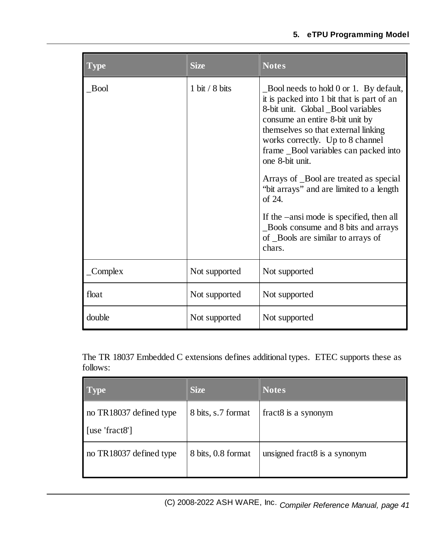#### **5. eTPU Programming Model**

| <b>Type</b>      | <b>Size</b>                      | <b>Notes</b>                                                                                                                                                                                                                                                                                                                                                                                          |
|------------------|----------------------------------|-------------------------------------------------------------------------------------------------------------------------------------------------------------------------------------------------------------------------------------------------------------------------------------------------------------------------------------------------------------------------------------------------------|
| Bool             | $1 \text{ bit} / 8 \text{ bits}$ | Bool needs to hold 0 or 1. By default,<br>it is packed into 1 bit that is part of an<br>8-bit unit. Global _Bool variables<br>consume an entire 8-bit unit by<br>themselves so that external linking<br>works correctly. Up to 8 channel<br>frame Bool variables can packed into<br>one 8-bit unit.<br>Arrays of Bool are treated as special<br>"bit arrays" and are limited to a length<br>of $24$ . |
|                  |                                  | If the –ansi mode is specified, then all<br>Bools consume and 8 bits and arrays<br>of Bools are similar to arrays of<br>chars.                                                                                                                                                                                                                                                                        |
| $\angle$ Complex | Not supported                    | Not supported                                                                                                                                                                                                                                                                                                                                                                                         |
| float            | Not supported                    | Not supported                                                                                                                                                                                                                                                                                                                                                                                         |
| double           | Not supported                    | Not supported                                                                                                                                                                                                                                                                                                                                                                                         |

The TR 18037 Embedded C extensions defines additional types. ETEC supports these as follows:

| <b>Type</b>                               | <b>Size</b>        | <b>Notes</b>                 |
|-------------------------------------------|--------------------|------------------------------|
| no TR18037 defined type<br>[use 'fract8'] | 8 bits, s.7 format | fract8 is a synonym          |
| no TR18037 defined type                   | 8 bits, 0.8 format | unsigned fract8 is a synonym |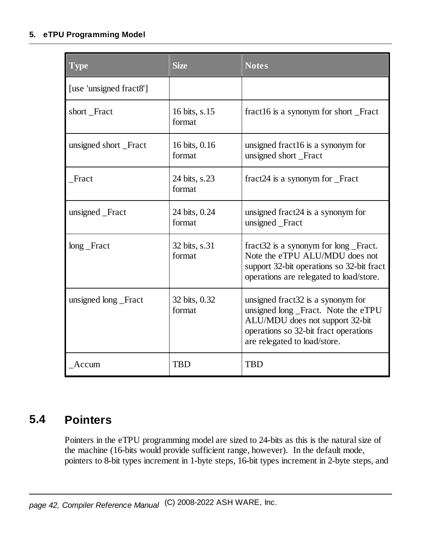### **5. eTPU Programming Model**

| <b>Type</b>             | <b>Size</b>             | <b>Notes</b>                                                                                                                                                                         |
|-------------------------|-------------------------|--------------------------------------------------------------------------------------------------------------------------------------------------------------------------------------|
| [use 'unsigned fract8'] |                         |                                                                                                                                                                                      |
| short Fract             | 16 bits, s.15<br>format | fract16 is a synonym for short Fract                                                                                                                                                 |
| unsigned short _Fract   | 16 bits, 0.16<br>format | unsigned fract16 is a synonym for<br>unsigned short Fract                                                                                                                            |
| Fract                   | 24 bits, s.23<br>format | fract24 is a synonym for _Fract                                                                                                                                                      |
| unsigned _Fract         | 24 bits, 0.24<br>format | unsigned fract24 is a synonym for<br>unsigned Fract                                                                                                                                  |
| $long$ $-$ Fract        | 32 bits, s.31<br>format | fract 32 is a synonym for long Fract.<br>Note the eTPU ALU/MDU does not<br>support 32-bit operations so 32-bit fract<br>operations are relegated to load/store.                      |
| unsigned long _Fract    | 32 bits, 0.32<br>format | unsigned fract 32 is a synonym for<br>unsigned long_Fract. Note the eTPU<br>ALU/MDU does not support 32-bit<br>operations so 32-bit fract operations<br>are relegated to load/store. |
| Accum                   | <b>TBD</b>              | <b>TBD</b>                                                                                                                                                                           |

# **5.4 Pointers**

Pointers in the eTPU programming model are sized to 24-bits as this is the naturalsize of the machine (16-bits would provide sufficient range, however). In the default mode, pointers to 8-bit types increment in 1-byte steps, 16-bit types increment in 2-byte steps, and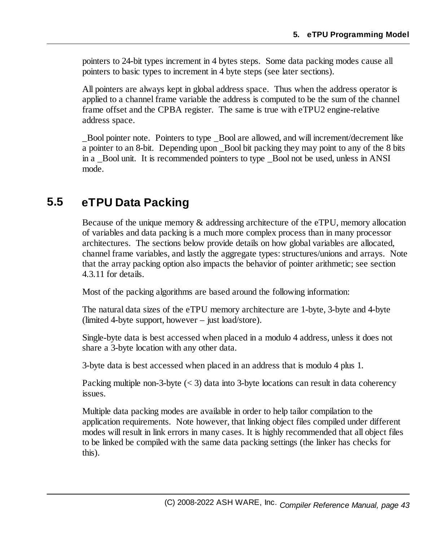pointers to 24-bit types increment in 4 bytes steps. Some data packing modes cause all pointers to basic types to increment in 4 byte steps (see later sections).

All pointers are always kept in global address space. Thus when the address operator is applied to a channel frame variable the address is computed to be the sum of the channel frame offset and the CPBA register. The same is true with eTPU2 engine-relative address space.

\_Bool pointer note. Pointers to type \_Bool are allowed, and will increment/decrement like a pointer to an 8-bit. Depending upon \_Bool bit packing they may point to any of the 8 bits in a \_Bool unit. It is recommended pointers to type \_Bool not be used, unless in ANSI mode.

# **5.5 eTPU Data Packing**

Because of the unique memory & addressing architecture of the eTPU, memory allocation of variables and data packing is a much more complex process than in many processor architectures. The sections below provide details on how global variables are allocated, channel frame variables, and lastly the aggregate types: structures/unions and arrays. Note that the array packing option also impacts the behavior of pointer arithmetic; see section 4.3.11 for details.

Most of the packing algorithms are based around the following information:

The natural data sizes of the eTPU memory architecture are 1-byte, 3-byte and 4-byte (limited 4-byte support, however – just load/store).

Single-byte data is best accessed when placed in a modulo 4 address, unless it does not share a 3-byte location with any other data.

3-byte data is best accessed when placed in an address that is modulo 4 plus 1.

Packing multiple non-3-byte  $(< 3)$  data into 3-byte locations can result in data coherency issues.

Multiple data packing modes are available in order to help tailor compilation to the application requirements. Note however, that linking object files compiled under different modes will result in link errors in many cases. It is highly recommended that all object files to be linked be compiled with the same data packing settings (the linker has checks for this).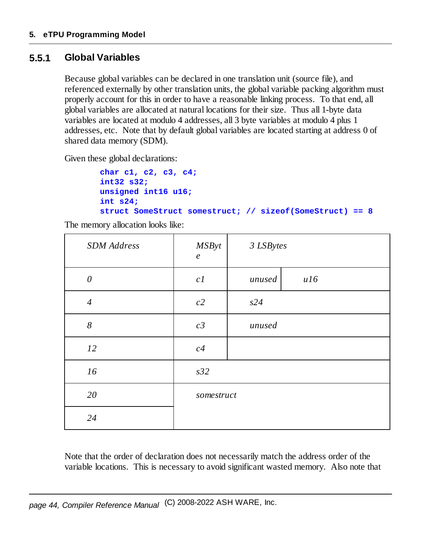# **5.5.1 Global Variables**

Because global variables can be declared in one translation unit (source file), and referenced externally by other translation units, the global variable packing algorithm must properly account for this in order to have a reasonable linking process. To that end, all global variables are allocated at natural locations for their size. Thus all 1-byte data variables are located at modulo 4 addresses, all 3 byte variables at modulo 4 plus 1 addresses, etc. Note that by default global variables are located starting at address 0 of shared data memory (SDM).

Given these global declarations:

```
char c1, c2, c3, c4;
int32 s32;
unsigned int16 u16;
int s24;
struct SomeStruct somestruct; // sizeof(SomeStruct) == 8
```
The memory allocation looks like:

| <b>SDM</b> Address | <b>MSByt</b><br>$\boldsymbol{e}$ | 3 LSBytes |     |  |
|--------------------|----------------------------------|-----------|-----|--|
| $\theta$           | c1                               | unused    | ul6 |  |
| $\overline{4}$     | c2                               | s24       |     |  |
| 8                  | c3                               | unused    |     |  |
| 12                 | c4                               |           |     |  |
| 16                 | s32                              |           |     |  |
| 20                 | somestruct                       |           |     |  |
| 24                 |                                  |           |     |  |

Note that the order of declaration does not necessarily match the address order of the variable locations. This is necessary to avoid significant wasted memory. Also note that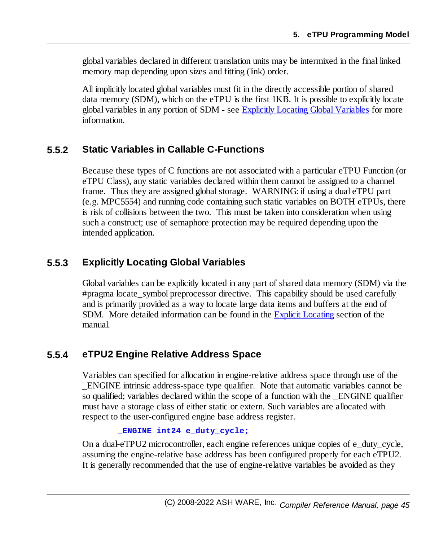global variables declared in different translation units may be intermixed in the final linked memory map depending upon sizes and fitting (link) order.

All implicitly located global variables must fit in the directly accessible portion of shared data memory (SDM), which on the eTPU is the first 1KB. It is possible to explicitly locate global variables in any portion of SDM - see Explicitly Locating Global [Variables](#page-44-0) for more information.

# **5.5.2 Static Variables in Callable C-Functions**

Because these types of C functions are not associated with a particular eTPU Function (or eTPU Class), any static variables declared within them cannot be assigned to a channel frame. Thus they are assigned globalstorage. WARNING: if using a dual eTPU part (e.g. MPC5554) and running code containing such static variables on BOTH eTPUs, there is risk of collisions between the two. This must be taken into consideration when using such a construct; use of semaphore protection may be required depending upon the intended application.

# <span id="page-44-0"></span>**5.5.3 Explicitly Locating Global Variables**

Global variables can be explicitly located in any part of shared data memory (SDM) via the #pragma locate\_symbol preprocessor directive. This capability should be used carefully and is primarily provided as a way to locate large data items and buffers at the end of SDM. More detailed information can be found in the Explicit [Locating](#page-158-0) section of the manual.

## **5.5.4 eTPU2 Engine Relative Address Space**

Variables can specified for allocation in engine-relative address space through use of the \_ENGINE intrinsic address-space type qualifier. Note that automatic variables cannot be so qualified; variables declared within the scope of a function with the \_ENGINE qualifier must have a storage class of either static or extern. Such variables are allocated with respect to the user-configured engine base address register.

**\_ENGINE int24 e\_duty\_cycle;**

On a dual-eTPU2 microcontroller, each engine references unique copies of e\_duty\_cycle, assuming the engine-relative base address has been configured properly for each eTPU2. It is generally recommended that the use of engine-relative variables be avoided as they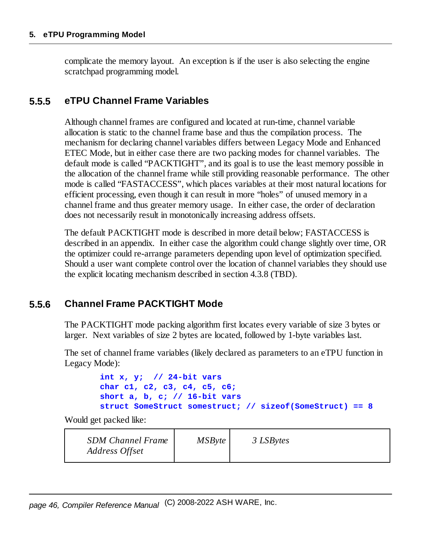complicate the memory layout. An exception is if the user is also selecting the engine scratchpad programming model.

### **5.5.5 eTPU Channel Frame Variables**

Although channel frames are configured and located at run-time, channel variable allocation is static to the channel frame base and thus the compilation process. The mechanism for declaring channel variables differs between Legacy Mode and Enhanced ETEC Mode, but in either case there are two packing modes for channel variables. The default mode is called "PACKTIGHT", and its goal is to use the least memory possible in the allocation of the channel frame while still providing reasonable performance. The other mode is called "FASTACCESS", which places variables at their most natural locations for efficient processing, even though it can result in more "holes" of unused memory in a channel frame and thus greater memory usage. In either case, the order of declaration does not necessarily result in monotonically increasing address offsets.

The default PACKTIGHT mode is described in more detail below; FASTACCESS is described in an appendix. In either case the algorithm could change slightly over time, OR the optimizer could re-arrange parameters depending upon level of optimization specified. Should a user want complete control over the location of channel variables they should use the explicit locating mechanism described in section 4.3.8 (TBD).

## **5.5.6 Channel Frame PACKTIGHT Mode**

The PACKTIGHT mode packing algorithm first locates every variable of size 3 bytes or larger. Next variables of size 2 bytes are located, followed by 1-byte variables last.

The set of channel frame variables (likely declared as parameters to an eTPU function in Legacy Mode):

```
int x, y; // 24-bit vars
char c1, c2, c3, c4, c5, c6;
short a, b, c; // 16-bit vars
struct SomeStruct somestruct; // sizeof(SomeStruct) == 8
```
Would get packed like:

| <b>SDM Channel Frame</b><br>Address Offset | MSByte | 3 LSBytes |  |
|--------------------------------------------|--------|-----------|--|
|--------------------------------------------|--------|-----------|--|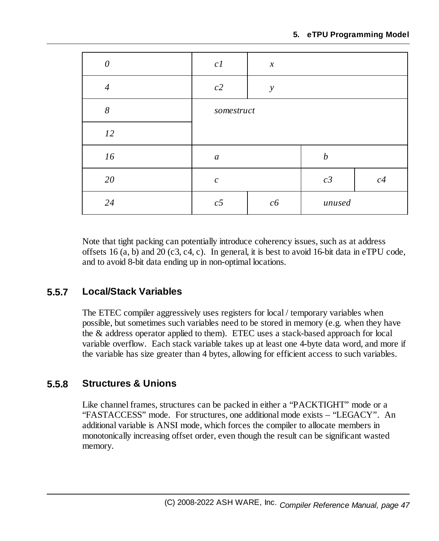| $\theta$       | c1               | $\boldsymbol{\mathcal{X}}$ |                  |    |
|----------------|------------------|----------------------------|------------------|----|
| $\overline{4}$ | c2               | $\mathcal{Y}$              |                  |    |
| 8              | somestruct       |                            |                  |    |
| 12             |                  |                            |                  |    |
| 16             | $\boldsymbol{a}$ |                            | $\boldsymbol{b}$ |    |
| 20             | $\boldsymbol{c}$ |                            | c3               | c4 |
| 24             | c5               | c6                         | unused           |    |

Note that tight packing can potentially introduce coherency issues, such as at address offsets 16  $(a, b)$  and 20  $(c3, c4, c)$ . In general, it is best to avoid 16-bit data in eTPU code, and to avoid 8-bit data ending up in non-optimal locations.

# **5.5.7 Local/Stack Variables**

The ETEC compiler aggressively uses registers for local / temporary variables when possible, but sometimes such variables need to be stored in memory (e.g. when they have the & address operator applied to them). ETEC uses a stack-based approach for local variable overflow. Each stack variable takes up at least one 4-byte data word, and more if the variable has size greater than 4 bytes, allowing for efficient access to such variables.

# **5.5.8 Structures & Unions**

Like channel frames, structures can be packed in either a "PACKTIGHT" mode or a "FASTACCESS" mode. For structures, one additional mode exists – "LEGACY". An additional variable is ANSI mode, which forces the compiler to allocate members in monotonically increasing offset order, even though the result can be significant wasted memory.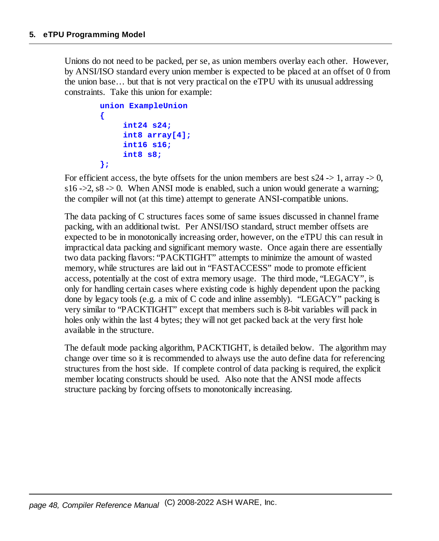Unions do not need to be packed, per se, as union members overlay each other. However, by ANSI/ISO standard every union member is expected to be placed at an offset of 0 from the union base… but that is not very practical on the eTPU with its unusual addressing constraints. Take this union for example:

```
union ExampleUnion
{
     int24 s24;
     int8 array[4];
     int16 s16;
     int8 s8;
};
```
For efficient access, the byte offsets for the union members are best  $s24 \rightarrow 1$ , array  $\rightarrow 0$ , s16 ->2,  $s8 \rightarrow 0$ . When ANSI mode is enabled, such a union would generate a warning; the compiler will not (at this time) attempt to generate ANSI-compatible unions.

The data packing of C structures faces some of same issues discussed in channel frame packing, with an additional twist. Per ANSI/ISO standard, struct member offsets are expected to be in monotonically increasing order, however, on the eTPU this can result in impractical data packing and significant memory waste. Once again there are essentially two data packing flavors: "PACKTIGHT" attempts to minimize the amount of wasted memory, while structures are laid out in "FASTACCESS" mode to promote efficient access, potentially at the cost of extra memory usage. The third mode, "LEGACY", is only for handling certain cases where existing code is highly dependent upon the packing done by legacy tools (e.g. a mix of C code and inline assembly). "LEGACY" packing is very similar to "PACKTIGHT" except that members such is 8-bit variables will pack in holes only within the last 4 bytes; they will not get packed back at the very first hole available in the structure.

The default mode packing algorithm, PACKTIGHT, is detailed below. The algorithm may change over time so it is recommended to always use the auto define data for referencing structures from the host side. If complete control of data packing is required, the explicit member locating constructs should be used. Also note that the ANSI mode affects structure packing by forcing offsets to monotonically increasing.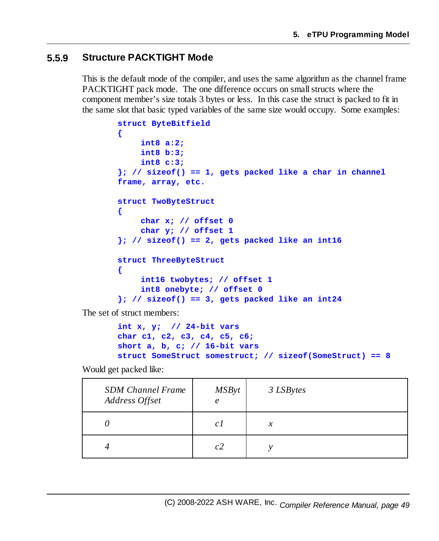### **5.5.9 Structure PACKTIGHT Mode**

This is the default mode of the compiler, and uses the same algorithm as the channel frame PACKTIGHT pack mode. The one difference occurs on small structs where the component member's size totals 3 bytes or less. In this case the struct is packed to fit in the same slot that basic typed variables of the same size would occupy. Some examples:

```
struct ByteBitfield
{
    int8 a:2;
    int8 b:3;
    int8 c:3;
}; // sizeof() == 1, gets packed like a char in channel
frame, array, etc.
struct TwoByteStruct
{
    char x; // offset 0
    char y; // offset 1
}; // sizeof() == 2, gets packed like an int16
struct ThreeByteStruct
{
    int16 twobytes; // offset 1
    int8 onebyte; // offset 0
}; // sizeof() == 3, gets packed like an int24
```
The set of struct members:

```
int x, y; // 24-bit vars
char c1, c2, c3, c4, c5, c6;
short a, b, c; // 16-bit vars
struct SomeStruct somestruct; // sizeof(SomeStruct) == 8
```
Would get packed like:

| <b>SDM Channel Frame</b><br>Address Offset | MSByt<br>$\epsilon$ | 3 LSBytes           |
|--------------------------------------------|---------------------|---------------------|
|                                            | C <sub>1</sub>      | $\boldsymbol{\chi}$ |
|                                            | c2                  |                     |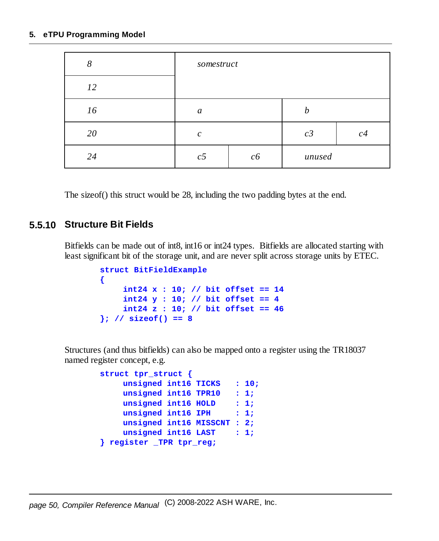#### **5. eTPU Programming Model**

| 8  | somestruct     |    |        |    |
|----|----------------|----|--------|----|
| 12 |                |    |        |    |
| 16 | a              |    | h      |    |
| 20 | $\mathcal{C}$  |    | c3     | c4 |
| 24 | c <sub>5</sub> | c6 | unused |    |

The sizeof() this struct would be 28, including the two padding bytes at the end.

### **5.5.10 Structure Bit Fields**

Bitfields can be made out of int8, int16 or int24 types. Bitfields are allocated starting with least significant bit of the storage unit, and are never split across storage units by ETEC.

```
struct BitFieldExample
{
    int24 x : 10; // bit offset == 14
    int24 y : 10; // bit offset == 4
    int24 z : 10; // bit offset == 46
}; // sizeof() == 8
```
Structures (and thus bitfields) can also be mapped onto a register using the TR18037 named register concept, e.g.

```
struct tpr_struct {
    unsigned int16 TICKS : 10;
    unsigned int16 TPR10 : 1;
    unsigned int16 HOLD : 1;
    unsigned int16 IPH : 1;
    unsigned int16 MISSCNT : 2;
    unsigned int16 LAST : 1;
} register _TPR tpr_reg;
```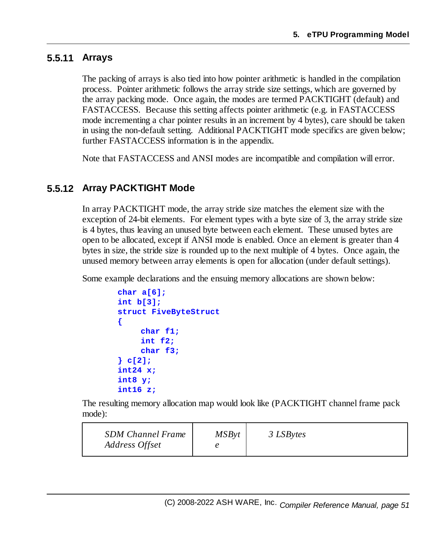## **5.5.11 Arrays**

The packing of arrays is also tied into how pointer arithmetic is handled in the compilation process. Pointer arithmetic follows the array stride size settings, which are governed by the array packing mode. Once again, the modes are termed PACKTIGHT (default) and FASTACCESS. Because this setting affects pointer arithmetic (e.g. in FASTACCESS mode incrementing a char pointer results in an increment by 4 bytes), care should be taken in using the non-default setting. Additional PACKTIGHT mode specifics are given below; further FASTACCESS information is in the appendix.

Note that FASTACCESS and ANSI modes are incompatible and compilation will error.

## **5.5.12 Array PACKTIGHT Mode**

In array PACKTIGHT mode, the array stride size matches the element size with the exception of 24-bit elements. For element types with a byte size of 3, the array stride size is 4 bytes, thus leaving an unused byte between each element. These unused bytes are open to be allocated, except if ANSI mode is enabled. Once an element is greater than 4 bytes in size, the stride size is rounded up to the next multiple of 4 bytes. Once again, the unused memory between array elements is open for allocation (under default settings).

Some example declarations and the ensuing memory allocations are shown below:

```
char a[6];
int b[3];
struct FiveByteStruct
{
     char f1;
     int f2;
     char f3;
} c[2];
int24 x;
int8 y;
int16 z;
```
The resulting memory allocation map would look like (PACKTIGHT channel frame pack mode):

| <b>SDM Channel Frame</b><br>Address Offset | <b>MSByt</b> | 3 LSBytes |
|--------------------------------------------|--------------|-----------|
|--------------------------------------------|--------------|-----------|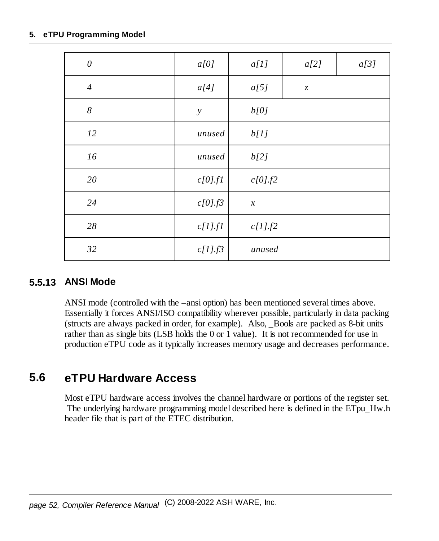#### **5. eTPU Programming Model**

| $\theta$         | a[0]          | a[1]                | a[2]          | a[3] |
|------------------|---------------|---------------------|---------------|------|
| $\overline{4}$   | a[4]          | a[5]                | $\mathcal{Z}$ |      |
| $\boldsymbol{8}$ | $\mathcal{Y}$ | b[0]                |               |      |
| 12               | unused        | b[1]                |               |      |
| 16               | unused        | b[2]                |               |      |
| 20               | $c[0]$ .fl    | c[0].f2             |               |      |
| 24               | c[0].f3       | $\boldsymbol{\chi}$ |               |      |
| 28               | $c[1]$ .fl    | $c[1]$ .f2          |               |      |
| 32               | $c[1]$ .f3    | unused              |               |      |

## **5.5.13 ANSI Mode**

ANSI mode (controlled with the –ansi option) has been mentioned several times above. Essentially it forces ANSI/ISO compatibility wherever possible, particularly in data packing (structs are always packed in order, for example). Also, \_Bools are packed as 8-bit units rather than as single bits (LSB holds the 0 or 1 value). It is not recommended for use in production eTPU code as it typically increases memory usage and decreases performance.

# **5.6 eTPU Hardware Access**

Most eTPU hardware access involves the channel hardware or portions of the register set. The underlying hardware programming model described here is defined in the ETpu\_Hw.h header file that is part of the ETEC distribution.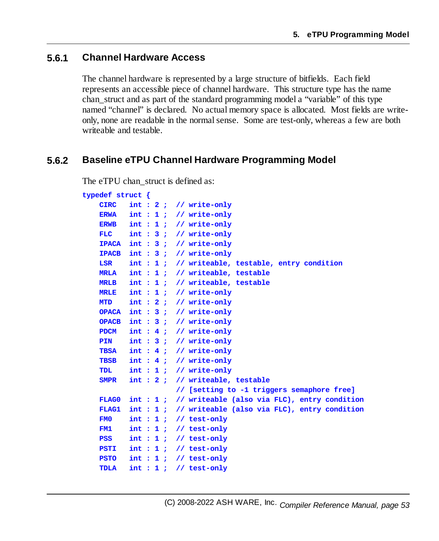### **5.6.1 Channel Hardware Access**

The channel hardware is represented by a large structure of bitfields. Each field represents an accessible piece of channel hardware. This structure type has the name chan\_struct and as part of the standard programming model a "variable" of this type named "channel" is declared. No actual memory space is allocated. Most fields are writeonly, none are readable in the normalsense. Some are test-only, whereas a few are both writeable and testable.

#### **5.6.2 Baseline eTPU Channel Hardware Programming Model**

The eTPU chan struct is defined as:

```
typedef struct {
   CIRC int : 2 ; // write-only
   ERWA int : 1 ; // write-only
   ERWB int : 1 ; // write-only
   FLC int : 3 ; // write-only
   IPACA int : 3 ; // write-only
   IPACB int : 3 ; // write-only
   LSR int : 1 ; // writeable, testable, entry condition
   MRLA int : 1 ; // writeable, testable
   MRLB int : 1 ; // writeable, testable
   MRLE int : 1 ; // write-only
   MTD int : 2 ; // write-only
   OPACA int : 3 ; // write-only
   OPACB int : 3 ; // write-only
   PDCM int : 4 ; // write-only
   PIN int : 3 ; // write-only
   TBSA int : 4 ; // write-only
   TBSB int : 4 ; // write-only
   TDL int : 1 ; // write-only
   SMPR int : 2 ; // writeable, testable
                    // [setting to -1 triggers semaphore free]
   FLAG0 int : 1 ; // writeable (also via FLC), entry condition
   FLAG1 int : 1 ; // writeable (also via FLC), entry condition
   FM0 int : 1 ; // test-only
   FM1 int : 1 ; // test-only
   PSS int : 1 ; // test-only
   PSTI int : 1 ; // test-only
   PSTO int : 1 ; // test-only
   TDLA int : 1 ; // test-only
```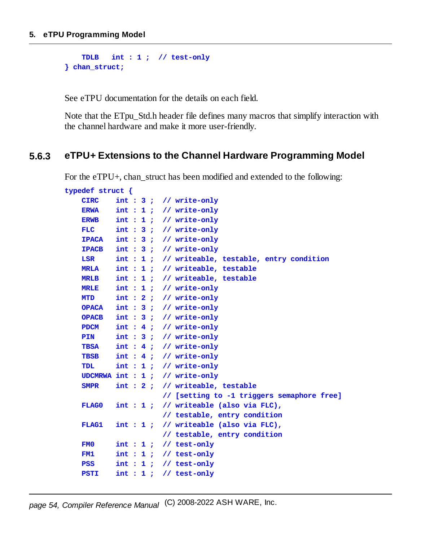```
TDLB int : 1 ; // test-only
} chan_struct;
```
See eTPU documentation for the details on each field.

Note that the ETpu\_Std.h header file defines many macros that simplify interaction with the channel hardware and make it more user-friendly.

## **5.6.3 eTPU+ Extensions to the Channel Hardware Programming Model**

For the eTPU+, chan\_struct has been modified and extended to the following:

| typedef struct $\{$ |         |  |                                                     |
|---------------------|---------|--|-----------------------------------------------------|
| <b>CIRC</b>         |         |  | $int : 3$ ; // write-only                           |
| <b>ERWA</b>         |         |  | $int : 1$ ; // write-only                           |
| <b>ERWB</b>         |         |  | $int : 1 : // write-only$                           |
| <b>FLC</b>          |         |  | $int : 3$ ; // write-only                           |
| <b>TPACA</b>        |         |  | $int : 3 : // write-only$                           |
| <b>TPACB</b>        |         |  | $int : 3$ ; // write-only                           |
| <b>LSR</b>          |         |  | $int : 1$ ; // writeable, testable, entry condition |
| <b>MRT.A</b>        |         |  | $int : 1$ ; // writeable, testable                  |
| <b>MRLB</b>         |         |  | int : 1 ; // writeable, testable                    |
| <b>MRLE</b>         |         |  | $int : 1$ ; // write-only                           |
| <b>MTD</b>          |         |  | $int : 2 : // write-only$                           |
| <b>OPACA</b>        |         |  | $int : 3 : // write-only$                           |
| <b>OPACB</b>        |         |  | $int : 3$ ; // write-only                           |
| <b>PDCM</b>         |         |  | $int : 4 : // write-only$                           |
| <b>PIN</b>          |         |  | $int : 3$ ; // write-only                           |
| <b>TBSA</b>         |         |  | $int : 4 : // write-only$                           |
| <b>TBSB</b>         |         |  | $int : 4 : // write-only$                           |
| TDL.                |         |  | $int : 1 : // write-only$                           |
|                     |         |  | UDCMRWA int : $1$ ; // write-only                   |
| <b>SMPR</b>         |         |  | int : 2 : // writeable, testable                    |
|                     |         |  | // [setting to -1 triggers semaphore free]          |
| FLAG0               |         |  | $int : 1$ ; // writeable (also via FLC),            |
|                     |         |  | // testable, entry condition                        |
| <b>FLAG1</b>        | int: 1: |  | // writeable (also via FLC),                        |
|                     |         |  | // testable, entry condition                        |
| FM <sub>0</sub>     |         |  | $int : 1$ ; // test-only                            |
| FM1                 | int: 1: |  | // test-only                                        |
| <b>PSS</b>          |         |  | $int : 1$ ; // test-only                            |
| <b>PSTI</b>         |         |  | $int: 1$ ; // test-only                             |
|                     |         |  |                                                     |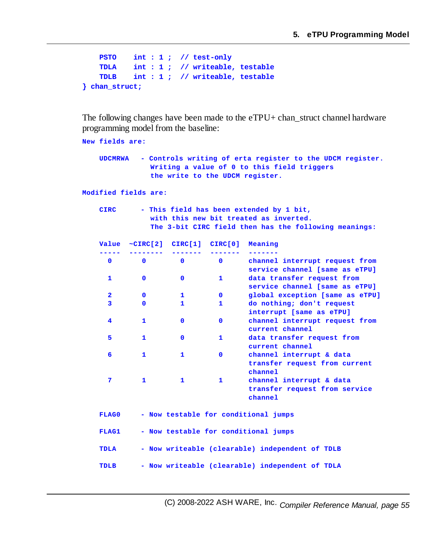```
PSTO int : 1 ; // test-only
   TDLA int : 1 ; // writeable, testable
   TDLB int : 1 ; // writeable, testable
} chan_struct;
```
The following changes have been made to the eTPU+ chan\_struct channel hardware programming model from the baseline:

```
New fields are:
   UDCMRWA - Controls writing of erta register to the UDCM register.
             Writing a value of 0 to this field triggers
             the write to the UDCM register.
Modified fields are:
   CIRC - This field has been extended by 1 bit,
             with this new bit treated as inverted.
             The 3-bit CIRC field then has the following meanings:
   Value ~CIRC[2] CIRC[1] CIRC[0] Meaning
   ----- -------- ------- ------- -------
    0 0 0 0 channel interrupt request from
                               service channel [same as eTPU]
    1 0 0 1 data transfer request from
                               service channel [same as eTPU]
     2 0 1 0 global exception [same as eTPU]
    3 0 1 1 do nothing; don't request
                               interrupt [same as eTPU]
     4 1 0 0 channel interrupt request from
                               current channel
    5 1 0 1 data transfer request from
                               current channel
     6 1 1 0 channel interrupt & data
                                transfer request from current
                                channel
    7 1 1 1 channel interrupt & data
                                transfer request from service
                                channel
   FLAG0 - Now testable for conditional jumps
   FLAG1 - Now testable for conditional jumps
   TDLA - Now writeable (clearable) independent of TDLB
   TDLB - Now writeable (clearable) independent of TDLA
```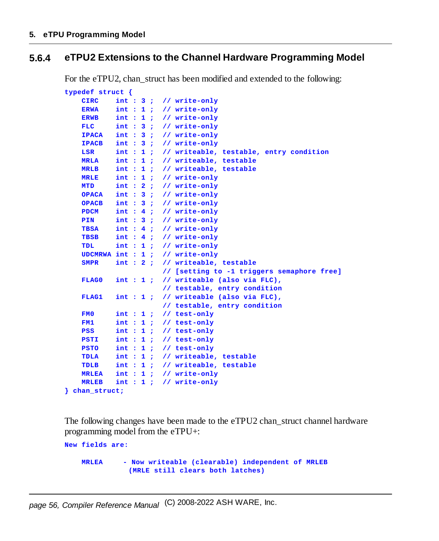## **5.6.4 eTPU2 Extensions to the Channel Hardware Programming Model**

For the eTPU2, chan struct has been modified and extended to the following:

```
typedef struct {
   CIRC int : 3 ; // write-only
   ERWA int : 1 ; // write-only
   ERWB int : 1 ; // write-only
   FLC int : 3 ; // write-only
   IPACA int : 3 ; // write-only
   IPACB int : 3 ; // write-only
   LSR int : 1 ; // writeable, testable, entry condition
   MRLA int : 1 ; // writeable, testable
   MRLB int : 1 ; // writeable, testable
   MRLE int : 1 ; // write-only
   MTD int : 2 ; // write-only
   OPACA int : 3 ; // write-only
   OPACB int : 3 ; // write-only
   PDCM int : 4 ; // write-only
   PIN int : 3 ; // write-only
   TBSA int : 4 ; // write-only
   TBSB int : 4 ; // write-only
   TDL int : 1 ; // write-only
   UDCMRWA int : 1 ; // write-only
   SMPR int : 2 ; // writeable, testable
                    // [setting to -1 triggers semaphore free]
   FLAG0 int : 1 ; // writeable (also via FLC),
                    // testable, entry condition
   FLAG1 int : 1 ; // writeable (also via FLC),
                    // testable, entry condition
   FM0 int : 1 ; // test-only
   FM1 int : 1 ; // test-only
   PSS int : 1 ; // test-only
   PSTI int : 1 ; // test-only
   PSTO int : 1 ; // test-only
   TDLA int : 1 ; // writeable, testable
   TDLB int : 1 ; // writeable, testable
   MRLEA int : 1 ; // write-only
   MRLEB int : 1 ; // write-only
} chan_struct;
```
The following changes have been made to the eTPU2 chan\_struct channel hardware programming model from the eTPU+:

**MRLEA - Now writeable (clearable) independent of MRLEB (MRLE still clears both latches)**

**New fields are:**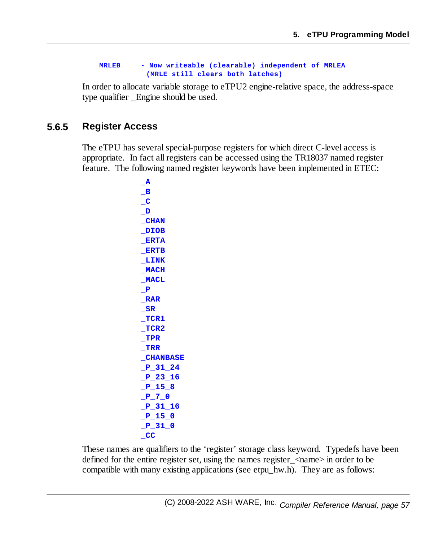#### **MRLEB - Now writeable (clearable) independent of MRLEA (MRLE still clears both latches)**

In order to allocate variable storage to eTPU2 engine-relative space, the address-space type qualifier \_Engine should be used.

## **5.6.5 Register Access**

The eTPU has several special-purpose registers for which direct C-level access is appropriate. In fact all registers can be accessed using the TR18037 named register feature. The following named register keywords have been implemented in ETEC:

> **\_A \_B \_C \_D \_CHAN \_DIOB \_ERTA \_ERTB \_LINK \_MACH \_MACL \_P \_RAR \_SR \_TCR1 \_TCR2 \_TPR \_TRR \_CHANBASE \_P\_31\_24 \_P\_23\_16 \_P\_15\_8 \_P\_7\_0 \_P\_31\_16 \_P\_15\_0 \_P\_31\_0 \_CC**

These names are qualifiers to the 'register' storage class keyword. Typedefs have been defined for the entire register set, using the names register\_<name> in order to be compatible with many existing applications (see etpu\_hw.h). They are as follows: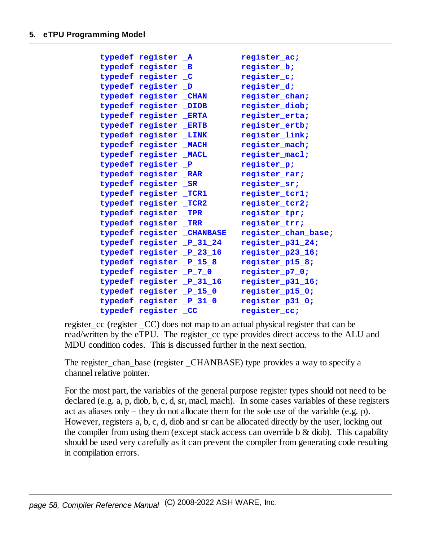| typedef register A        | register ac;        |
|---------------------------|---------------------|
| typedef register B        | register b;         |
| typedef register C        | register c;         |
| typedef register D        | register_d;         |
| typedef register CHAN     | register chan;      |
| typedef register DIOB     | register diob;      |
| typedef register ERTA     | register erta;      |
| typedef register ERTB     | register ertb;      |
| typedef register LINK     | register_link;      |
| typedef register MACH     | register mach;      |
| typedef register MACL     | register macl;      |
| typedef register P        | register_p;         |
| typedef register RAR      | register rar;       |
| typedef register SR       | register sr;        |
| typedef register TCR1     | register tcrl;      |
| typedef register TCR2     | register_tcr2;      |
| typedef register TPR      | register tpr;       |
| typedef register TRR      | register trr;       |
| typedef register CHANBASE | register chan base; |
| typedef register P 31 24  | register p31 24;    |
| typedef register P 23 16  | register p23 16;    |
| typedef register P 15 8   | register p15 8;     |
| typedef register P 7 0    | register_p7_0;      |
| typedef register P 31 16  | register p31 16;    |
| typedef register P 15 0   | register p15 0;     |
| typedef register P 31 0   | register p31 0;     |
| typedef register CC       | register cc;        |

register cc (register CC) does not map to an actual physical register that can be read/written by the eTPU. The register\_cc type provides direct access to the ALU and MDU condition codes. This is discussed further in the next section.

The register\_chan\_base (register \_CHANBASE) type provides a way to specify a channel relative pointer.

For the most part, the variables of the general purpose register types should not need to be declared (e.g. a, p, diob, b, c, d, sr, macl, mach). In some cases variables of these registers act as aliases only – they do not allocate them for the sole use of the variable (e.g. p). However, registers a, b, c, d, diob and sr can be allocated directly by the user, locking out the compiler from using them (except stack access can override b  $\&$  diob). This capability should be used very carefully as it can prevent the compiler from generating code resulting in compilation errors.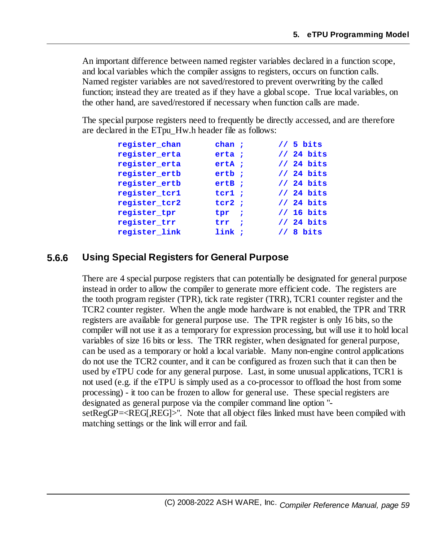An important difference between named register variables declared in a function scope, and local variables which the compiler assigns to registers, occurs on function calls. Named register variables are not saved/restored to prevent overwriting by the called function; instead they are treated as if they have a globalscope. True local variables, on the other hand, are saved/restored if necessary when function calls are made.

The special purpose registers need to frequently be directly accessed, and are therefore are declared in the ETpu\_Hw.h header file as follows:

| register chan | chan:                     | $1/5$ bits  |
|---------------|---------------------------|-------------|
| register erta | erta :                    | $1/24$ bits |
| register erta | $erta$ ;                  | $1/24$ bits |
| register ertb | ertb;                     | $1/24$ bits |
| register ertb | $erLB$ ;                  | $1/24$ bits |
| register tcr1 | ter1:                     | $1/24$ bits |
| register tcr2 | ter2:                     | $1/24$ bits |
| register_tpr  | $tpr$ ;                   | $1/16$ bits |
| register trr  | $\mathop{\mathtt{trr}}$ ; | $1/24$ bits |
| register link | link:                     | $1/8$ bits  |

### **5.6.6 Using Special Registers for General Purpose**

There are 4 special purpose registers that can potentially be designated for general purpose instead in order to allow the compiler to generate more efficient code. The registers are the tooth program register (TPR), tick rate register (TRR), TCR1 counter register and the TCR2 counter register. When the angle mode hardware is not enabled, the TPR and TRR registers are available for general purpose use. The TPR register is only 16 bits, so the compiler will not use it as a temporary for expression processing, but will use it to hold local variables of size 16 bits or less. The TRR register, when designated for general purpose, can be used as a temporary or hold a local variable. Many non-engine control applications do not use the TCR2 counter, and it can be configured as frozen such that it can then be used by eTPU code for any general purpose. Last, in some unusual applications, TCR1 is not used (e.g. if the eTPU is simply used as a co-processor to offload the host from some processing) - it too can be frozen to allow for general use. These special registers are designated as general purpose via the compiler command line option " setRegGP=<REG[,REG]>". Note that all object files linked must have been compiled with matching settings or the link will error and fail.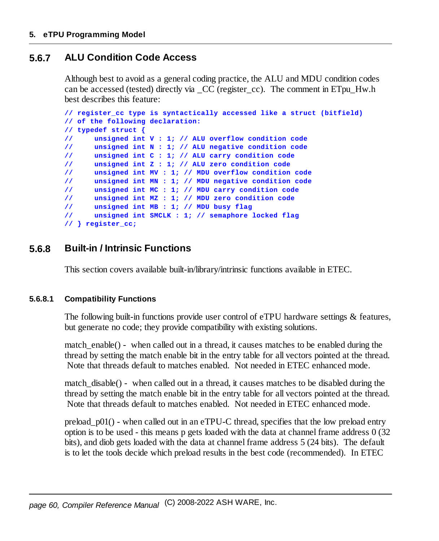# **5.6.7 ALU Condition Code Access**

Although best to avoid as a general coding practice, the ALU and MDU condition codes can be accessed (tested) directly via  $\rm CC$  (register cc). The comment in ETpu Hw.h best describes this feature:

```
// register_cc type is syntactically accessed like a struct (bitfield)
// of the following declaration:
// typedef struct {
// unsigned int V : 1; // ALU overflow condition code
// unsigned int N : 1; // ALU negative condition code
// unsigned int C : 1; // ALU carry condition code
// unsigned int Z : 1; // ALU zero condition code
// unsigned int MV : 1; // MDU overflow condition code
// unsigned int MN : 1; // MDU negative condition code
// unsigned int MC : 1; // MDU carry condition code
// unsigned int MZ : 1; // MDU zero condition code
// unsigned int MB : 1; // MDU busy flag
// unsigned int SMCLK : 1; // semaphore locked flag
// } register_cc;
```
# **5.6.8 Built-in / Intrinsic Functions**

This section covers available built-in/library/intrinsic functions available in ETEC.

#### **5.6.8.1 Compatibility Functions**

The following built-in functions provide user control of eTPU hardware settings & features, but generate no code; they provide compatibility with existing solutions.

match  $enable()$  - when called out in a thread, it causes matches to be enabled during the thread by setting the match enable bit in the entry table for all vectors pointed at the thread. Note that threads default to matches enabled. Not needed in ETEC enhanced mode.

match  $disable()$  - when called out in a thread, it causes matches to be disabled during the thread by setting the match enable bit in the entry table for all vectors pointed at the thread. Note that threads default to matches enabled. Not needed in ETEC enhanced mode.

preload  $p01()$  - when called out in an eTPU-C thread, specifies that the low preload entry option is to be used - this means p gets loaded with the data at channel frame address 0 (32 bits), and diob gets loaded with the data at channel frame address 5 (24 bits). The default is to let the tools decide which preload results in the best code (recommended). In ETEC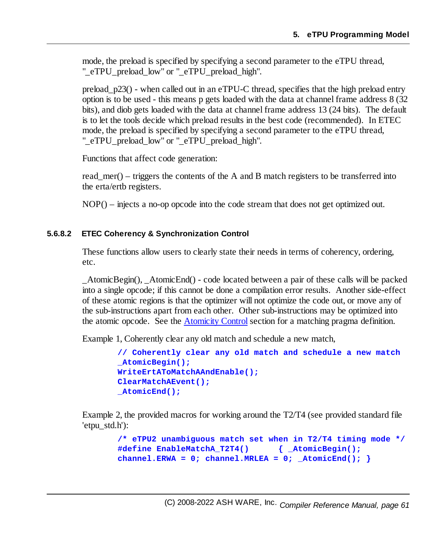mode, the preload is specified by specifying a second parameter to the eTPU thread, "\_eTPU\_preload\_low" or "\_eTPU\_preload\_high".

preload  $p23()$  - when called out in an eTPU-C thread, specifies that the high preload entry option is to be used - this means p gets loaded with the data at channel frame address 8 (32 bits), and diob gets loaded with the data at channel frame address 13 (24 bits). The default is to let the tools decide which preload results in the best code (recommended). In ETEC mode, the preload is specified by specifying a second parameter to the eTPU thread, "\_eTPU\_preload\_low" or "\_eTPU\_preload\_high".

Functions that affect code generation:

read\_mer() – triggers the contents of the A and B match registers to be transferred into the erta/ertb registers.

NOP() – injects a no-op opcode into the code stream that does not get optimized out.

#### **5.6.8.2 ETEC Coherency & Synchronization Control**

These functions allow users to clearly state their needs in terms of coherency, ordering, etc.

\_AtomicBegin(), \_AtomicEnd() - code located between a pair of these calls will be packed into a single opcode; if this cannot be done a compilation error results. Another side-effect of these atomic regions is that the optimizer will not optimize the code out, or move any of the sub-instructions apart from each other. Other sub-instructions may be optimized into the atomic opcode. See the [Atomicity](#page-151-0) Control section for a matching pragma definition.

Example 1, Coherently clear any old match and schedule a new match,

```
// Coherently clear any old match and schedule a new match
_AtomicBegin();
WriteErtAToMatchAAndEnable();
ClearMatchAEvent();
_AtomicEnd();
```
Example 2, the provided macros for working around the T2/T4 (see provided standard file 'etpu\_std.h'):

```
/* eTPU2 unambiguous match set when in T2/T4 timing mode */
#define EnableMatchA_T2T4() { _AtomicBegin();
channel.ERNA = 0; channel.MRLEA = 0; AtomicEnd();
```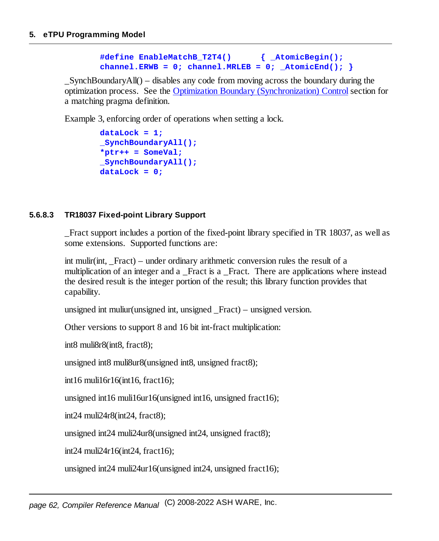```
#define EnableMatchB_T2T4() { _AtomicBegin();
channel.ERWB = 0; channel.MRLEB = 0; AtomicEnd();
```
 $SynchBoundaryAll()$  – disables any code from moving across the boundary during the optimization process. See the Optimization Boundary [\(Synchronization\)](#page-151-1) Controlsection for a matching pragma definition.

Example 3, enforcing order of operations when setting a lock.

```
dataLock = 1;
_SynchBoundaryAll();
*ptr++ = SomeVal;
_SynchBoundaryAll();
dataLock = 0;
```
#### **5.6.8.3 TR18037 Fixed-point Library Support**

\_Fract support includes a portion of the fixed-point library specified in TR 18037, as well as some extensions. Supported functions are:

int mulir(int, Fract) – under ordinary arithmetic conversion rules the result of a multiplication of an integer and a Fract is a Fract. There are applications where instead the desired result is the integer portion of the result; this library function provides that capability.

unsigned int muliur(unsigned int, unsigned \_Fract) – unsigned version.

Other versions to support 8 and 16 bit int-fract multiplication:

int8 muli8r8(int8, fract8);

unsigned int8 muli8ur8(unsigned int8, unsigned fract8);

int16 muli16r16(int16, fract16);

unsigned int16 muli16ur16(unsigned int16, unsigned fract16);

int24 muli24r8(int24, fract8);

unsigned int24 muli24ur8(unsigned int24, unsigned fract8);

int24 muli24r16(int24, fract16);

unsigned int24 muli24ur16(unsigned int24, unsigned fract16);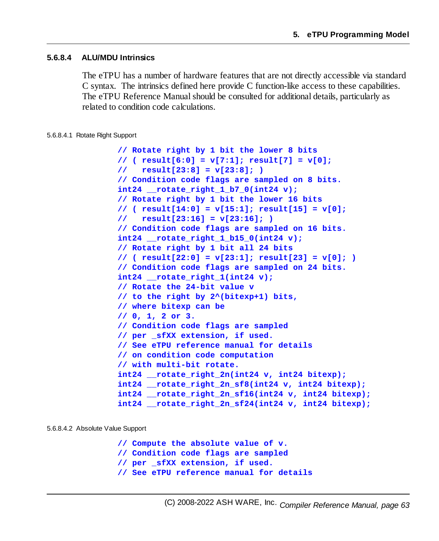#### **5.6.8.4 ALU/MDU Intrinsics**

The eTPU has a number of hardware features that are not directly accessible via standard C syntax. The intrinsics defined here provide C function-like access to these capabilities. The eTPU Reference Manualshould be consulted for additional details, particularly as related to condition code calculations.

#### 5.6.8.4.1 Rotate Right Support

```
// Rotate right by 1 bit the lower 8 bits
// ( result[6:0] = v[7:1]; result[7] = v[0];
// result[23:8] = v[23:8]; )
// Condition code flags are sampled on 8 bits.
int24 __rotate_right_1_b7_0(int24 v);
// Rotate right by 1 bit the lower 16 bits
// ( result[14:0] = v[15:1]; result[15] = v[0];
// result[23:16] = v[23:16]; )
// Condition code flags are sampled on 16 bits.
int24 __rotate_right_1_b15_0(int24 v);
// Rotate right by 1 bit all 24 bits
// ( result[22:0] = v[23:1]; result[23] = v[0]; )
// Condition code flags are sampled on 24 bits.
int24 __rotate_right_1(int24 v);
// Rotate the 24-bit value v
// to the right by 2^(bitexp+1) bits,
// where bitexp can be
// 0, 1, 2 or 3.
// Condition code flags are sampled
// per _sfXX extension, if used.
// See eTPU reference manual for details
// on condition code computation
// with multi-bit rotate.
int24 __rotate_right_2n(int24 v, int24 bitexp);
int24 __rotate_right_2n_sf8(int24 v, int24 bitexp);
int24 __rotate_right_2n_sf16(int24 v, int24 bitexp);
int24 __rotate_right_2n_sf24(int24 v, int24 bitexp);
```
#### 5.6.8.4.2 Absolute Value Support

**// Compute the absolute value of v. // Condition code flags are sampled // per \_sfXX extension, if used. // See eTPU reference manual for details**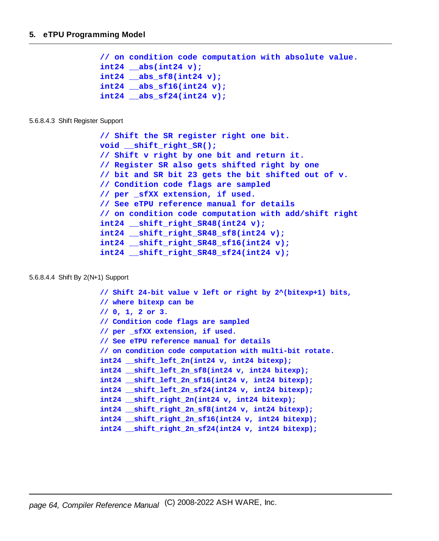```
// on condition code computation with absolute value.
int24 __abs(int24 v);
int24 __abs_sf8(int24 v);
int24 __abs_sf16(int24 v);
int24 __abs_sf24(int24 v);
```
#### 5.6.8.4.3 Shift Register Support

```
// Shift the SR register right one bit.
void __shift_right_SR();
// Shift v right by one bit and return it.
// Register SR also gets shifted right by one
// bit and SR bit 23 gets the bit shifted out of v.
// Condition code flags are sampled
// per _sfXX extension, if used.
// See eTPU reference manual for details
// on condition code computation with add/shift right
int24 __shift_right_SR48(int24 v);
int24 __shift_right_SR48_sf8(int24 v);
int24 __shift_right_SR48_sf16(int24 v);
int24 __shift_right_SR48_sf24(int24 v);
```
#### 5.6.8.4.4 Shift By 2(N+1) Support

```
// Shift 24-bit value v left or right by 2^(bitexp+1) bits,
// where bitexp can be
// 0, 1, 2 or 3.
// Condition code flags are sampled
// per _sfXX extension, if used.
// See eTPU reference manual for details
// on condition code computation with multi-bit rotate.
int24 __shift_left_2n(int24 v, int24 bitexp);
int24 __shift_left_2n_sf8(int24 v, int24 bitexp);
int24 __shift_left_2n_sf16(int24 v, int24 bitexp);
int24 __shift_left_2n_sf24(int24 v, int24 bitexp);
int24 __shift_right_2n(int24 v, int24 bitexp);
int24 __shift_right_2n_sf8(int24 v, int24 bitexp);
int24 __shift_right_2n_sf16(int24 v, int24 bitexp);
int24 __shift_right_2n_sf24(int24 v, int24 bitexp);
```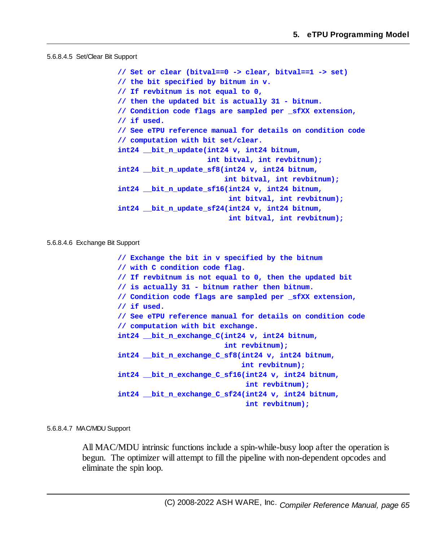#### 5.6.8.4.5 Set/Clear Bit Support

**// Set or clear (bitval==0 -> clear, bitval==1 -> set) // the bit specified by bitnum in v. // If revbitnum is not equal to 0, // then the updated bit is actually 31 - bitnum. // Condition code flags are sampled per \_sfXX extension, // if used. // See eTPU reference manual for details on condition code // computation with bit set/clear. int24 \_\_bit\_n\_update(int24 v, int24 bitnum, int bitval, int revbitnum); int24 \_\_bit\_n\_update\_sf8(int24 v, int24 bitnum, int bitval, int revbitnum); int24 \_\_bit\_n\_update\_sf16(int24 v, int24 bitnum, int bitval, int revbitnum); int24 \_\_bit\_n\_update\_sf24(int24 v, int24 bitnum, int bitval, int revbitnum);**

#### 5.6.8.4.6 Exchange Bit Support

**// Exchange the bit in v specified by the bitnum // with C condition code flag. // If revbitnum is not equal to 0, then the updated bit // is actually 31 - bitnum rather then bitnum. // Condition code flags are sampled per \_sfXX extension, // if used. // See eTPU reference manual for details on condition code // computation with bit exchange. int24 \_\_bit\_n\_exchange\_C(int24 v, int24 bitnum, int revbitnum); int24 \_\_bit\_n\_exchange\_C\_sf8(int24 v, int24 bitnum, int revbitnum); int24 \_\_bit\_n\_exchange\_C\_sf16(int24 v, int24 bitnum, int revbitnum); int24 \_\_bit\_n\_exchange\_C\_sf24(int24 v, int24 bitnum, int revbitnum);**

#### 5.6.8.4.7 MAC/MDU Support

All MAC/MDU intrinsic functions include a spin-while-busy loop after the operation is begun. The optimizer will attempt to fill the pipeline with non-dependent opcodes and eliminate the spin loop.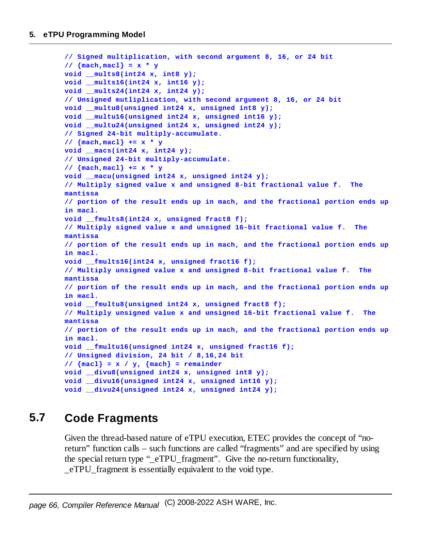```
// Signed multiplication, with second argument 8, 16, or 24 bit
// {mach,macl} = x * y
void __mults8(int24 x, int8 y);
void __mults16(int24 x, int16 y);
void __mults24(int24 x, int24 y);
// Unsigned mutliplication, with second argument 8, 16, or 24 bit
void __multu8(unsigned int24 x, unsigned int8 y);
void __multu16(unsigned int24 x, unsigned int16 y);
void __multu24(unsigned int24 x, unsigned int24 y);
// Signed 24-bit multiply-accumulate.
// {mach,macl} += x * y
void __macs(int24 x, int24 y);
// Unsigned 24-bit multiply-accumulate.
// {mach,macl} += x * y
void __macu(unsigned int24 x, unsigned int24 y);
// Multiply signed value x and unsigned 8-bit fractional value f. The
mantissa
// portion of the result ends up in mach, and the fractional portion ends up
in macl.
void __fmults8(int24 x, unsigned fract8 f);
// Multiply signed value x and unsigned 16-bit fractional value f. The
mantissa
// portion of the result ends up in mach, and the fractional portion ends up
in macl.
void __fmults16(int24 x, unsigned fract16 f);
// Multiply unsigned value x and unsigned 8-bit fractional value f. The
mantissa
// portion of the result ends up in mach, and the fractional portion ends up
in macl.
void __fmultu8(unsigned int24 x, unsigned fract8 f);
// Multiply unsigned value x and unsigned 16-bit fractional value f. The
mantissa
// portion of the result ends up in mach, and the fractional portion ends up
in macl.
void __fmultu16(unsigned int24 x, unsigned fract16 f);
// Unsigned division, 24 bit / 8,16,24 bit
// {macl} = x / y, {mach} = remainder
void __divu8(unsigned int24 x, unsigned int8 y);
void __divu16(unsigned int24 x, unsigned int16 y);
void __divu24(unsigned int24 x, unsigned int24 y);
```
# **5.7 Code Fragments**

Given the thread-based nature of eTPU execution, ETEC provides the concept of "noreturn" function calls – such functions are called "fragments" and are specified by using the special return type " eTPU fragment". Give the no-return functionality, \_eTPU\_fragment is essentially equivalent to the void type.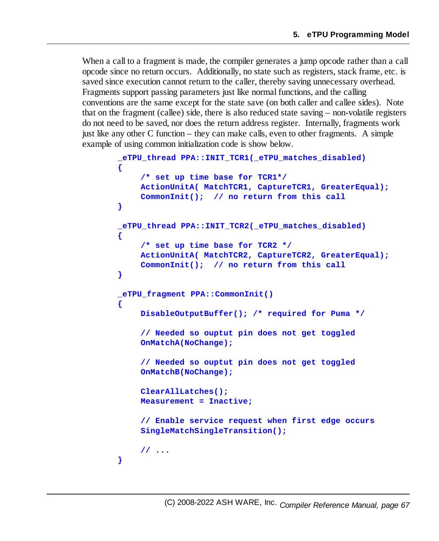When a call to a fragment is made, the compiler generates a jump opcode rather than a call opcode since no return occurs. Additionally, no state such as registers, stack frame, etc. is saved since execution cannot return to the caller, thereby saving unnecessary overhead. Fragments support passing parameters just like normal functions, and the calling conventions are the same except for the state save (on both caller and callee sides). Note that on the fragment (callee) side, there is also reduced state saving – non-volatile registers do not need to be saved, nor does the return address register. Internally, fragments work just like any other C function – they can make calls, even to other fragments. A simple example of using common initialization code is show below.

```
_eTPU_thread PPA::INIT_TCR1(_eTPU_matches_disabled)
{
    /* set up time base for TCR1*/
    ActionUnitA( MatchTCR1, CaptureTCR1, GreaterEqual);
    CommonInit(); // no return from this call
}
_eTPU_thread PPA::INIT_TCR2(_eTPU_matches_disabled)
{
    /* set up time base for TCR2 */
    ActionUnitA( MatchTCR2, CaptureTCR2, GreaterEqual);
    CommonInit(); // no return from this call
}
_eTPU_fragment PPA::CommonInit()
{
    DisableOutputBuffer(); /* required for Puma */
    // Needed so ouptut pin does not get toggled
    OnMatchA(NoChange);
    // Needed so ouptut pin does not get toggled
    OnMatchB(NoChange);
    ClearAllLatches();
    Measurement = Inactive;
    // Enable service request when first edge occurs
    SingleMatchSingleTransition();
    // ...
}
```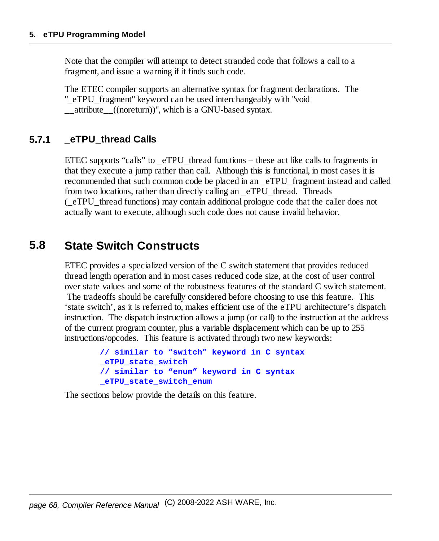Note that the compiler will attempt to detect stranded code that follows a call to a fragment, and issue a warning if it finds such code.

The ETEC compiler supports an alternative syntax for fragment declarations. The "\_eTPU\_fragment" keyword can be used interchangeably with "void \_\_attribute\_\_((noreturn))", which is a GNU-based syntax.

### **5.7.1 \_eTPU\_thread Calls**

ETEC supports "calls" to  $eTPU$  thread functions – these act like calls to fragments in that they execute a jump rather than call. Although this is functional, in most cases it is recommended that such common code be placed in an \_eTPU\_fragment instead and called from two locations, rather than directly calling an eTPU thread. Threads (\_eTPU\_thread functions) may contain additional prologue code that the caller does not actually want to execute, although such code does not cause invalid behavior.

# **5.8 State Switch Constructs**

ETEC provides a specialized version of the C switch statement that provides reduced thread length operation and in most cases reduced code size, at the cost of user control over state values and some of the robustness features of the standard C switch statement. The tradeoffs should be carefully considered before choosing to use this feature. This 'state switch', as it is referred to, makes efficient use of the eTPU architecture's dispatch instruction. The dispatch instruction allows a jump (or call) to the instruction at the address of the current program counter, plus a variable displacement which can be up to 255 instructions/opcodes. This feature is activated through two new keywords:

```
// similar to "switch" keyword in C syntax
_eTPU_state_switch
// similar to "enum" keyword in C syntax
_eTPU_state_switch_enum
```
The sections below provide the details on this feature.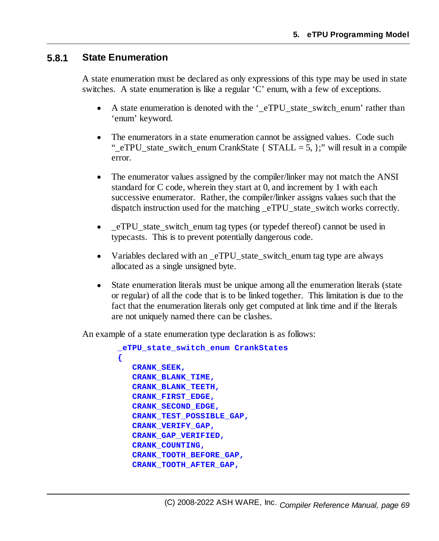#### **5.8.1 State Enumeration**

A state enumeration must be declared as only expressions of this type may be used in state switches. A state enumeration is like a regular 'C' enum, with a few of exceptions.

- ·A state enumeration is denoted with the ' eTPU state switch enum' rather than 'enum' keyword.
- · The enumerators in a state enumeration cannot be assigned values. Code such " eTPU state switch enum CrankState {  $STALL = 5$ , };" will result in a compile error.
- · The enumerator values assigned by the compiler/linker may not match the ANSI standard for C code, wherein they start at 0, and increment by 1 with each successive enumerator. Rather, the compiler/linker assigns values such that the dispatch instruction used for the matching eTPU state switch works correctly.
- · \_eTPU\_state\_switch\_enum tag types (or typedef thereof) cannot be used in typecasts. This is to prevent potentially dangerous code.
- ·Variables declared with an eTPU state switch enum tag type are always allocated as a single unsigned byte.
- · State enumeration literals must be unique among all the enumeration literals (state or regular) of all the code that is to be linked together. This limitation is due to the fact that the enumeration literals only get computed at link time and if the literals are not uniquely named there can be clashes.

An example of a state enumeration type declaration is as follows:

```
_eTPU_state_switch_enum CrankStates
{
   CRANK_SEEK,
   CRANK_BLANK_TIME,
   CRANK_BLANK_TEETH,
   CRANK_FIRST_EDGE,
   CRANK_SECOND_EDGE,
   CRANK_TEST_POSSIBLE_GAP,
   CRANK_VERIFY_GAP,
   CRANK_GAP_VERIFIED,
   CRANK_COUNTING,
   CRANK_TOOTH_BEFORE_GAP,
   CRANK_TOOTH_AFTER_GAP,
```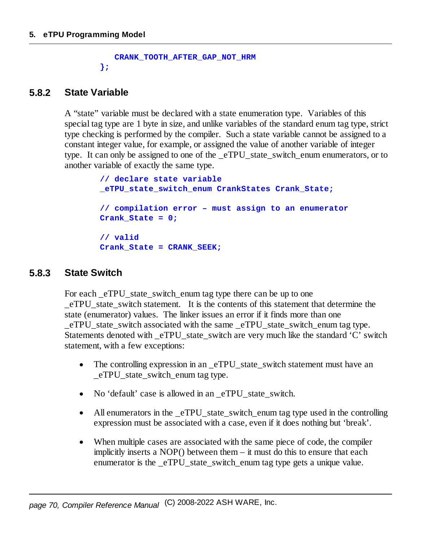```
CRANK_TOOTH_AFTER_GAP_NOT_HRM
};
```
### **5.8.2 State Variable**

A "state" variable must be declared with a state enumeration type. Variables of this special tag type are 1 byte in size, and unlike variables of the standard enum tag type, strict type checking is performed by the compiler. Such a state variable cannot be assigned to a constant integer value, for example, or assigned the value of another variable of integer type. It can only be assigned to one of the eTPU state switch enum enumerators, or to another variable of exactly the same type.

```
// declare state variable
_eTPU_state_switch_enum CrankStates Crank_State;
// compilation error – must assign to an enumerator
Crank_State = 0;
// valid
Crank_State = CRANK_SEEK;
```
#### **5.8.3 State Switch**

For each eTPU state switch enum tag type there can be up to one \_eTPU\_state\_switch statement. It is the contents of this statement that determine the state (enumerator) values. The linker issues an error if it finds more than one eTPU state switch associated with the same eTPU state switch enum tag type. Statements denoted with  $eTPU$  state switch are very much like the standard 'C' switch statement, with a few exceptions:

- ·The controlling expression in an eTPU state switch statement must have an eTPU state switch enum tag type.
- ·No 'default' case is allowed in an eTPU state switch.
- All enumerators in the \_eTPU\_state\_switch\_enum tag type used in the controlling expression must be associated with a case, even if it does nothing but 'break'.
- · When multiple cases are associated with the same piece of code, the compiler implicitly inserts a NOP() between them – it must do this to ensure that each enumerator is the eTPU state switch enum tag type gets a unique value.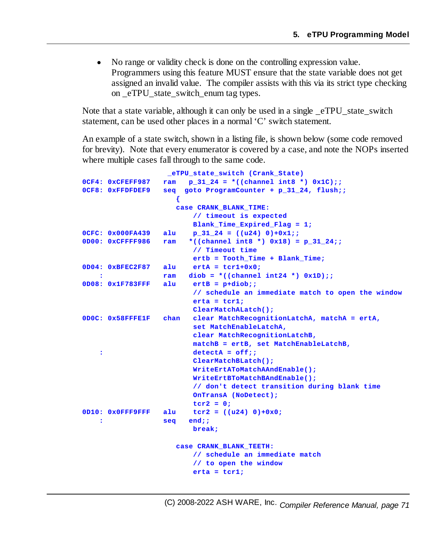· No range or validity check is done on the controlling expression value. Programmers using this feature MUST ensure that the state variable does not get assigned an invalid value. The compiler assists with this via its strict type checking on eTPU state switch enum tag types.

Note that a state variable, although it can only be used in a single eTPU state switch statement, can be used other places in a normal 'C' switch statement.

An example of a state switch, shown in a listing file, is shown below (some code removed for brevity). Note that every enumerator is covered by a case, and note the NOPs inserted where multiple cases fall through to the same code.

```
_eTPU_state_switch (Crank_State)
0CF4: 0xCFEFF987 ram p_31_24 = *((channel int8 *) 0x1C);;
0CF8: 0xFFDFDEF9 seq goto ProgramCounter + p_31_24, flush;;
                    {
                    case CRANK_BLANK_TIME:
                        // timeout is expected
                       Blank_Time_Expired_Flag = 1;
0CFC: 0x000FA439 alu p_31_24 = ((u24) 0)+0x1;;
0D00: 0xCFFFF986 ram *((channel int8 *) 0x18) = p_31_24;;
                       // Timeout time
                       ertb = Tooth_Time + Blank_Time;
0D04: 0xBFEC2F87 alu ertA = tcr1+0x0;
   : ram diob = *((channel int24 *) 0x1D);;
0D08: 0x1F783FFF alu ertB = p+diob;;
                        // schedule an immediate match to open the window
                       erta = tcr1;
                       ClearMatchALatch();
0D0C: 0x58FFFE1F chan clear MatchRecognitionLatchA, matchA = ertA,
                        set MatchEnableLatchA,
                        clear MatchRecognitionLatchB,
                        matchB = ertB, set MatchEnableLatchB,
   : detectA = off;;
                        ClearMatchBLatch();
                        WriteErtAToMatchAAndEnable();
                        WriteErtBToMatchBAndEnable();
                        // don't detect transition during blank time
                        OnTransA (NoDetect);
                        tcr2 = 0;
0D10: 0x0FFF9FFF alu tcr2 = ((u24) 0)+0x0;
   : seq end;;
                       break;
                    case CRANK_BLANK_TEETH:
                        // schedule an immediate match
                        // to open the window
                        erta = tcr1;
```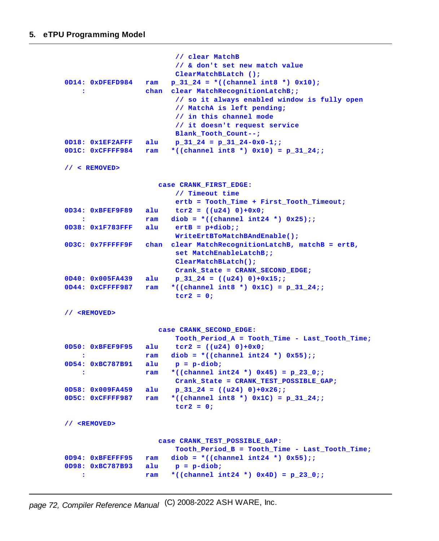```
// clear MatchB
                        // & don't set new match value
                       ClearMatchBLatch ();
0D14: 0xDFEFD984 ram p_31_24 = *((channel int8 *) 0x10);
   : chan clear MatchRecognitionLatchB;;
                       // so it always enabled window is fully open
                        // MatchA is left pending;
                        // in this channel mode
                        // it doesn't request service
                       Blank_Tooth_Count--;
0D18: 0x1EF2AFFF alu p_31_24 = p_31_24-0x0-1;;
0D1C: 0xCFFFF984 ram *((channel int8 *) 0x10) = p_31_24;;
// < REMOVED>
                    case CRANK_FIRST_EDGE:
                       // Timeout time
                       ertb = Tooth_Time + First_Tooth_Timeout;
0D34: 0xBFEF9F89 alu tcr2 = ((u24) 0)+0x0;
   : ram diob = *((channel int24 *) 0x25);;
0D38: 0x1F783FFF alu ertB = p+diob;;
                       WriteErtBToMatchBAndEnable();
0D3C: 0x7FFFFF9F chan clear MatchRecognitionLatchB, matchB = ertB,
                       set MatchEnableLatchB;;
                       ClearMatchBLatch();
                       Crank_State = CRANK_SECOND_EDGE;
0D40: 0x005FA439 alu p_31_24 = ((u24) 0)+0x15;;
0D44: 0xCFFFF987 ram *((channel int8 *) 0x1C) = p_31_24;;
                       tcr2 = 0;
// <REMOVED>
                    case CRANK_SECOND_EDGE:
                        Tooth_Period_A = Tooth_Time - Last_Tooth_Time;
0D50: 0xBFEF9F95 alu tcr2 = ((u24) 0)+0x0;
   : ram diob = *((channel int24 *) 0x55);;
0D54: 0xBC787B91 alu p = p-diob;
   : ram *((channel int24 *) 0x45) = p_23_0;;
                      Crank_State = CRANK_TEST_POSSIBLE_GAP;
0D58: 0x009FA459 alu p_31_24 = ((u24) 0)+0x26;;
0D5C: 0xCFFFF987 ram *((channel int8 *) 0x1C) = p_31_24;;
                       tcr2 = 0;
// <REMOVED>
                   case CRANK_TEST_POSSIBLE_GAP:
                       Tooth_Period_B = Tooth_Time - Last_Tooth_Time;
0D94: 0xBFEFFF95 ram diob = *((channel int24 *) 0x55);;
0D98: 0xBC787B93 alu p = p-diob;
   : ram *((channel int24 *) 0x4D) = p_23_0;;
```

```
page 72, Compiler Reference Manual
(C) 2008-2022 ASH WARE, Inc.
```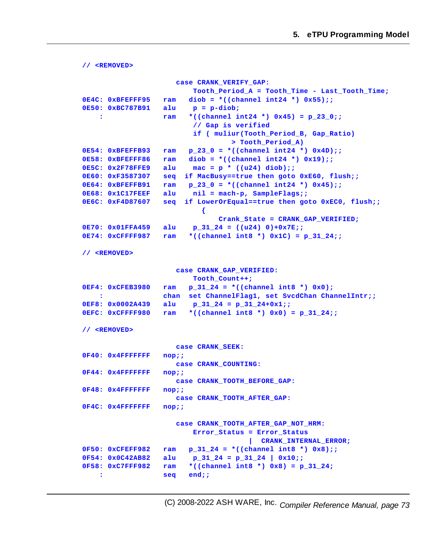```
// <REMOVED>
                    case CRANK_VERIFY_GAP:
                       Tooth_Period_A = Tooth_Time - Last_Tooth_Time;
0E4C: 0xBFEFFF95 ram diob = *((channel int24 *) 0x55);;
0E50: 0xBC787B91 alu p = p-diob;
   : ram *((channel int24 *) 0x45) = p_23_0;;
                        // Gap is verified
                        if ( muliur(Tooth_Period_B, Gap_Ratio)
                                > Tooth_Period_A)
0E54: 0xBFEFFB93 ram p_23_0 = *((channel int24 *) 0x4D);;
0E58: 0xBFEFFF86 ram diob = *((channel int24 *) 0x19);;
0E5C: 0x2F78FFE9 alu mac = p * ((u24) diob);;
0E60: 0xF3587307 seq if MacBusy==true then goto 0xE60, flush;;
0E64: 0xBFEFFB91 ram p_23_0 = *((channel int24 *) 0x45);;
0E68: 0x1C17FEEF alu nil = mach-p, SampleFlags;;
0E6C: 0xF4D87607 seq if LowerOrEqual==true then goto 0xEC0, flush;;
                          {
                              Crank_State = CRANK_GAP_VERIFIED;
0E70: 0x01FFA459 alu p_31_24 = ((u24) 0)+0x7E;;
0E74: 0xCFFFF987 ram *((channel int8 *) 0x1C) = p_31_24;;
// <REMOVED>
                    case CRANK_GAP_VERIFIED:
                       Tooth_Count++;
0EF4: 0xCFEB3980 ram p_31_24 = *((channel int8 *) 0x0);
   : chan set ChannelFlag1, set SvcdChan ChannelIntr;;
0EF8: 0x0002A439 alu p_31_24 = p_31_24+0x1;;
0EFC: 0xCFFFF980 ram *((channel int8 *) 0x0) = p_31_24;;
// <REMOVED>
                    case CRANK_SEEK:
0F40: 0x4FFFFFFF nop;;
                    case CRANK_COUNTING:
0F44: 0x4FFFFFFF nop;;
                    case CRANK_TOOTH_BEFORE_GAP:
0F48: 0x4FFFFFFF nop;;
                    case CRANK_TOOTH_AFTER_GAP:
0F4C: 0x4FFFFFFF nop;;
                    case CRANK_TOOTH_AFTER_GAP_NOT_HRM:
                        Error_Status = Error_Status
                                    | CRANK_INTERNAL_ERROR;
0F50: 0xCFEFF982 ram p_31_24 = *((channel int8 *) 0x8);;
0F54: 0x0C42AB82 alu p_31_24 = p_31_24 | 0x10;;
0F58: 0xC7FFF982 ram *((channel int8 *) 0x8) = p_31_24;
   : seq end;;
```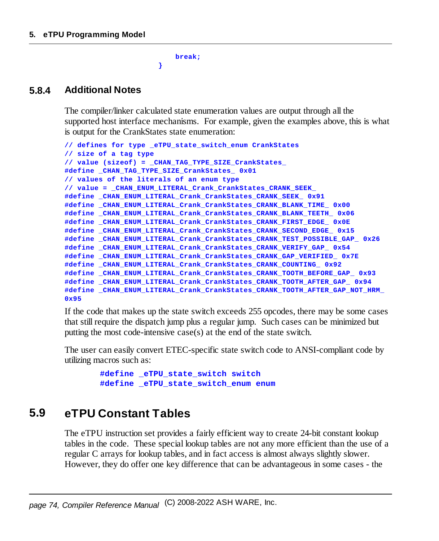**break;**

**}**

#### **5.8.4 Additional Notes**

The compiler/linker calculated state enumeration values are output through all the supported host interface mechanisms. For example, given the examples above, this is what is output for the CrankStates state enumeration:

```
// defines for type _eTPU_state_switch_enum CrankStates
// size of a tag type
// value (sizeof) = _CHAN_TAG_TYPE_SIZE_CrankStates_
#define _CHAN_TAG_TYPE_SIZE_CrankStates_ 0x01
// values of the literals of an enum type
// value = _CHAN_ENUM_LITERAL_Crank_CrankStates_CRANK_SEEK_
#define _CHAN_ENUM_LITERAL_Crank_CrankStates_CRANK_SEEK_ 0x91
#define _CHAN_ENUM_LITERAL_Crank_CrankStates_CRANK_BLANK_TIME_ 0x00
#define _CHAN_ENUM_LITERAL_Crank_CrankStates_CRANK_BLANK_TEETH_ 0x06
#define _CHAN_ENUM_LITERAL_Crank_CrankStates_CRANK_FIRST_EDGE_ 0x0E
#define _CHAN_ENUM_LITERAL_Crank_CrankStates_CRANK_SECOND_EDGE_ 0x15
#define _CHAN_ENUM_LITERAL_Crank_CrankStates_CRANK_TEST_POSSIBLE_GAP_ 0x26
#define _CHAN_ENUM_LITERAL_Crank_CrankStates_CRANK_VERIFY_GAP_ 0x54
#define _CHAN_ENUM_LITERAL_Crank_CrankStates_CRANK_GAP_VERIFIED_ 0x7E
#define _CHAN_ENUM_LITERAL_Crank_CrankStates_CRANK_COUNTING_ 0x92
#define _CHAN_ENUM_LITERAL_Crank_CrankStates_CRANK_TOOTH_BEFORE_GAP_ 0x93
#define _CHAN_ENUM_LITERAL_Crank_CrankStates_CRANK_TOOTH_AFTER_GAP_ 0x94
#define _CHAN_ENUM_LITERAL_Crank_CrankStates_CRANK_TOOTH_AFTER_GAP_NOT_HRM_
0x95
```
If the code that makes up the state switch exceeds 255 opcodes, there may be some cases that still require the dispatch jump plus a regular jump. Such cases can be minimized but putting the most code-intensive case(s) at the end of the state switch.

The user can easily convert ETEC-specific state switch code to ANSI-compliant code by utilizing macros such as:

```
#define _eTPU_state_switch switch
#define _eTPU_state_switch_enum enum
```
# **5.9 eTPU Constant Tables**

The eTPU instruction set provides a fairly efficient way to create 24-bit constant lookup tables in the code. These special lookup tables are not any more efficient than the use of a regular C arrays for lookup tables, and in fact access is almost always slightly slower. However, they do offer one key difference that can be advantageous in some cases - the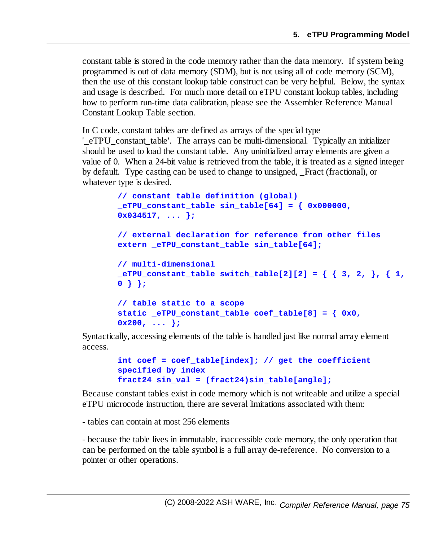constant table is stored in the code memory rather than the data memory. If system being programmed is out of data memory (SDM), but is not using all of code memory (SCM), then the use of this constant lookup table construct can be very helpful. Below, the syntax and usage is described. For much more detail on eTPU constant lookup tables, including how to perform run-time data calibration, please see the Assembler Reference Manual Constant Lookup Table section.

In C code, constant tables are defined as arrays of the special type

'\_eTPU\_constant\_table'. The arrays can be multi-dimensional. Typically an initializer should be used to load the constant table. Any uninitialized array elements are given a value of 0. When a 24-bit value is retrieved from the table, it is treated as a signed integer by default. Type casting can be used to change to unsigned, \_Fract (fractional), or whatever type is desired.

```
// constant table definition (global)
_eTPU_constant_table sin_table[64] = { 0x000000,
0x034517, ... };
// external declaration for reference from other files
extern _eTPU_constant_table sin_table[64];
// multi-dimensional
_eTPU_constant_table switch_table[2][2] = { { 3, 2, }, { 1,
0 } };
// table static to a scope
static _eTPU_constant_table coef_table[8] = { 0x0,
0x200, ... };
```
Syntactically, accessing elements of the table is handled just like normal array element access.

```
int coef = coef_table[index]; // get the coefficient
specified by index
fract24 sin_val = (fract24)sin_table[angle];
```
Because constant tables exist in code memory which is not writeable and utilize a special eTPU microcode instruction, there are several limitations associated with them:

- tables can contain at most 256 elements

- because the table lives in immutable, inaccessible code memory, the only operation that can be performed on the table symbol is a full array de-reference. No conversion to a pointer or other operations.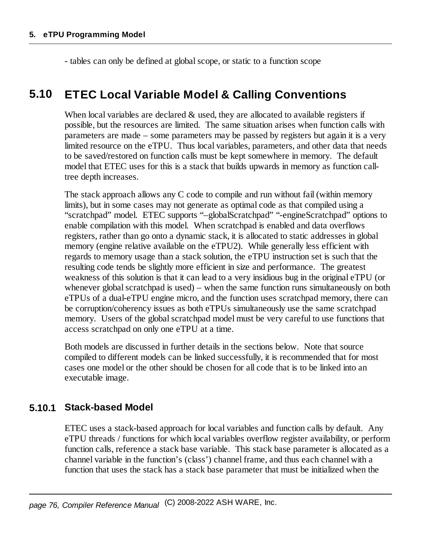- tables can only be defined at globalscope, or static to a function scope

## **5.10 ETEC Local Variable Model & Calling Conventions**

When local variables are declared  $\&$  used, they are allocated to available registers if possible, but the resources are limited. The same situation arises when function calls with parameters are made – some parameters may be passed by registers but again it is a very limited resource on the eTPU. Thus local variables, parameters, and other data that needs to be saved/restored on function calls must be kept somewhere in memory. The default model that ETEC uses for this is a stack that builds upwards in memory as function calltree depth increases.

The stack approach allows any C code to compile and run without fail (within memory limits), but in some cases may not generate as optimal code as that compiled using a "scratchpad" model. ETEC supports "–globalScratchpad" "-engineScratchpad" options to enable compilation with this model. When scratchpad is enabled and data overflows registers, rather than go onto a dynamic stack, it is allocated to static addresses in global memory (engine relative available on the eTPU2). While generally less efficient with regards to memory usage than a stack solution, the eTPU instruction set is such that the resulting code tends be slightly more efficient in size and performance. The greatest weakness of this solution is that it can lead to a very insidious bug in the original eTPU (or whenever global scratchpad is used) – when the same function runs simultaneously on both eTPUs of a dual-eTPU engine micro, and the function uses scratchpad memory, there can be corruption/coherency issues as both eTPUs simultaneously use the same scratchpad memory. Users of the global scratchpad model must be very careful to use functions that access scratchpad on only one eTPU at a time.

Both models are discussed in further details in the sections below. Note that source compiled to different models can be linked successfully, it is recommended that for most cases one model or the other should be chosen for all code that is to be linked into an executable image.

#### **5.10.1 Stack-based Model**

ETEC uses a stack-based approach for local variables and function calls by default. Any eTPU threads / functions for which local variables overflow register availability, or perform function calls, reference a stack base variable. This stack base parameter is allocated as a channel variable in the function's (class') channel frame, and thus each channel with a function that uses the stack has a stack base parameter that must be initialized when the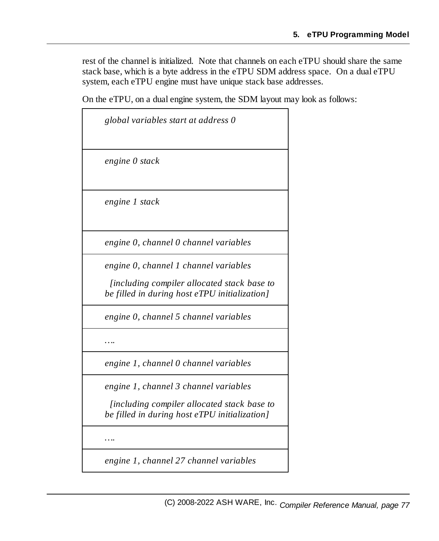rest of the channel is initialized. Note that channels on each eTPU should share the same stack base, which is a byte address in the eTPU SDM address space. On a dual eTPU system, each eTPU engine must have unique stack base addresses.

On the eTPU, on a dual engine system, the SDM layout may look as follows:

| global variables start at address 0                                                                                                   |
|---------------------------------------------------------------------------------------------------------------------------------------|
| engine 0 stack                                                                                                                        |
| engine 1 stack                                                                                                                        |
| engine 0, channel 0 channel variables                                                                                                 |
| engine 0, channel 1 channel variables<br>[including compiler allocated stack base to<br>be filled in during host eTPU initialization] |
| engine 0, channel 5 channel variables                                                                                                 |
|                                                                                                                                       |
| engine 1, channel 0 channel variables                                                                                                 |
| engine 1, channel 3 channel variables                                                                                                 |
| <i>lincluding compiler allocated stack base to</i><br>be filled in during host eTPU initialization]                                   |
|                                                                                                                                       |

*engine 1, channel 27 channel variables*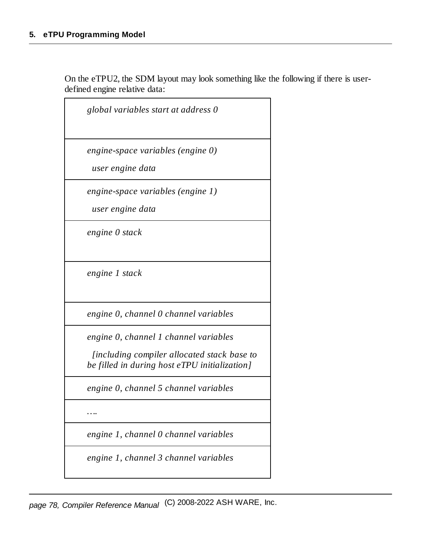On the eTPU2, the SDM layout may look something like the following if there is userdefined engine relative data:

| global variables start at address 0                                                          |
|----------------------------------------------------------------------------------------------|
| engine-space variables (engine 0)                                                            |
| user engine data                                                                             |
| engine-space variables (engine 1)                                                            |
| user engine data                                                                             |
| engine 0 stack                                                                               |
| engine 1 stack                                                                               |
| engine 0, channel 0 channel variables                                                        |
| engine 0, channel 1 channel variables                                                        |
| [including compiler allocated stack base to<br>be filled in during host eTPU initialization] |
| engine 0, channel 5 channel variables                                                        |
| .                                                                                            |
| engine 1, channel 0 channel variables                                                        |
| engine 1, channel 3 channel variables                                                        |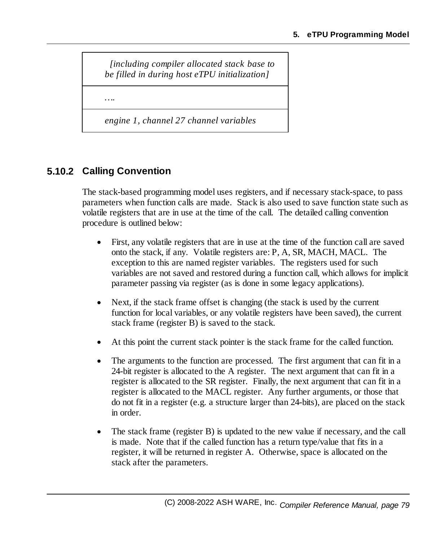*[including compiler allocated stack base to be filled in during host eTPU initialization]*

*….*

*engine 1, channel 27 channel variables*

## **5.10.2 Calling Convention**

The stack-based programming model uses registers, and if necessary stack-space, to pass parameters when function calls are made. Stack is also used to save function state such as volatile registers that are in use at the time of the call. The detailed calling convention procedure is outlined below:

- · First, any volatile registers that are in use at the time of the function call are saved onto the stack, if any. Volatile registers are: P, A, SR, MACH, MACL. The exception to this are named register variables. The registers used for such variables are not saved and restored during a function call, which allows for implicit parameter passing via register (as is done in some legacy applications).
- · Next, if the stack frame offset is changing (the stack is used by the current function for local variables, or any volatile registers have been saved), the current stack frame (register B) is saved to the stack.
- ·At this point the current stack pointer is the stack frame for the called function.
- · The arguments to the function are processed. The first argument that can fit in a 24-bit register is allocated to the A register. The next argument that can fit in a register is allocated to the SR register. Finally, the next argument that can fit in a register is allocated to the MACL register. Any further arguments, or those that do not fit in a register (e.g. a structure larger than 24-bits), are placed on the stack in order.
- · The stack frame (register B) is updated to the new value if necessary, and the call is made. Note that if the called function has a return type/value that fits in a register, it will be returned in register A. Otherwise, space is allocated on the stack after the parameters.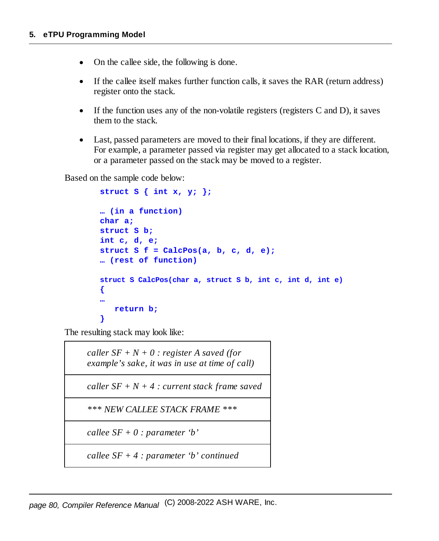- ·On the callee side, the following is done.
- · If the callee itself makes further function calls, it saves the RAR (return address) register onto the stack.
- · If the function uses any of the non-volatile registers (registers C and D), it saves them to the stack.
- · Last, passed parameters are moved to their final locations, if they are different. For example, a parameter passed via register may get allocated to a stack location, or a parameter passed on the stack may be moved to a register.

Based on the sample code below:

```
struct S { int x, y; };
… (in a function)
char a;
struct S b;
int c, d, e;
struct S f = CalcPos(a, b, c, d, e);
… (rest of function)
struct S CalcPos(char a, struct S b, int c, int d, int e)
{
…
   return b;
}
```
The resulting stack may look like:

*caller*  $SF + N + 0$  *: register A saved (for example's sake, it was in use at time of call)*

 $\textit{caller}\ \textit{SF} + N + 4$  *: current stack frame saved* 

*\*\*\* NEW CALLEE STACK FRAME \*\*\**

*callee SF + 0 : parameter 'b'*

*callee SF + 4 : parameter 'b' continued*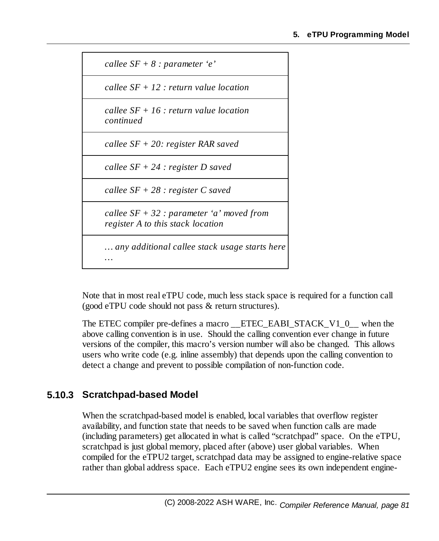

Note that in most real eTPU code, much less stack space is required for a function call (good eTPU code should not pass & return structures).

The ETEC compiler pre-defines a macro — ETEC EABI STACK V1\_0 — when the above calling convention is in use. Should the calling convention ever change in future versions of the compiler, this macro's version number will also be changed. This allows users who write code (e.g. inline assembly) that depends upon the calling convention to detect a change and prevent to possible compilation of non-function code.

## **5.10.3 Scratchpad-based Model**

When the scratchpad-based model is enabled, local variables that overflow register availability, and function state that needs to be saved when function calls are made (including parameters) get allocated in what is called "scratchpad" space. On the eTPU, scratchpad is just global memory, placed after (above) user global variables. When compiled for the eTPU2 target, scratchpad data may be assigned to engine-relative space rather than global address space. Each eTPU2 engine sees its own independent engine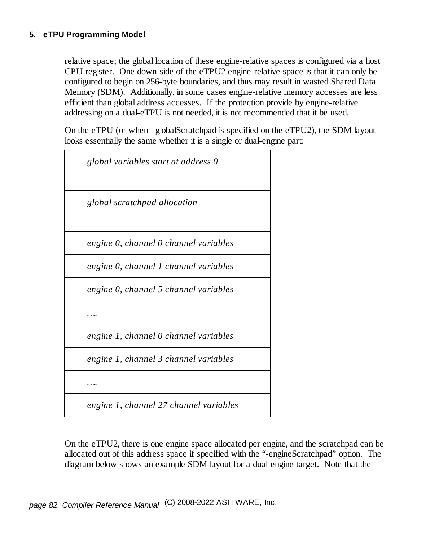relative space; the global location of these engine-relative spaces is configured via a host CPU register. One down-side of the eTPU2 engine-relative space is that it can only be configured to begin on 256-byte boundaries, and thus may result in wasted Shared Data Memory (SDM). Additionally, in some cases engine-relative memory accesses are less efficient than global address accesses. If the protection provide by engine-relative addressing on a dual-eTPU is not needed, it is not recommended that it be used.

On the eTPU (or when –globalScratchpad is specified on the eTPU2), the SDM layout looks essentially the same whether it is a single or dual-engine part:

| global variables start at address 0   |
|---------------------------------------|
| global scratchpad allocation          |
| engine 0, channel 0 channel variables |
| engine 0, channel 1 channel variables |
| engine 0, channel 5 channel variables |
|                                       |
| engine 1, channel 0 channel variables |
| engine 1, channel 3 channel variables |
|                                       |
|                                       |

*engine 1, channel 27 channel variables*

On the eTPU2, there is one engine space allocated per engine, and the scratchpad can be allocated out of this address space if specified with the "-engineScratchpad" option. The diagram below shows an example SDM layout for a dual-engine target. Note that the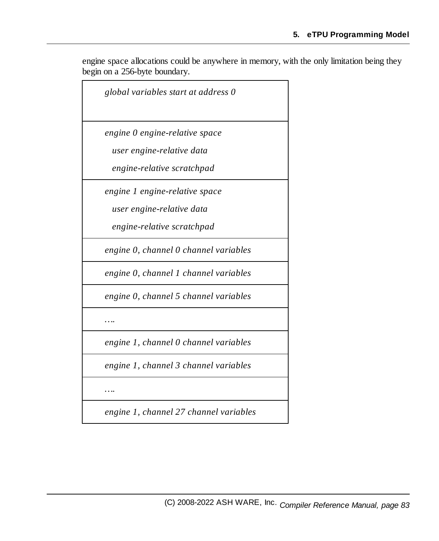engine space allocations could be anywhere in memory, with the only limitation being they begin on a 256-byte boundary.

| global variables start at address 0    |
|----------------------------------------|
| engine 0 engine-relative space         |
| user engine-relative data              |
| engine-relative scratchpad             |
| engine 1 engine-relative space         |
| user engine-relative data              |
| engine-relative scratchpad             |
| engine 0, channel 0 channel variables  |
| engine 0, channel 1 channel variables  |
| engine 0, channel 5 channel variables  |
|                                        |
| engine 1, channel 0 channel variables  |
| engine 1, channel 3 channel variables  |
|                                        |
| engine 1, channel 27 channel variables |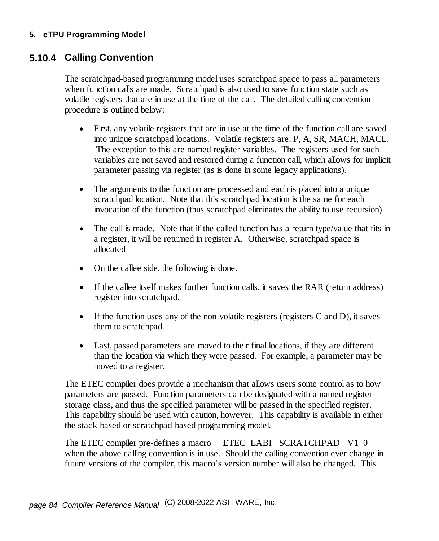#### **5.10.4 Calling Convention**

The scratchpad-based programming model uses scratchpad space to pass all parameters when function calls are made. Scratchpad is also used to save function state such as volatile registers that are in use at the time of the call. The detailed calling convention procedure is outlined below:

- · First, any volatile registers that are in use at the time of the function call are saved into unique scratchpad locations. Volatile registers are: P, A, SR, MACH, MACL. The exception to this are named register variables. The registers used for such variables are not saved and restored during a function call, which allows for implicit parameter passing via register (as is done in some legacy applications).
- · The arguments to the function are processed and each is placed into a unique scratchpad location. Note that this scratchpad location is the same for each invocation of the function (thus scratchpad eliminates the ability to use recursion).
- $\bullet$  The call is made. Note that if the called function has a return type/value that fits in a register, it will be returned in register A. Otherwise, scratchpad space is allocated
- ·On the callee side, the following is done.
- · If the callee itself makes further function calls, it saves the RAR (return address) register into scratchpad.
- · If the function uses any of the non-volatile registers (registers C and D), it saves them to scratchpad.
- · Last, passed parameters are moved to their final locations, if they are different than the location via which they were passed. For example, a parameter may be moved to a register.

The ETEC compiler does provide a mechanism that allows users some control as to how parameters are passed. Function parameters can be designated with a named register storage class, and thus the specified parameter will be passed in the specified register. This capability should be used with caution, however. This capability is available in either the stack-based or scratchpad-based programming model.

The ETEC compiler pre-defines a macro \_\_ETEC\_EABI\_ SCRATCHPAD \_V1\_0\_\_ when the above calling convention is in use. Should the calling convention ever change in future versions of the compiler, this macro's version number will also be changed. This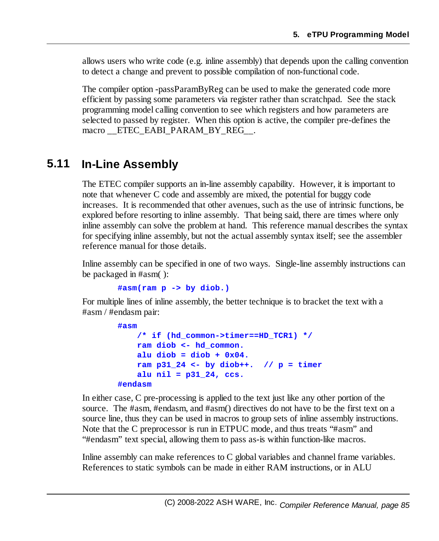allows users who write code (e.g. inline assembly) that depends upon the calling convention to detect a change and prevent to possible compilation of non-functional code.

The compiler option -passParamByReg can be used to make the generated code more efficient by passing some parameters via register rather than scratchpad. See the stack programming model calling convention to see which registers and how parameters are selected to passed by register. When this option is active, the compiler pre-defines the macro ETEC EABI PARAM BY REG.

## **5.11 In-Line Assembly**

The ETEC compiler supports an in-line assembly capability. However, it is important to note that whenever C code and assembly are mixed, the potential for buggy code increases. It is recommended that other avenues, such as the use of intrinsic functions, be explored before resorting to inline assembly. That being said, there are times where only inline assembly can solve the problem at hand. This reference manual describes the syntax for specifying inline assembly, but not the actual assembly syntax itself; see the assembler reference manual for those details.

Inline assembly can be specified in one of two ways. Single-line assembly instructions can be packaged in #asm( ):

**#asm(ram p -> by diob.)**

For multiple lines of inline assembly, the better technique is to bracket the text with a #asm / #endasm pair:

```
#asm
    /* if (hd_common->timer==HD_TCR1) */
   ram diob <- hd_common.
    alu diob = diob + 0x04.
    ram p31_24 <- by diob++. // p = timer
    alu nil = p31_24, ccs.
#endasm
```
In either case, C pre-processing is applied to the text just like any other portion of the source. The #asm, #endasm, and #asm() directives do not have to be the first text on a source line, thus they can be used in macros to group sets of inline assembly instructions. Note that the C preprocessor is run in ETPUC mode, and thus treats "#asm" and "#endasm" text special, allowing them to pass as-is within function-like macros.

Inline assembly can make references to C global variables and channel frame variables. References to static symbols can be made in either RAM instructions, or in ALU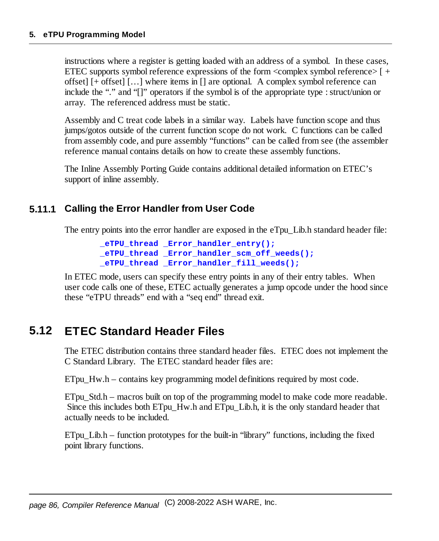instructions where a register is getting loaded with an address of a symbol. In these cases, ETEC supports symbol reference expressions of the form  $\alpha$  symbol reference  $\rightarrow$  [ + offset] [+ offset] […] where items in [] are optional. A complex symbol reference can include the "." and " $[]$ " operators if the symbol is of the appropriate type : struct/union or array. The referenced address must be static.

Assembly and C treat code labels in a similar way. Labels have function scope and thus jumps/gotos outside of the current function scope do not work. C functions can be called from assembly code, and pure assembly "functions" can be called from see (the assembler reference manual contains details on how to create these assembly functions.

The Inline Assembly Porting Guide contains additional detailed information on ETEC's support of inline assembly.

### **5.11.1 Calling the Error Handler from User Code**

The entry points into the error handler are exposed in the eTpu\_Lib.h standard header file:

```
_eTPU_thread _Error_handler_entry();
_eTPU_thread _Error_handler_scm_off_weeds();
_eTPU_thread _Error_handler_fill_weeds();
```
In ETEC mode, users can specify these entry points in any of their entry tables. When user code calls one of these, ETEC actually generates a jump opcode under the hood since these "eTPU threads" end with a "seq end" thread exit.

## **5.12 ETEC Standard Header Files**

The ETEC distribution contains three standard header files. ETEC does not implement the C Standard Library. The ETEC standard header files are:

ETpu\_Hw.h – contains key programming model definitions required by most code.

ETpu Std.h – macros built on top of the programming model to make code more readable. Since this includes both ETpu\_Hw.h and ETpu\_Lib.h, it is the only standard header that actually needs to be included.

ETpu Lib.h – function prototypes for the built-in "library" functions, including the fixed point library functions.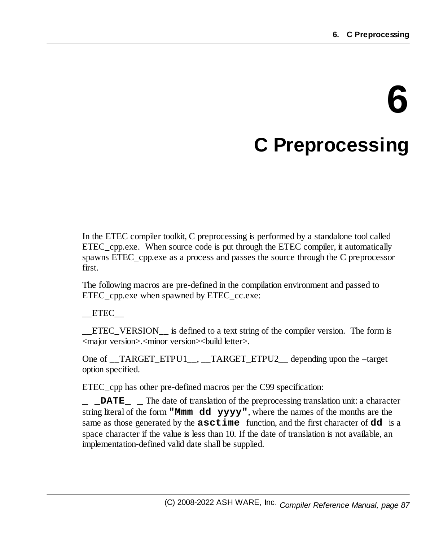# **6 C Preprocessing**

In the ETEC compiler toolkit, C preprocessing is performed by a standalone tool called ETEC\_cpp.exe. When source code is put through the ETEC compiler, it automatically spawns ETEC\_cpp.exe as a process and passes the source through the C preprocessor first.

The following macros are pre-defined in the compilation environment and passed to ETEC\_cpp.exe when spawned by ETEC\_cc.exe:

 $\_$ ETEC $\_$ 

ETEC VERSION is defined to a text string of the compiler version. The form is <major version>.<minor version><build letter>.

One of \_\_TARGET\_ETPU1\_\_, \_\_TARGET\_ETPU2\_\_ depending upon the –target option specified.

ETEC\_cpp has other pre-defined macros per the C99 specification:

**\_ \_DATE\_ \_** The date of translation of the preprocessing translation unit: a character string literal of the form **"Mmm dd yyyy"**, where the names of the months are the same as those generated by the **asctime** function, and the first character of **dd** is a space character if the value is less than 10. If the date of translation is not available, an implementation-defined valid date shall be supplied.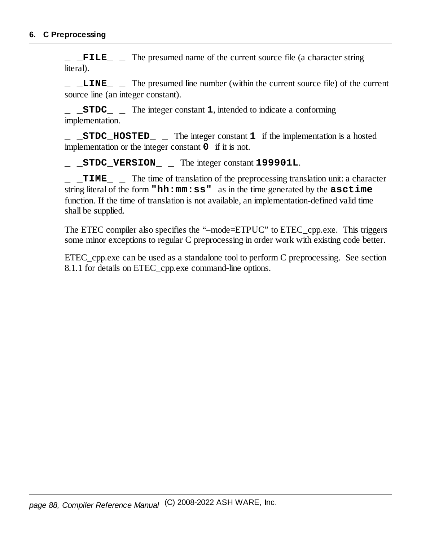**\_ \_FILE\_ \_** The presumed name of the current source file (a character string literal).

**\_ \_LINE\_ \_** The presumed line number (within the current source file) of the current source line (an integer constant).

**\_ \_STDC\_ \_** The integer constant **1**, intended to indicate a conforming implementation.

**\_ \_STDC\_HOSTED\_ \_** The integer constant **1** if the implementation is a hosted implementation or the integer constant **0** if it is not.

**\_ \_STDC\_VERSION\_ \_** The integer constant **199901L**.

**\_ \_TIME\_ \_** The time of translation of the preprocessing translation unit: a character string literal of the form **"hh:mm:ss"** as in the time generated by the **asctime** function. If the time of translation is not available, an implementation-defined valid time shall be supplied.

The ETEC compiler also specifies the "–mode=ETPUC" to ETEC\_cpp.exe. This triggers some minor exceptions to regular C preprocessing in order work with existing code better.

ETEC\_cpp.exe can be used as a standalone tool to perform C preprocessing. See section 8.1.1 for details on ETEC\_cpp.exe command-line options.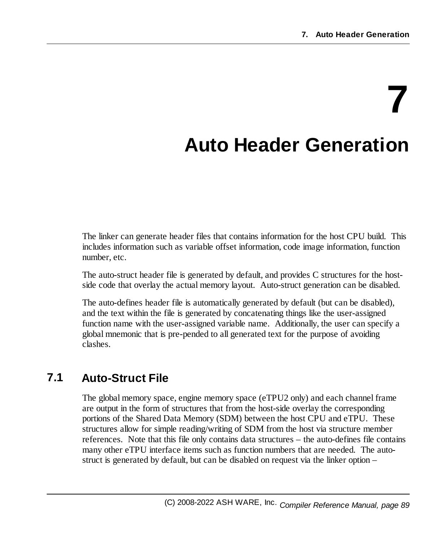# **7 Auto Header Generation**

The linker can generate header files that contains information for the host CPU build. This includes information such as variable offset information, code image information, function number, etc.

The auto-struct header file is generated by default, and provides C structures for the hostside code that overlay the actual memory layout. Auto-struct generation can be disabled.

The auto-defines header file is automatically generated by default (but can be disabled), and the text within the file is generated by concatenating things like the user-assigned function name with the user-assigned variable name. Additionally, the user can specify a global mnemonic that is pre-pended to all generated text for the purpose of avoiding clashes.

# **7.1 Auto-Struct File**

The global memory space, engine memory space (eTPU2 only) and each channel frame are output in the form of structures that from the host-side overlay the corresponding portions of the Shared Data Memory (SDM) between the host CPU and eTPU. These structures allow for simple reading/writing of SDM from the host via structure member references. Note that this file only contains data structures – the auto-defines file contains many other eTPU interface items such as function numbers that are needed. The autostruct is generated by default, but can be disabled on request via the linker option –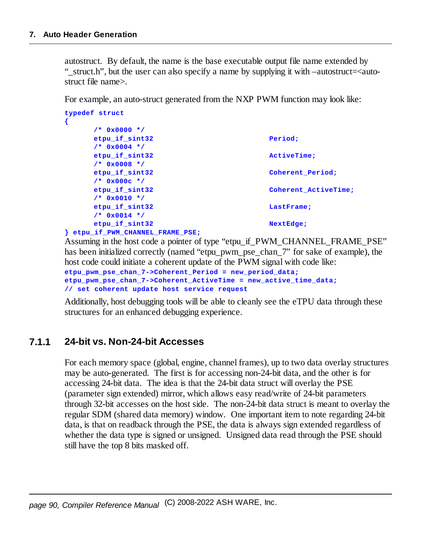autostruct. By default, the name is the base executable output file name extended by "\_struct.h", but the user can also specify a name by supplying it with –autostruct=<autostruct file name>.

For example, an auto-struct generated from the NXP PWM function may look like:

| typedef struct                 |                      |
|--------------------------------|----------------------|
| ₹                              |                      |
| $7* 0x0000 *$                  |                      |
| etpu if sint32                 | Period;              |
| $/*$ 0x0004 */                 |                      |
| etpu if sint32                 | ActiveTime:          |
| $/*$ 0x0008 */                 |                      |
| etpu if sint32                 | Coherent Period;     |
| $/*$ 0x000c */                 |                      |
| etpu if sint32                 | Coherent ActiveTime; |
| $/*$ 0x0010 */                 |                      |
| etpu if sint32                 | LastFrame:           |
| $/*$ 0x0014 */                 |                      |
| etpu if sint32                 | NextEdge;            |
| etpu if PWM CHANNEL FRAME PSE; |                      |

Assuming in the host code a pointer of type "etpu\_if\_PWM\_CHANNEL\_FRAME\_PSE" has been initialized correctly (named "etpu pwm\_pse\_chan\_7" for sake of example), the host code could initiate a coherent update of the PWM signal with code like:

```
etpu_pwm_pse_chan_7->Coherent_Period = new_period_data;
etpu_pwm_pse_chan_7->Coherent_ActiveTime = new_active_time_data;
// set coherent update host service request
```
Additionally, host debugging tools will be able to cleanly see the eTPU data through these structures for an enhanced debugging experience.

#### **7.1.1 24-bit vs. Non-24-bit Accesses**

For each memory space (global, engine, channel frames), up to two data overlay structures may be auto-generated. The first is for accessing non-24-bit data, and the other is for accessing 24-bit data. The idea is that the 24-bit data struct will overlay the PSE (parameter sign extended) mirror, which allows easy read/write of 24-bit parameters through 32-bit accesses on the host side. The non-24-bit data struct is meant to overlay the regular SDM (shared data memory) window. One important item to note regarding 24-bit data, is that on readback through the PSE, the data is always sign extended regardless of whether the data type is signed or unsigned. Unsigned data read through the PSE should still have the top 8 bits masked off.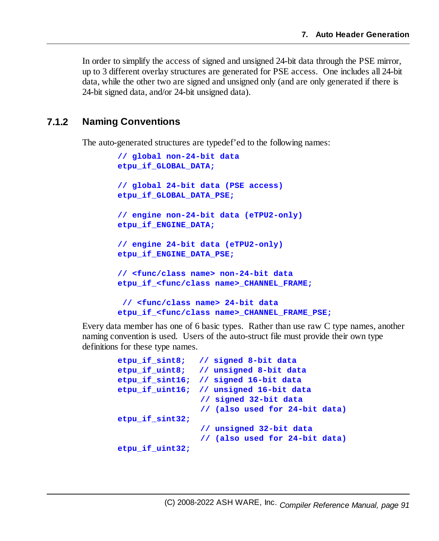In order to simplify the access of signed and unsigned 24-bit data through the PSE mirror, up to 3 different overlay structures are generated for PSE access. One includes all 24-bit data, while the other two are signed and unsigned only (and are only generated if there is 24-bit signed data, and/or 24-bit unsigned data).

#### **7.1.2 Naming Conventions**

The auto-generated structures are typedef'ed to the following names:

```
// global non-24-bit data
etpu_if_GLOBAL_DATA;
// global 24-bit data (PSE access)
etpu_if_GLOBAL_DATA_PSE;
// engine non-24-bit data (eTPU2-only)
etpu_if_ENGINE_DATA;
// engine 24-bit data (eTPU2-only)
etpu_if_ENGINE_DATA_PSE;
// <func/class name> non-24-bit data
etpu_if_<func/class name>_CHANNEL_FRAME;
 // <func/class name> 24-bit data
etpu_if_<func/class name>_CHANNEL_FRAME_PSE;
```
Every data member has one of 6 basic types. Rather than use raw C type names, another naming convention is used. Users of the auto-struct file must provide their own type definitions for these type names.

```
etpu_if_sint8; // signed 8-bit data
etpu_if_uint8; // unsigned 8-bit data
etpu_if_sint16; // signed 16-bit data
etpu_if_uint16; // unsigned 16-bit data
                // signed 32-bit data
                // (also used for 24-bit data)
etpu_if_sint32;
                 // unsigned 32-bit data
                // (also used for 24-bit data)
etpu_if_uint32;
```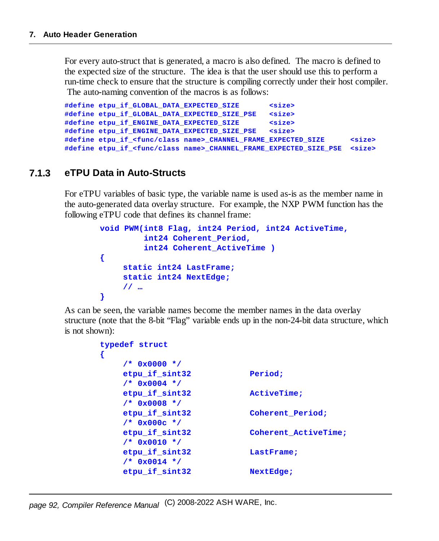For every auto-struct that is generated, a macro is also defined. The macro is defined to the expected size of the structure. The idea is that the user should use this to perform a run-time check to ensure that the structure is compiling correctly under their host compiler. The auto-naming convention of the macros is as follows:

```
#define etpu_if_GLOBAL_DATA_EXPECTED_SIZE <size>
#define etpu_if_GLOBAL_DATA_EXPECTED_SIZE_PSE <size>
#define etpu_if_ENGINE_DATA_EXPECTED_SIZE <size>
#define etpu_if_ENGINE_DATA_EXPECTED_SIZE_PSE <size>
#define etpu_if_<func/class name>_CHANNEL_FRAME_EXPECTED_SIZE <size>
#define etpu_if_<func/class name>_CHANNEL_FRAME_EXPECTED_SIZE_PSE <size>
```
#### **7.1.3 eTPU Data in Auto-Structs**

For eTPU variables of basic type, the variable name is used as-is as the member name in the auto-generated data overlay structure. For example, the NXP PWM function has the following eTPU code that defines its channel frame:

```
void PWM(int8 Flag, int24 Period, int24 ActiveTime,
         int24 Coherent_Period,
         int24 Coherent_ActiveTime )
{
     static int24 LastFrame;
    static int24 NextEdge;
     // …
}
```
As can be seen, the variable names become the member names in the data overlay structure (note that the 8-bit "Flag" variable ends up in the non-24-bit data structure, which is not shown):

```
typedef struct
{
    /* 0x0000 */
   etpu_if_sint32 Period;
    /* 0x0004 */
   etpu_if_sint32 ActiveTime;
    /* 0x0008 */
   etpu_if_sint32 Coherent_Period;
    /* 0x000c */
   etpu_if_sint32 Coherent_ActiveTime;
    /* 0x0010 */
    etpu_if_sint32 LastFrame;
    /* 0x0014 */
    etpu_if_sint32 NextEdge;
```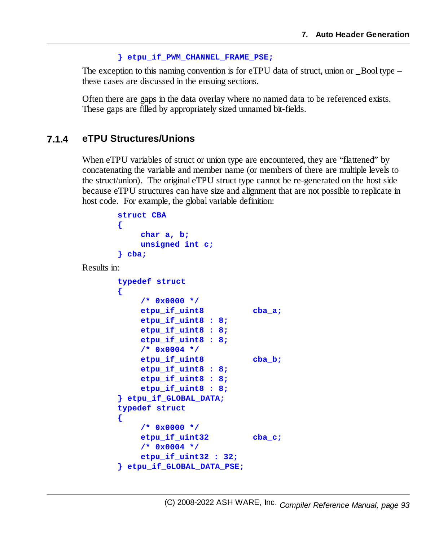#### **} etpu\_if\_PWM\_CHANNEL\_FRAME\_PSE;**

The exception to this naming convention is for eTPU data of struct, union or  $\sim$  Bool type – these cases are discussed in the ensuing sections.

Often there are gaps in the data overlay where no named data to be referenced exists. These gaps are filled by appropriately sized unnamed bit-fields.

#### **7.1.4 eTPU Structures/Unions**

When eTPU variables of struct or union type are encountered, they are "flattened" by concatenating the variable and member name (or members of there are multiple levels to the struct/union). The original eTPU struct type cannot be re-generated on the host side because eTPU structures can have size and alignment that are not possible to replicate in host code. For example, the global variable definition:

```
struct CBA
       {
           char a, b;
           unsigned int c;
       } cba;
Results in:
       typedef struct
       {
           /* 0x0000 */
           etpu_if_uint8 cba_a;
           etpu_if_uint8 : 8;
           etpu_if_uint8 : 8;
           etpu_if_uint8 : 8;
           /* 0x0004 */
           etpu_if_uint8 cba_b;
           etpu_if_uint8 : 8;
           etpu_if_uint8 : 8;
           etpu_if_uint8 : 8;
       } etpu_if_GLOBAL_DATA;
       typedef struct
       {
           /* 0x0000 */
           etpu_if_uint32 cba_c;
           /* 0x0004 */
           etpu_if_uint32 : 32;
       } etpu_if_GLOBAL_DATA_PSE;
```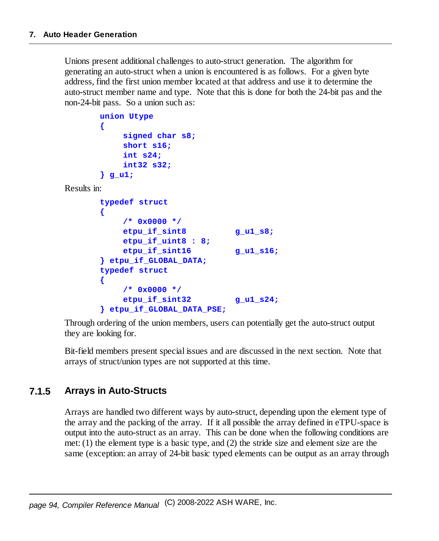Unions present additional challenges to auto-struct generation. The algorithm for generating an auto-struct when a union is encountered is as follows. For a given byte address, find the first union member located at that address and use it to determine the auto-struct member name and type. Note that this is done for both the 24-bit pas and the non-24-bit pass. So a union such as:

```
union Utype
{
     signed char s8;
     short s16;
     int s24;
     int32 s32;
} g_u1;
```
Results in:

```
typedef struct
{
    /* 0x0000 */
    etpu_if_sint8 g_u1_s8;
    etpu_if_uint8 : 8;
    etpu_if_sint16 g_u1_s16;
} etpu_if_GLOBAL_DATA;
typedef struct
{
    /* 0x0000 */
    etpu_if_sint32 g_u1_s24;
} etpu_if_GLOBAL_DATA_PSE;
```
Through ordering of the union members, users can potentially get the auto-struct output they are looking for.

Bit-field members present special issues and are discussed in the next section. Note that arrays of struct/union types are not supported at this time.

#### **7.1.5 Arrays in Auto-Structs**

Arrays are handled two different ways by auto-struct, depending upon the element type of the array and the packing of the array. If it all possible the array defined in eTPU-space is output into the auto-struct as an array. This can be done when the following conditions are met: (1) the element type is a basic type, and (2) the stride size and element size are the same (exception: an array of 24-bit basic typed elements can be output as an array through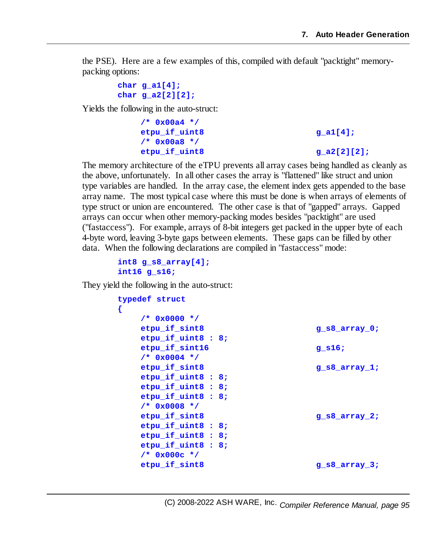the PSE). Here are a few examples of this, compiled with default "packtight" memorypacking options:

```
char g_a1[4];
char g_a2[2][2];
```
Yields the following in the auto-struct:

```
/* 0x00a4 */
etpu_if_uint8 g_a1[4];
/* 0x00a8 */
etpu_if_uint8 g_a2[2][2];
```
The memory architecture of the eTPU prevents all array cases being handled as cleanly as the above, unfortunately. In all other cases the array is "flattened" like struct and union type variables are handled. In the array case, the element index gets appended to the base array name. The most typical case where this must be done is when arrays of elements of type struct or union are encountered. The other case is that of "gapped" arrays. Gapped arrays can occur when other memory-packing modes besides "packtight" are used ("fastaccess"). For example, arrays of 8-bit integers get packed in the upper byte of each 4-byte word, leaving 3-byte gaps between elements. These gaps can be filled by other data. When the following declarations are compiled in "fastaccess" mode:

```
int8 g_s8_array[4];
int16 g_s16;
```
They yield the following in the auto-struct:

```
typedef struct
{
   /* 0x0000 */
   etpu_if_sint8 g_s8_array_0;
   etpu_if_uint8 : 8;
   etpu_if_sint16 g_s16;
   /* 0x0004 */
   etpu_if_sint8 g_s8_array_1;
   etpu_if_uint8 : 8;
   etpu_if_uint8 : 8;
   etpu_if_uint8 : 8;
   /* 0x0008 */
   etpu if sint8 g s8 array 2;
   etpu_if_uint8 : 8;
   etpu_if_uint8 : 8;
   etpu_if_uint8 : 8;
   /* 0x000c */
   etpu if sint8 g s8 array 3;
```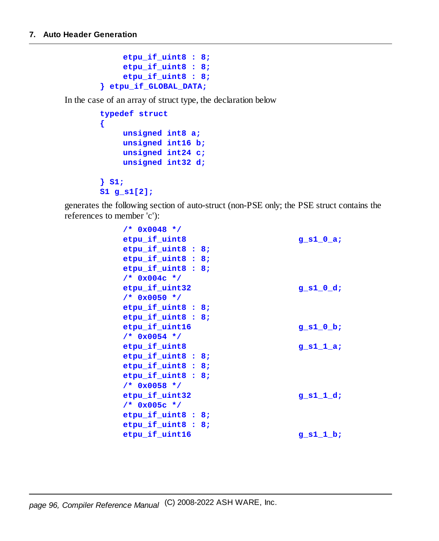```
etpu_if_uint8 : 8;
    etpu_if_uint8 : 8;
    etpu_if_uint8 : 8;
} etpu_if_GLOBAL_DATA;
```
In the case of an array of struct type, the declaration below

```
typedef struct
{
    unsigned int8 a;
    unsigned int16 b;
    unsigned int24 c;
    unsigned int32 d;
} S1;
S1 g_s1[2];
```
generates the following section of auto-struct (non-PSE only; the PSE struct contains the references to member 'c'):

| $/*$ 0x0048 */     |             |
|--------------------|-------------|
| etpu if uint8      | g s $10a$ ; |
| etpu if uint8 : 8; |             |
| $etpu_if_uint8:8;$ |             |
| etpu if uint8 : 8; |             |
| $/*$ 0x004c */     |             |
| etpu_if_uint32     | $g$ s1 0 d; |
| $/*$ 0x0050 */     |             |
| etpu if uint8 : 8; |             |
| etpu_if_uint8 : 8; |             |
| etpu if uint16     | g s $10b$ ; |
| $/*$ 0x0054 */     |             |
| etpu if uint8      | $g_s11_a;$  |
| etpu if uint8 : 8; |             |
| etpu if uint8 : 8; |             |
| etpu if uint8 : 8; |             |
| $/*$ 0x0058 */     |             |
| etpu_if_uint32     | $g$ s1 1 d; |
| $/*$ 0x005c */     |             |
| etpu if uint8 : 8; |             |
| etpu if uint8 : 8; |             |
| etpu_if_uint16     | $g_s1_1_b;$ |
|                    |             |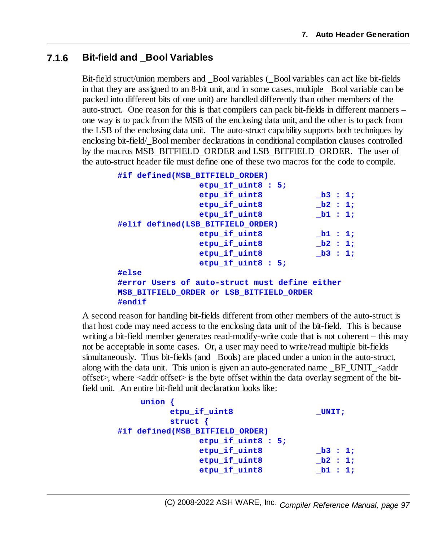#### **7.1.6 Bit-field and \_Bool Variables**

Bit-field struct/union members and \_Bool variables (\_Bool variables can act like bit-fields in that they are assigned to an 8-bit unit, and in some cases, multiple Bool variable can be packed into different bits of one unit) are handled differently than other members of the auto-struct. One reason for this is that compilers can pack bit-fields in different manners – one way is to pack from the MSB of the enclosing data unit, and the other is to pack from the LSB of the enclosing data unit. The auto-struct capability supports both techniques by enclosing bit-field/\_Bool member declarations in conditional compilation clauses controlled by the macros MSB\_BITFIELD\_ORDER and LSB\_BITFIELD\_ORDER. The user of the auto-struct header file must define one of these two macros for the code to compile.

```
#if defined(MSB_BITFIELD_ORDER)
              etpu_if_uint8 : 5;
              etpu_if_uint8 _b3 : 1;
              etpu_if_uint8 _b2 : 1;
              etpu_if_uint8 _b1 : 1;
#elif defined(LSB_BITFIELD_ORDER)
              etpu_if_uint8 _b1 : 1;
              etpu_if_uint8 _b2 : 1;
              etpu_if_uint8 _b3 : 1;
              etpu_if_uint8 : 5;
#else
#error Users of auto-struct must define either
MSB_BITFIELD_ORDER or LSB_BITFIELD_ORDER
#endif
```
A second reason for handling bit-fields different from other members of the auto-struct is that host code may need access to the enclosing data unit of the bit-field. This is because writing a bit-field member generates read-modify-write code that is not coherent – this may not be acceptable in some cases. Or, a user may need to write/read multiple bit-fields simultaneously. Thus bit-fields (and \_Bools) are placed under a union in the auto-struct, along with the data unit. This union is given an auto-generated name  $BF$  UNIT  $\leq$ addr offset>, where  $\langle \text{addr offset} \rangle$  is the byte offset within the data overlay segment of the bitfield unit. An entire bit-field unit declaration looks like:

```
union {
        etpu if uint8 UNIT;
        struct {
#if defined(MSB_BITFIELD_ORDER)
             etpu_if_uint8 : 5;
             etpu_if_uint8 _b3 : 1;
             etpu_if_uint8 _b2 : 1;
             etpu_if_uint8 _b1 : 1;
```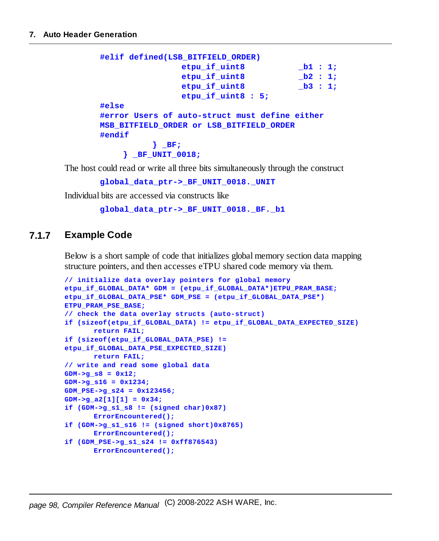```
#elif defined(LSB_BITFIELD_ORDER)
               etpu_if_uint8 _b1 : 1;
               etpu_if_uint8 _b2 : 1;
               etpu_if_uint8 _b3 : 1;
               etpu_if_uint8 : 5;
#else
#error Users of auto-struct must define either
MSB_BITFIELD_ORDER or LSB_BITFIELD_ORDER
#endif
         } _BF;
    } _BF_UNIT_0018;
```
The host could read or write all three bits simultaneously through the construct

**global\_data\_ptr->\_BF\_UNIT\_0018.\_UNIT**

Individual bits are accessed via constructs like

**global\_data\_ptr->\_BF\_UNIT\_0018.\_BF.\_b1**

#### **7.1.7 Example Code**

Below is a short sample of code that initializes global memory section data mapping structure pointers, and then accesses eTPU shared code memory via them.

```
// initialize data overlay pointers for global memory
etpu_if_GLOBAL_DATA* GDM = (etpu_if_GLOBAL_DATA*)ETPU_PRAM_BASE;
etpu_if_GLOBAL_DATA_PSE* GDM_PSE = (etpu_if_GLOBAL_DATA_PSE*)
ETPU_PRAM_PSE_BASE;
// check the data overlay structs (auto-struct)
if (sizeof(etpu_if_GLOBAL_DATA) != etpu_if_GLOBAL_DATA_EXPECTED_SIZE)
       return FAIL;
if (sizeof(etpu_if_GLOBAL_DATA_PSE) !=
etpu_if_GLOBAL_DATA_PSE_EXPECTED_SIZE)
       return FAIL;
// write and read some global data
GDM->g_s8 = 0x12;
GDM->g_s16 = 0x1234;
GDM_PSE->g_s24 = 0x123456;
GDM->g_a2[1][1] = 0x34;
if (GDM->g_s1_s8 != (signed char)0x87)
      ErrorEncountered();
if (GDM->g_s1_s16 != (signed short)0x8765)
      ErrorEncountered();
if (GDM_PSE->g_s1_s24 != 0xff876543)
      ErrorEncountered();
```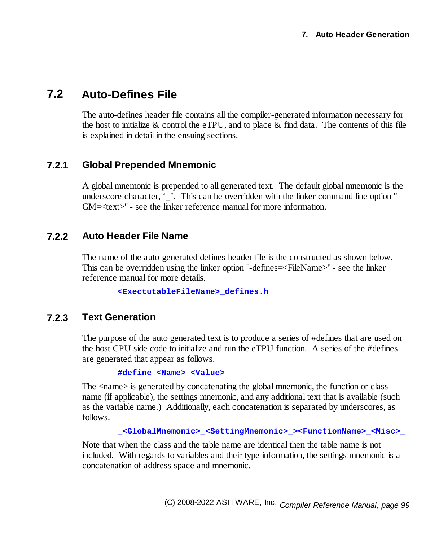## **7.2 Auto-Defines File**

The auto-defines header file contains all the compiler-generated information necessary for the host to initialize  $\&$  control the eTPU, and to place  $\&$  find data. The contents of this file is explained in detail in the ensuing sections.

#### **7.2.1 Global Prepended Mnemonic**

A global mnemonic is prepended to all generated text. The default global mnemonic is the underscore character, '. This can be overridden with the linker command line option "-GM=<text>" - see the linker reference manual for more information.

#### **7.2.2 Auto Header File Name**

The name of the auto-generated defines header file is the constructed as shown below. This can be overridden using the linker option "-defines=<FileName>" - see the linker reference manual for more details.

**<ExectutableFileName>\_defines.h**

#### **7.2.3 Text Generation**

The purpose of the auto generated text is to produce a series of #defines that are used on the host CPU side code to initialize and run the eTPU function. A series of the #defines are generated that appear as follows.

#### **#define <Name> <Value>**

The  $\alpha$  is generated by concatenating the global mnemonic, the function or class name (if applicable), the settings mnemonic, and any additional text that is available (such as the variable name.) Additionally, each concatenation is separated by underscores, as follows.

```
_<GlobalMnemonic>_<SettingMnemonic>_><FunctionName>_<Misc>_
```
Note that when the class and the table name are identical then the table name is not included. With regards to variables and their type information, the settings mnemonic is a concatenation of address space and mnemonic.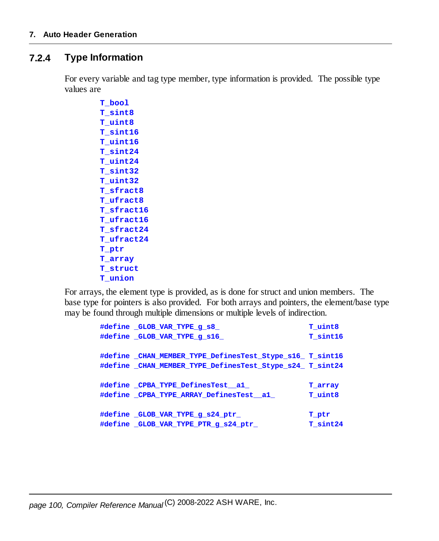#### **7.2.4 Type Information**

For every variable and tag type member, type information is provided. The possible type values are

> **T\_bool T\_sint8 T\_uint8 T\_sint16 T\_uint16 T\_sint24 T\_uint24 T\_sint32 T\_uint32 T\_sfract8 T\_ufract8 T\_sfract16 T\_ufract16 T\_sfract24 T\_ufract24 T\_ptr T\_array T\_struct T\_union**

For arrays, the element type is provided, as is done for struct and union members. The base type for pointers is also provided. For both arrays and pointers, the element/base type may be found through multiple dimensions or multiple levels of indirection.

```
#define _GLOB_VAR_TYPE_g_s8_ T_uint8
#define _GLOB_VAR_TYPE_g_s16_ T_sint16
#define _CHAN_MEMBER_TYPE_DefinesTest_Stype_s16_ T_sint16
#define _CHAN_MEMBER_TYPE_DefinesTest_Stype_s24_ T_sint24
#define _CPBA_TYPE_DefinesTest__a1_ T_array
#define _CPBA_TYPE_ARRAY_DefinesTest__a1_ T_uint8
#define _GLOB_VAR_TYPE_g_s24_ptr_ T_ptr
#define _GLOB_VAR_TYPE_PTR_g_s24_ptr_ T_sint24
```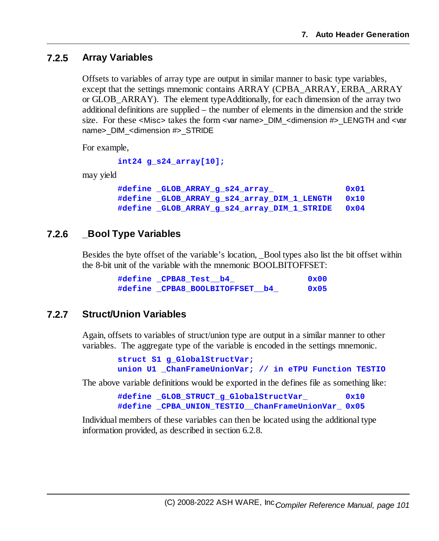#### **7.2.5 Array Variables**

Offsets to variables of array type are output in similar manner to basic type variables, except that the settings mnemonic contains ARRAY (CPBA\_ARRAY, ERBA\_ARRAY or GLOB\_ARRAY). The element typeAdditionally, for each dimension of the array two additional definitions are supplied – the number of elements in the dimension and the stride size. For these <Misc> takes the form <var name> DIM <dimension #> LENGTH and <var name> DIM <dimension #> STRIDE

For example,

```
int24 g_s24_array[10];
```
may yield

```
#define _GLOB_ARRAY_g_s24_array_ 0x01
#define _GLOB_ARRAY_g_s24_array_DIM_1_LENGTH 0x10
#define _GLOB_ARRAY_g_s24_array_DIM_1_STRIDE 0x04
```
#### **7.2.6 \_Bool Type Variables**

Besides the byte offset of the variable's location, \_Bool types also list the bit offset within the 8-bit unit of the variable with the mnemonic BOOLBITOFFSET:

| #define CPBA8 Test b4          | 0x00           |
|--------------------------------|----------------|
| #define CPBA8 BOOLBITOFFSET b4 | $0 \times 0.5$ |

#### **7.2.7 Struct/Union Variables**

Again, offsets to variables of struct/union type are output in a similar manner to other variables. The aggregate type of the variable is encoded in the settings mnemonic.

```
struct S1 g_GlobalStructVar;
union U1 _ChanFrameUnionVar; // in eTPU Function TESTIO
```
The above variable definitions would be exported in the defines file as something like:

**#define \_GLOB\_STRUCT\_g\_GlobalStructVar\_ 0x10 #define \_CPBA\_UNION\_TESTIO\_\_ChanFrameUnionVar\_ 0x05**

Individual members of these variables can then be located using the additional type information provided, as described in section 6.2.8.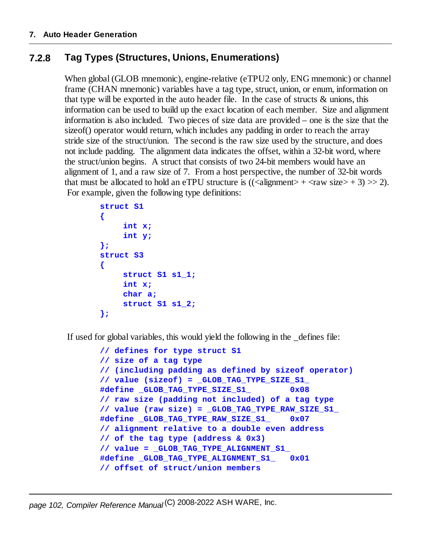### **7.2.8 Tag Types (Structures, Unions, Enumerations)**

When global (GLOB mnemonic), engine-relative (eTPU2 only, ENG mnemonic) or channel frame (CHAN mnemonic) variables have a tag type, struct, union, or enum, information on that type will be exported in the auto header file. In the case of structs & unions, this information can be used to build up the exact location of each member. Size and alignment information is also included. Two pieces of size data are provided – one is the size that the sizeof() operator would return, which includes any padding in order to reach the array stride size of the struct/union. The second is the raw size used by the structure, and does not include padding. The alignment data indicates the offset, within a 32-bit word, where the struct/union begins. A struct that consists of two 24-bit members would have an alignment of 1, and a raw size of 7. From a host perspective, the number of 32-bit words that must be allocated to hold an eTPU structure is  $((\langle \text{alignment} \rangle + \langle \text{raw size} \rangle + 3) >> 2)$ . For example, given the following type definitions:

```
struct S1
{
     int x;
     int y;
};
struct S3
{
     struct S1 s1_1;
     int x;
     char a;
     struct S1 s1_2;
};
```
If used for global variables, this would yield the following in the \_defines file:

```
// defines for type struct S1
// size of a tag type
// (including padding as defined by sizeof operator)
// value (sizeof) = _GLOB_TAG_TYPE_SIZE_S1_
#define _GLOB_TAG_TYPE_SIZE_S1_ 0x08
// raw size (padding not included) of a tag type
// value (raw size) = _GLOB_TAG_TYPE_RAW_SIZE_S1_
#define _GLOB_TAG_TYPE_RAW_SIZE_S1_ 0x07
// alignment relative to a double even address
// of the tag type (address & 0x3)
// value = _GLOB_TAG_TYPE_ALIGNMENT_S1_
#define _GLOB_TAG_TYPE_ALIGNMENT_S1_ 0x01
// offset of struct/union members
```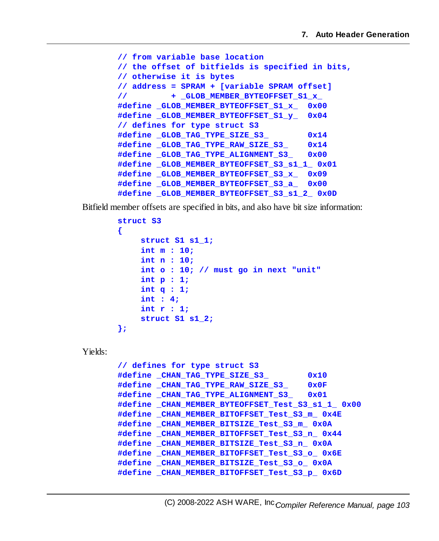```
// from variable base location
// the offset of bitfields is specified in bits,
// otherwise it is bytes
// address = SPRAM + [variable SPRAM offset]
// + _GLOB_MEMBER_BYTEOFFSET_S1_x_
#define _GLOB_MEMBER_BYTEOFFSET_S1_x_ 0x00
#define _GLOB_MEMBER_BYTEOFFSET_S1_y_ 0x04
// defines for type struct S3
#define _GLOB_TAG_TYPE_SIZE_S3_ 0x14
#define _GLOB_TAG_TYPE_RAW_SIZE_S3_ 0x14
#define _GLOB_TAG_TYPE_ALIGNMENT_S3_ 0x00
#define _GLOB_MEMBER_BYTEOFFSET_S3_s1_1_ 0x01
#define _GLOB_MEMBER_BYTEOFFSET_S3_x_ 0x09
#define _GLOB_MEMBER_BYTEOFFSET_S3_a_ 0x00
#define _GLOB_MEMBER_BYTEOFFSET_S3_s1_2_ 0x0D
```
Bitfield member offsets are specified in bits, and also have bit size information:

```
struct S3
       {
            struct S1 s1_1;
            int m : 10;
            int n : 10;
            int o : 10; // must go in next "unit"
            int p : 1;
            int q : 1;
            int : 4;
            int r : 1;
            struct S1 s1_2;
       };
Yields:
       // defines for type struct S3
       #define _CHAN_TAG_TYPE_SIZE_S3_ 0x10
       #define _CHAN_TAG_TYPE_RAW_SIZE_S3_ 0x0F
       #define _CHAN_TAG_TYPE_ALIGNMENT_S3_ 0x01
       #define _CHAN_MEMBER_BYTEOFFSET_Test_S3_s1_1_ 0x00
       #define _CHAN_MEMBER_BITOFFSET_Test_S3_m_ 0x4E
       #define _CHAN_MEMBER_BITSIZE_Test_S3_m_ 0x0A
       #define _CHAN_MEMBER_BITOFFSET_Test_S3_n_ 0x44
       #define _CHAN_MEMBER_BITSIZE_Test_S3_n_ 0x0A
       #define _CHAN_MEMBER_BITOFFSET_Test_S3_o_ 0x6E
       #define _CHAN_MEMBER_BITSIZE_Test_S3_o_ 0x0A
```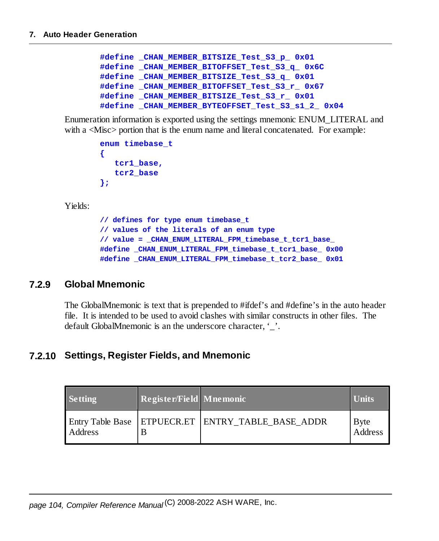```
#define _CHAN_MEMBER_BITSIZE_Test_S3_p_ 0x01
#define _CHAN_MEMBER_BITOFFSET_Test_S3_q_ 0x6C
#define _CHAN_MEMBER_BITSIZE_Test_S3_q_ 0x01
#define _CHAN_MEMBER_BITOFFSET_Test_S3_r_ 0x67
#define _CHAN_MEMBER_BITSIZE_Test_S3_r_ 0x01
#define _CHAN_MEMBER_BYTEOFFSET_Test_S3_s1_2_ 0x04
```
Enumeration information is exported using the settings mnemonic ENUM\_LITERAL and with a  $\langle$ Misc $\rangle$  portion that is the enum name and literal concatenated. For example:

```
enum timebase_t
{
   tcr1_base,
   tcr2_base
};
```
Yields:

**// defines for type enum timebase\_t // values of the literals of an enum type // value = \_CHAN\_ENUM\_LITERAL\_FPM\_timebase\_t\_tcr1\_base\_ #define \_CHAN\_ENUM\_LITERAL\_FPM\_timebase\_t\_tcr1\_base\_ 0x00 #define \_CHAN\_ENUM\_LITERAL\_FPM\_timebase\_t\_tcr2\_base\_ 0x01**

#### **7.2.9 Global Mnemonic**

The GlobalMnemonic is text that is prepended to #ifdef's and #define's in the auto header file. It is intended to be used to avoid clashes with similar constructs in other files. The default GlobalMnemonic is an the underscore character, '...

#### **7.2.10 Settings, Register Fields, and Mnemonic**

| <b>Setting</b> | Register/Field   Mnemonic |                                                       | Units           |
|----------------|---------------------------|-------------------------------------------------------|-----------------|
| Address        |                           | Entry Table Base   ETPUECR.ET   ENTRY_TABLE_BASE ADDR | Byte<br>Address |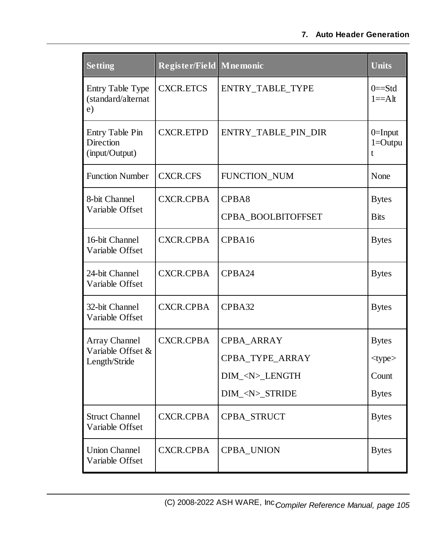#### **7. Auto Header Generation**

| <b>Setting</b>                                 | Register/Field Mnemonic |                     | <b>Units</b>                   |
|------------------------------------------------|-------------------------|---------------------|--------------------------------|
| Entry Table Type<br>(standard/alternat<br>e)   | <b>CXCR.ETCS</b>        | ENTRY_TABLE_TYPE    | $0 = Std$<br>$1 = A$ lt        |
| Entry Table Pin<br>Direction<br>(input/Output) | <b>CXCR.ETPD</b>        | ENTRY_TABLE_PIN_DIR | $0=$ Input<br>$1 =$ Outpu<br>t |
| <b>Function Number</b>                         | <b>CXCR.CFS</b>         | FUNCTION_NUM        | None                           |
| 8-bit Channel                                  | <b>CXCR.CPBA</b>        | CPBA8               | <b>Bytes</b>                   |
| Variable Offset                                |                         | CPBA_BOOLBITOFFSET  | <b>Bits</b>                    |
| 16-bit Channel<br>Variable Offset              | <b>CXCR.CPBA</b>        | CPBA16              | <b>Bytes</b>                   |
| 24-bit Channel<br>Variable Offset              | <b>CXCR.CPBA</b>        | CPBA24              | <b>Bytes</b>                   |
| 32-bit Channel<br>Variable Offset              | CXCR.CPBA               | CPBA32              | <b>Bytes</b>                   |
| Array Channel                                  | <b>CXCR.CPBA</b>        | CPBA_ARRAY          | <b>Bytes</b>                   |
| Variable Offset &<br>Length/Stride             |                         | CPBA_TYPE_ARRAY     | <type></type>                  |
|                                                |                         | DIM_ <n>_LENGTH</n> | Count                          |
|                                                |                         | DIM_ <n>_STRIDE</n> | <b>Bytes</b>                   |
| <b>Struct Channel</b><br>Variable Offset       | <b>CXCR.CPBA</b>        | CPBA_STRUCT         | <b>Bytes</b>                   |
| <b>Union Channel</b><br>Variable Offset        | <b>CXCR.CPBA</b>        | <b>CPBA_UNION</b>   | <b>Bytes</b>                   |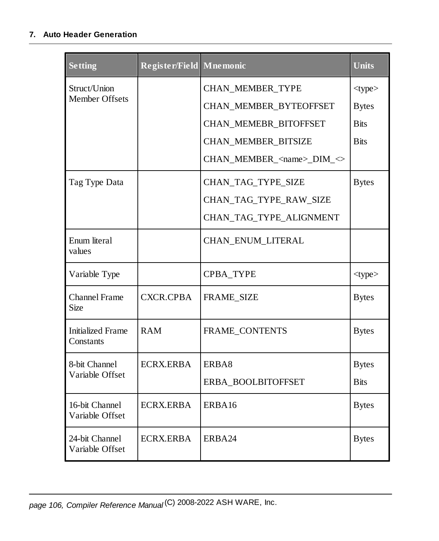#### **7. Auto Header Generation**

| <b>Setting</b>                        | Register/Field Mnemonic |                                         | <b>Units</b>  |
|---------------------------------------|-------------------------|-----------------------------------------|---------------|
| Struct/Union                          |                         | CHAN_MEMBER_TYPE                        | <type></type> |
| Member Offsets                        |                         | CHAN_MEMBER_BYTEOFFSET                  | <b>Bytes</b>  |
|                                       |                         | CHAN_MEMEBR_BITOFFSET                   | <b>Bits</b>   |
|                                       |                         | CHAN_MEMBER_BITSIZE                     | <b>Bits</b>   |
|                                       |                         | CHAN_MEMBER_ <name>_DIM_&lt;&gt;</name> |               |
| Tag Type Data                         |                         | CHAN_TAG_TYPE_SIZE                      | <b>Bytes</b>  |
|                                       |                         | CHAN_TAG_TYPE_RAW_SIZE                  |               |
|                                       |                         | CHAN_TAG_TYPE_ALIGNMENT                 |               |
| Enum literal<br>values                |                         | CHAN_ENUM_LITERAL                       |               |
| Variable Type                         |                         | CPBA_TYPE                               | <type></type> |
| <b>Channel Frame</b><br>Size          | <b>CXCR.CPBA</b>        | <b>FRAME_SIZE</b>                       | <b>Bytes</b>  |
| <b>Initialized Frame</b><br>Constants | <b>RAM</b>              | FRAME_CONTENTS                          | <b>Bytes</b>  |
| 8-bit Channel                         | <b>ECRX.ERBA</b>        | ERBA8                                   | <b>Bytes</b>  |
| Variable Offset                       |                         | ERBA_BOOLBITOFFSET                      | <b>Bits</b>   |
| 16-bit Channel<br>Variable Offset     | <b>ECRX.ERBA</b>        | ERBA16                                  | <b>Bytes</b>  |
| 24-bit Channel<br>Variable Offset     | <b>ECRX.ERBA</b>        | ERBA24                                  | <b>Bytes</b>  |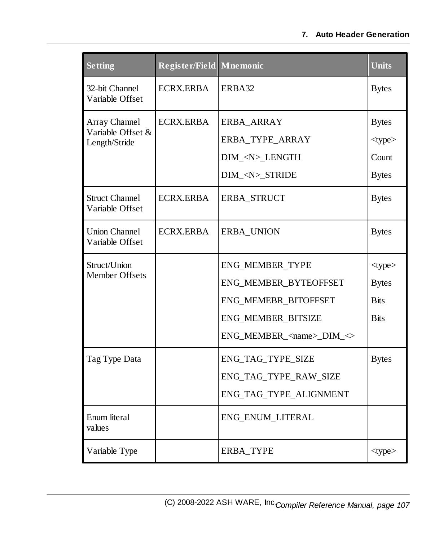| <b>Setting</b>                           | Register/Field Mnemonic |                                        | <b>Units</b>  |
|------------------------------------------|-------------------------|----------------------------------------|---------------|
| 32-bit Channel<br>Variable Offset        | <b>ECRX.ERBA</b>        | ERBA32                                 | <b>Bytes</b>  |
| Array Channel                            | <b>ECRX.ERBA</b>        | ERBA_ARRAY                             | <b>Bytes</b>  |
| Variable Offset &<br>Length/Stride       |                         | ERBA_TYPE_ARRAY                        | <type></type> |
|                                          |                         | DIM_ <n>_LENGTH</n>                    | Count         |
|                                          |                         | DIM_ <n>_STRIDE</n>                    | <b>Bytes</b>  |
| <b>Struct Channel</b><br>Variable Offset | <b>ECRX.ERBA</b>        | ERBA_STRUCT                            | <b>Bytes</b>  |
| <b>Union Channel</b><br>Variable Offset  | <b>ECRX.ERBA</b>        | <b>ERBA_UNION</b>                      | <b>Bytes</b>  |
| Struct/Union                             |                         | ENG_MEMBER_TYPE                        | <type></type> |
| <b>Member Offsets</b>                    |                         | ENG_MEMBER_BYTEOFFSET                  | <b>Bytes</b>  |
|                                          |                         | ENG_MEMEBR_BITOFFSET                   | <b>Bits</b>   |
|                                          |                         | ENG_MEMBER_BITSIZE                     | <b>Bits</b>   |
|                                          |                         | ENG_MEMBER_ <name>_DIM_&lt;&gt;</name> |               |
| Tag Type Data                            |                         | ENG_TAG_TYPE_SIZE                      | <b>Bytes</b>  |
|                                          |                         | ENG_TAG_TYPE_RAW_SIZE                  |               |
|                                          |                         | ENG_TAG_TYPE_ALIGNMENT                 |               |
| Enum literal<br>values                   |                         | ENG_ENUM_LITERAL                       |               |
| Variable Type                            |                         | ERBA_TYPE                              | $<$ type $>$  |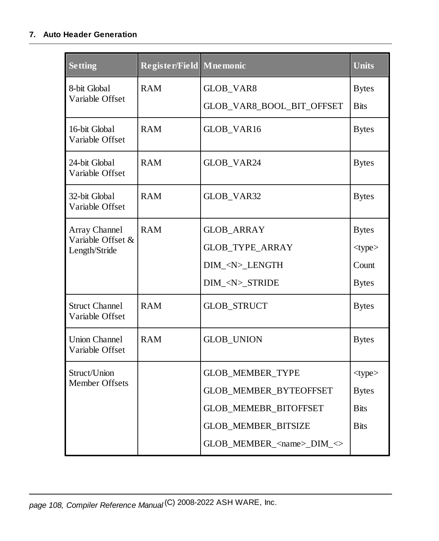#### **7. Auto Header Generation**

| <b>Setting</b>                           | Register/Field Mnemonic |                                                                | <b>Units</b>  |
|------------------------------------------|-------------------------|----------------------------------------------------------------|---------------|
| 8-bit Global                             | <b>RAM</b>              | GLOB_VAR8                                                      | <b>Bytes</b>  |
| Variable Offset                          |                         | GLOB_VAR8_BOOL_BIT_OFFSET                                      | <b>Bits</b>   |
| 16-bit Global<br>Variable Offset         | <b>RAM</b>              | GLOB_VAR16                                                     | <b>Bytes</b>  |
| 24-bit Global<br>Variable Offset         | <b>RAM</b>              | GLOB_VAR24                                                     | <b>Bytes</b>  |
| 32-bit Global<br>Variable Offset         | <b>RAM</b>              | GLOB_VAR32                                                     | <b>Bytes</b>  |
| Array Channel                            | <b>RAM</b>              | <b>GLOB_ARRAY</b>                                              | <b>Bytes</b>  |
| Variable Offset &<br>Length/Stride       |                         | <b>GLOB_TYPE_ARRAY</b>                                         | <type></type> |
|                                          |                         | DIM_ <n>_LENGTH</n>                                            | Count         |
|                                          |                         | DIM_ <n>_STRIDE</n>                                            | <b>Bytes</b>  |
| <b>Struct Channel</b><br>Variable Offset | <b>RAM</b>              | <b>GLOB_STRUCT</b>                                             | <b>Bytes</b>  |
| <b>Union Channel</b><br>Variable Offset  | <b>RAM</b>              | <b>GLOB_UNION</b>                                              | <b>Bytes</b>  |
| Struct/Union                             |                         | <b>GLOB_MEMBER_TYPE</b>                                        | <type></type> |
| Member Offsets                           |                         | GLOB_MEMBER_BYTEOFFSET                                         | <b>Bytes</b>  |
|                                          |                         | GLOB_MEMEBR_BITOFFSET                                          | <b>Bits</b>   |
|                                          |                         | GLOB_MEMBER_BITSIZE                                            | <b>Bits</b>   |
|                                          |                         | $GLOB$ _MEMBER_ <name>_DIM_<math>\Leftrightarrow</math></name> |               |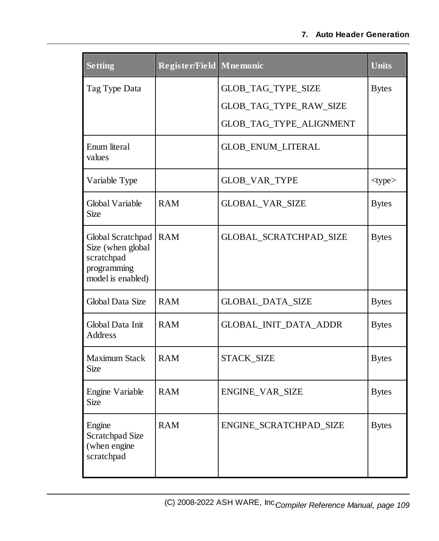#### **7. Auto Header Generation**

| <b>Setting</b>                                                                           | Register/Field | <b>Mnemonic</b>                                                         | <b>Units</b> |
|------------------------------------------------------------------------------------------|----------------|-------------------------------------------------------------------------|--------------|
| Tag Type Data                                                                            |                | GLOB_TAG_TYPE_SIZE<br>GLOB_TAG_TYPE_RAW_SIZE<br>GLOB_TAG_TYPE_ALIGNMENT | <b>Bytes</b> |
| Enum literal<br>values                                                                   |                | <b>GLOB_ENUM_LITERAL</b>                                                |              |
| Variable Type                                                                            |                | GLOB_VAR_TYPE                                                           | $<$ type $>$ |
| Global Variable<br><b>Size</b>                                                           | <b>RAM</b>     | GLOBAL_VAR_SIZE                                                         | <b>Bytes</b> |
| Global Scratchpad<br>Size (when global<br>scratchpad<br>programming<br>model is enabled) | <b>RAM</b>     | GLOBAL_SCRATCHPAD_SIZE                                                  | <b>Bytes</b> |
| Global Data Size                                                                         | <b>RAM</b>     | <b>GLOBAL_DATA_SIZE</b>                                                 | <b>Bytes</b> |
| Global Data Init<br>Address                                                              | <b>RAM</b>     | GLOBAL_INIT_DATA_ADDR                                                   | <b>Bytes</b> |
| <b>Maximum Stack</b><br>Size                                                             | <b>RAM</b>     | STACK_SIZE                                                              | <b>Bytes</b> |
| Engine Variable<br>Size                                                                  | <b>RAM</b>     | ENGINE_VAR_SIZE                                                         | <b>Bytes</b> |
| Engine<br><b>Scratchpad Size</b><br>(when engine<br>scratchpad                           | <b>RAM</b>     | ENGINE_SCRATCHPAD_SIZE                                                  | <b>Bytes</b> |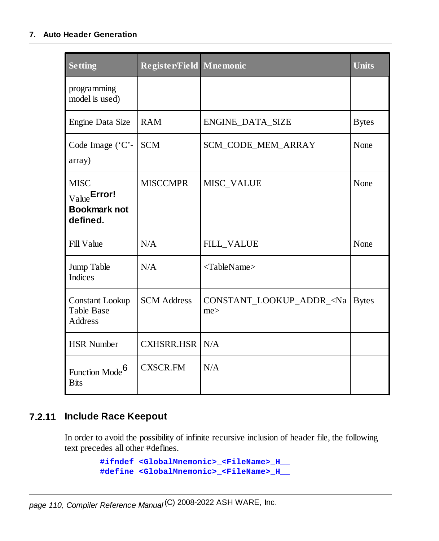#### **7. Auto Header Generation**

| <b>Setting</b>                                                 | Register/Field Mnemonic |                                         | <b>Units</b> |
|----------------------------------------------------------------|-------------------------|-----------------------------------------|--------------|
| programming<br>model is used)                                  |                         |                                         |              |
| Engine Data Size                                               | <b>RAM</b>              | ENGINE_DATA_SIZE                        | <b>Bytes</b> |
| Code Image ('C'-<br>array)                                     | <b>SCM</b>              | <b>SCM_CODE_MEM_ARRAY</b>               | None         |
| <b>MISC</b><br>Value Error!<br><b>Bookmark not</b><br>defined. | <b>MISCCMPR</b>         | MISC_VALUE                              | None         |
| <b>Fill Value</b>                                              | N/A                     | <b>FILL_VALUE</b>                       | None         |
| Jump Table<br>Indices                                          | N/A                     | <tablename></tablename>                 |              |
| <b>Constant Lookup</b><br><b>Table Base</b><br>Address         | <b>SCM</b> Address      | CONSTANT_LOOKUP_ADDR_ <na<br>me</na<br> | <b>Bytes</b> |
| <b>HSR Number</b>                                              | <b>CXHSRR.HSR</b>       | N/A                                     |              |
| Function Mode <sup>6</sup><br><b>Bits</b>                      | <b>CXSCR.FM</b>         | N/A                                     |              |

### **7.2.11 Include Race Keepout**

In order to avoid the possibility of infinite recursive inclusion of header file, the following text precedes all other #defines.

```
#ifndef <GlobalMnemonic>_<FileName>_H__
#define <GlobalMnemonic>_<FileName>_H__
```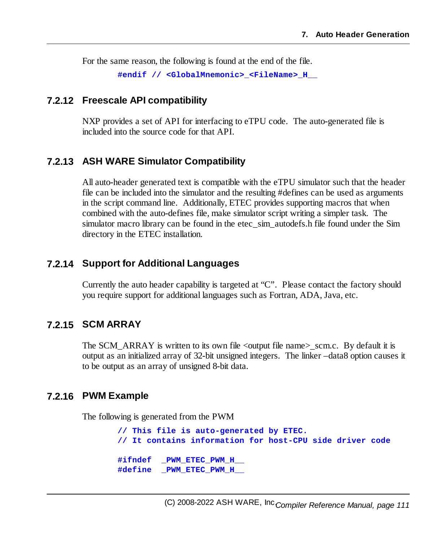For the same reason, the following is found at the end of the file.

**#endif // <GlobalMnemonic>\_<FileName>\_H\_\_**

#### **7.2.12 Freescale API compatibility**

NXP provides a set of API for interfacing to eTPU code. The auto-generated file is included into the source code for that API.

#### **7.2.13 ASH WARE Simulator Compatibility**

All auto-header generated text is compatible with the eTPU simulator such that the header file can be included into the simulator and the resulting #defines can be used as arguments in the script command line. Additionally, ETEC provides supporting macros that when combined with the auto-defines file, make simulator script writing a simpler task. The simulator macro library can be found in the etec sim autodefs.h file found under the Sim directory in the ETEC installation.

#### **7.2.14 Support for Additional Languages**

Currently the auto header capability is targeted at "C". Please contact the factory should you require support for additional languages such as Fortran, ADA, Java, etc.

#### **7.2.15 SCM ARRAY**

The SCM\_ARRAY is written to its own file <output file name $>$ \_scm.c. By default it is output as an initialized array of 32-bit unsigned integers. The linker –data8 option causes it to be output as an array of unsigned 8-bit data.

#### **7.2.16 PWM Example**

The following is generated from the PWM

**// This file is auto-generated by ETEC. // It contains information for host-CPU side driver code #ifndef \_PWM\_ETEC\_PWM\_H\_\_ #define \_PWM\_ETEC\_PWM\_H\_\_**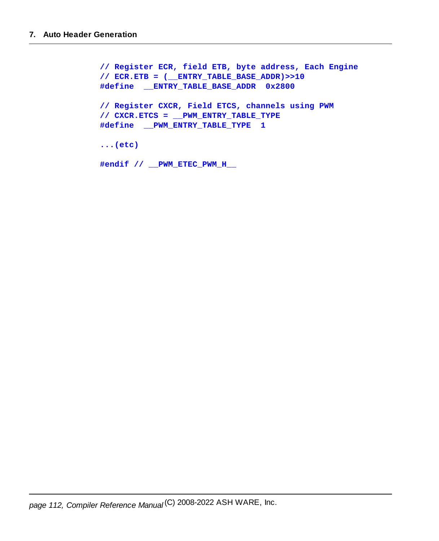```
// Register ECR, field ETB, byte address, Each Engine
// ECR.ETB = (__ENTRY_TABLE_BASE_ADDR)>>10
#define __ENTRY_TABLE_BASE_ADDR 0x2800
// Register CXCR, Field ETCS, channels using PWM
// CXCR.ETCS = __PWM_ENTRY_TABLE_TYPE
#define __PWM_ENTRY_TABLE_TYPE 1
...(etc)
#endif // __PWM_ETEC_PWM_H__
```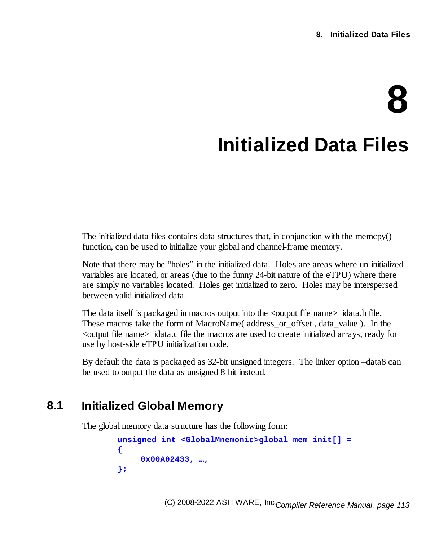# **8 Initialized Data Files**

The initialized data files contains data structures that, in conjunction with the memcpy() function, can be used to initialize your global and channel-frame memory.

Note that there may be "holes" in the initialized data. Holes are areas where un-initialized variables are located, or areas (due to the funny 24-bit nature of the eTPU) where there are simply no variables located. Holes get initialized to zero. Holes may be interspersed between valid initialized data.

The data itself is packaged in macros output into the  $\lt$ output file name $\gt$  idata.h file. These macros take the form of MacroName( address\_or\_offset , data\_value ). In the <output file name>\_idata.c file the macros are used to create initialized arrays, ready for use by host-side eTPU initialization code.

By default the data is packaged as 32-bit unsigned integers. The linker option –data8 can be used to output the data as unsigned 8-bit instead.

# **8.1 Initialized Global Memory**

The global memory data structure has the following form:

```
unsigned int <GlobalMnemonic>global_mem_init[] =
{
     0x00A02433, …,
};
```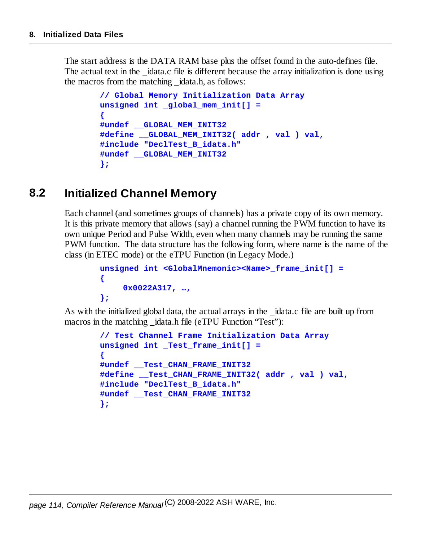The start address is the DATA RAM base plus the offset found in the auto-defines file. The actual text in the idata.c file is different because the array initialization is done using the macros from the matching \_idata.h, as follows:

```
// Global Memory Initialization Data Array
unsigned int _global_mem_init[] =
{
#undef __GLOBAL_MEM_INIT32
#define __GLOBAL_MEM_INIT32( addr , val ) val,
#include "DeclTest_B_idata.h"
#undef __GLOBAL_MEM_INIT32
};
```
# **8.2 Initialized Channel Memory**

Each channel (and sometimes groups of channels) has a private copy of its own memory. It is this private memory that allows (say) a channel running the PWM function to have its own unique Period and Pulse Width, even when many channels may be running the same PWM function. The data structure has the following form, where name is the name of the class (in ETEC mode) or the eTPU Function (in Legacy Mode.)

```
unsigned int <GlobalMnemonic><Name>_frame_init[] =
{
     0x0022A317, …,
};
```
As with the initialized global data, the actual arrays in the \_idata.c file are built up from macros in the matching idata.h file (eTPU Function "Test"):

```
// Test Channel Frame Initialization Data Array
unsigned int _Test_frame_init[] =
{
#undef __Test_CHAN_FRAME_INIT32
#define __Test_CHAN_FRAME_INIT32( addr , val ) val,
#include "DeclTest_B_idata.h"
#undef __Test_CHAN_FRAME_INIT32
};
```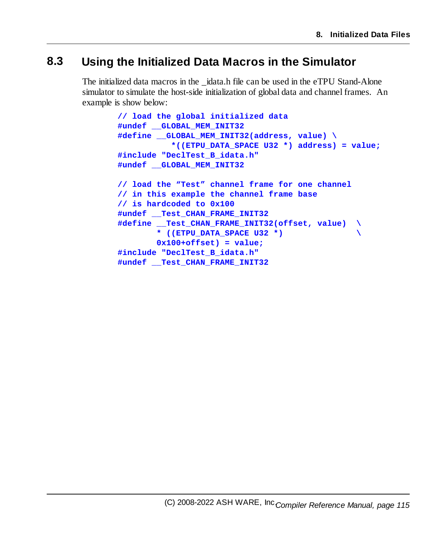# **8.3 Using the Initialized Data Macros in the Simulator**

The initialized data macros in the idata.h file can be used in the eTPU Stand-Alone simulator to simulate the host-side initialization of global data and channel frames. An example is show below:

```
// load the global initialized data
#undef __GLOBAL_MEM_INIT32
#define __GLOBAL_MEM_INIT32(address, value) \
           *((ETPU_DATA_SPACE U32 *) address) = value;
#include "DeclTest_B_idata.h"
#undef __GLOBAL_MEM_INIT32
// load the "Test" channel frame for one channel
// in this example the channel frame base
// is hardcoded to 0x100
#undef __Test_CHAN_FRAME_INIT32
#define __Test_CHAN_FRAME_INIT32(offset, value) \
        * ((ETPU_DATA_SPACE U32 *) \
       0x100+offset) = value;
#include "DeclTest_B_idata.h"
#undef __Test_CHAN_FRAME_INIT32
```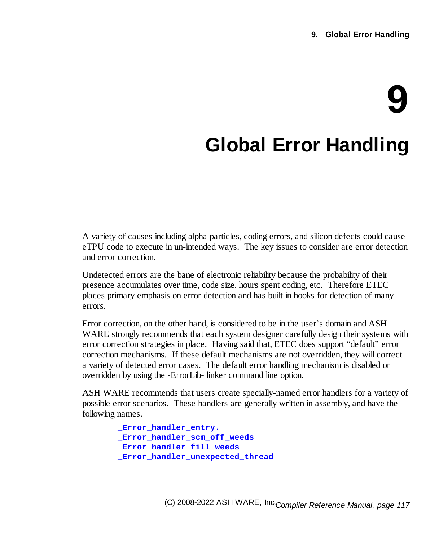# **9**

# **Global Error Handling**

A variety of causes including alpha particles, coding errors, and silicon defects could cause eTPU code to execute in un-intended ways. The key issues to consider are error detection and error correction.

Undetected errors are the bane of electronic reliability because the probability of their presence accumulates over time, code size, hours spent coding, etc. Therefore ETEC places primary emphasis on error detection and has built in hooks for detection of many errors.

Error correction, on the other hand, is considered to be in the user's domain and ASH WARE strongly recommends that each system designer carefully design their systems with error correction strategies in place. Having said that, ETEC does support "default" error correction mechanisms. If these default mechanisms are not overridden, they will correct a variety of detected error cases. The default error handling mechanism is disabled or overridden by using the -ErrorLib- linker command line option.

ASH WARE recommends that users create specially-named error handlers for a variety of possible error scenarios. These handlers are generally written in assembly, and have the following names.

```
_Error_handler_entry.
_Error_handler_scm_off_weeds
_Error_handler_fill_weeds
_Error_handler_unexpected_thread
```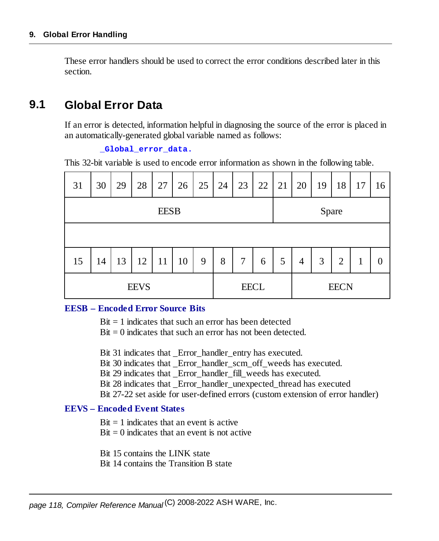These error handlers should be used to correct the error conditions described later in this section.

# **9.1 Global Error Data**

If an error is detected, information helpful in diagnosing the source of the error is placed in an automatically-generated global variable named as follows:

#### **\_Global\_error\_data.**

This 32-bit variable is used to encode error information as shown in the following table.

| 31          | 30 | 29 | 28 | 27          | 26          | 25 | 24 | 23 | 22          | 21 | 20             | 19 | 18             | 17 | 16 |
|-------------|----|----|----|-------------|-------------|----|----|----|-------------|----|----------------|----|----------------|----|----|
|             |    |    |    | <b>EESB</b> |             |    |    |    |             |    |                |    | Spare          |    |    |
|             |    |    |    |             |             |    |    |    |             |    |                |    |                |    |    |
| 15          | 14 | 13 | 12 | 11          | 10          | 9  | 8  | 7  | 6           | 5  | $\overline{4}$ | 3  | $\overline{2}$ | 1  | 0  |
| <b>EEVS</b> |    |    |    |             | <b>EECL</b> |    |    |    | <b>EECN</b> |    |                |    |                |    |    |

#### **EESB – Encoded Error Source Bits**

 $Bit = 1$  indicates that such an error has been detected

 $Bit = 0$  indicates that such an error has not been detected.

Bit 31 indicates that Error handler entry has executed.

Bit 30 indicates that Error handler scm\_off\_weeds has executed.

Bit 29 indicates that Error handler fill weeds has executed.

Bit 28 indicates that \_Error\_handler\_unexpected\_thread has executed

Bit 27-22 set aside for user-defined errors (custom extension of error handler)

#### **EEVS – Encoded Event States**

 $Bit = 1$  indicates that an event is active

 $Bit = 0$  indicates that an event is not active

Bit 15 contains the LINK state

Bit 14 contains the Transition B state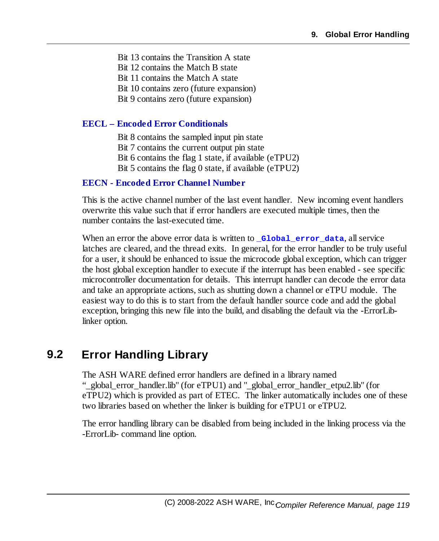Bit 13 contains the Transition A state Bit 12 contains the Match B state Bit 11 contains the Match A state Bit 10 contains zero (future expansion) Bit 9 contains zero (future expansion)

#### **EECL – Encoded Error Conditionals**

Bit 8 contains the sampled input pin state Bit 7 contains the current output pin state Bit 6 contains the flag 1 state, if available (eTPU2) Bit 5 contains the flag 0 state, if available (eTPU2)

#### **EECN - Encoded Error Channel Number**

This is the active channel number of the last event handler. New incoming event handlers overwrite this value such that if error handlers are executed multiple times, then the number contains the last-executed time.

When an error the above error data is written to **Global** error data, all service latches are cleared, and the thread exits. In general, for the error handler to be truly useful for a user, it should be enhanced to issue the microcode global exception, which can trigger the host global exception handler to execute if the interrupt has been enabled - see specific microcontroller documentation for details. This interrupt handler can decode the error data and take an appropriate actions, such as shutting down a channel or eTPU module. The easiest way to do this is to start from the default handler source code and add the global exception, bringing this new file into the build, and disabling the default via the -ErrorLiblinker option.

# **9.2 Error Handling Library**

The ASH WARE defined error handlers are defined in a library named "\_global\_error\_handler.lib" (for eTPU1) and "\_global\_error\_handler\_etpu2.lib" (for eTPU2) which is provided as part of ETEC. The linker automatically includes one of these two libraries based on whether the linker is building for eTPU1 or eTPU2.

The error handling library can be disabled from being included in the linking process via the -ErrorLib- command line option.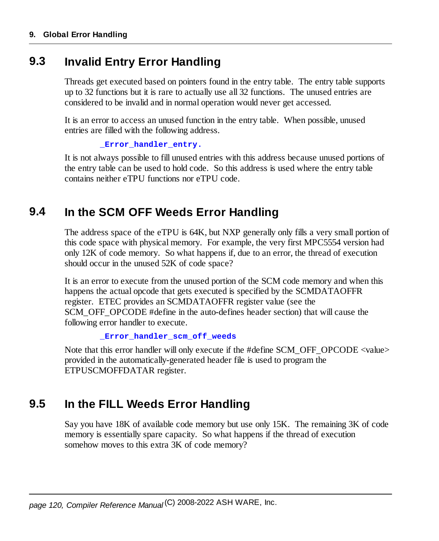# **9.3 Invalid Entry Error Handling**

Threads get executed based on pointers found in the entry table. The entry table supports up to 32 functions but it is rare to actually use all 32 functions. The unused entries are considered to be invalid and in normal operation would never get accessed.

It is an error to access an unused function in the entry table. When possible, unused entries are filled with the following address.

```
_Error_handler_entry.
```
It is not always possible to fill unused entries with this address because unused portions of the entry table can be used to hold code. So this address is used where the entry table contains neither eTPU functions nor eTPU code.

# **9.4 In the SCM OFF Weeds Error Handling**

The address space of the eTPU is 64K, but NXP generally only fills a very small portion of this code space with physical memory. For example, the very first MPC5554 version had only 12K of code memory. So what happens if, due to an error, the thread of execution should occur in the unused 52K of code space?

It is an error to execute from the unused portion of the SCM code memory and when this happens the actual opcode that gets executed is specified by the SCMDATAOFFR register. ETEC provides an SCMDATAOFFR register value (see the SCM\_OFF\_OPCODE #define in the auto-defines header section) that will cause the following error handler to execute.

```
_Error_handler_scm_off_weeds
```
Note that this error handler will only execute if the #define SCM\_OFF\_OPCODE <value> provided in the automatically-generated header file is used to program the ETPUSCMOFFDATAR register.

# **9.5 In the FILL Weeds Error Handling**

Say you have 18K of available code memory but use only 15K. The remaining 3K of code memory is essentially spare capacity. So what happens if the thread of execution somehow moves to this extra 3K of code memory?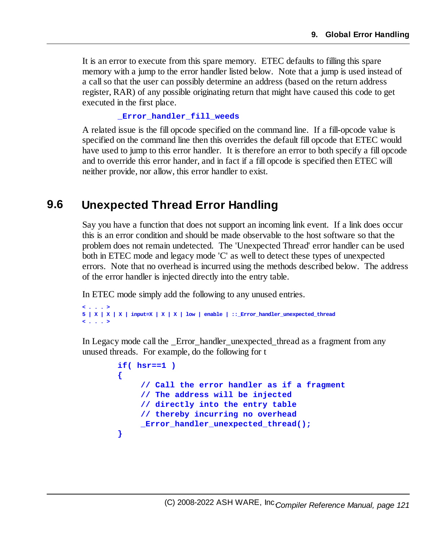It is an error to execute from this spare memory. ETEC defaults to filling this spare memory with a jump to the error handler listed below. Note that a jump is used instead of a callso that the user can possibly determine an address (based on the return address register, RAR) of any possible originating return that might have caused this code to get executed in the first place.

#### **\_Error\_handler\_fill\_weeds**

A related issue is the fill opcode specified on the command line. If a fill-opcode value is specified on the command line then this overrides the default fill opcode that ETEC would have used to jump to this error handler. It is therefore an error to both specify a fill opcode and to override this error hander, and in fact if a fill opcode is specified then ETEC will neither provide, nor allow, this error handler to exist.

# **9.6 Unexpected Thread Error Handling**

Say you have a function that does not support an incoming link event. If a link does occur this is an error condition and should be made observable to the host software so that the problem does not remain undetected. The 'Unexpected Thread' error handler can be used both in ETEC mode and legacy mode 'C' as well to detect these types of unexpected errors. Note that no overhead is incurred using the methods described below. The address of the error handler is injected directly into the entry table.

In ETEC mode simply add the following to any unused entries.

```
< . . . >
5 | X | X | X | input=X | X | X | low | enable | ::_Error_handler_unexpected_thread
< . . . >
```
In Legacy mode call the Error handler unexpected thread as a fragment from any unused threads. For example, do the following for t

```
if( hsr==1 )
{
    // Call the error handler as if a fragment
    // The address will be injected
    // directly into the entry table
    // thereby incurring no overhead
    _Error_handler_unexpected_thread();
}
```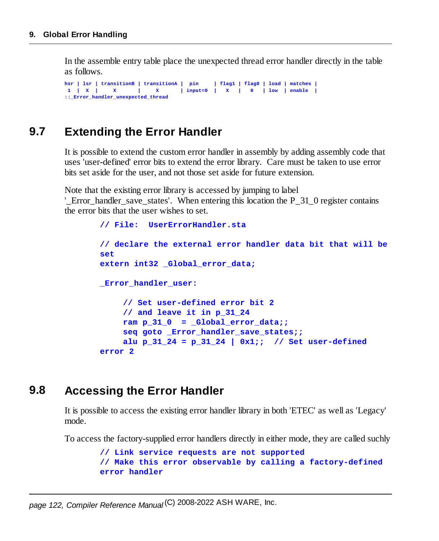In the assemble entry table place the unexpected thread error handler directly in the table as follows.

```
hsr | lsr | transitionB | transitionA | pin | flag1 | flag0 | load | matches |
1 | X | X | X | input=0 | X | 0 | low | enable |
::_Error_handler_unexpected_thread
```
# **9.7 Extending the Error Handler**

It is possible to extend the custom error handler in assembly by adding assembly code that uses 'user-defined' error bits to extend the error library. Care must be taken to use error bits set aside for the user, and not those set aside for future extension.

Note that the existing error library is accessed by jumping to label

'\_Error\_handler\_save\_states'. When entering this location the P\_31\_0 register contains the error bits that the user wishes to set.

```
// File: UserErrorHandler.sta
// declare the external error handler data bit that will be
set
extern int32 _Global_error_data;
_Error_handler_user:
    // Set user-defined error bit 2
    // and leave it in p_31_24
    ram p 31 0 = Global error data;seq goto _Error_handler_save_states;;
    alu p 31 24 = p 31 24 | 0x1;; // Set user-defined
error 2
```
# **9.8 Accessing the Error Handler**

It is possible to access the existing error handler library in both 'ETEC' as well as 'Legacy' mode.

To access the factory-supplied error handlers directly in either mode, they are called suchly

```
// Link service requests are not supported
// Make this error observable by calling a factory-defined
error handler
```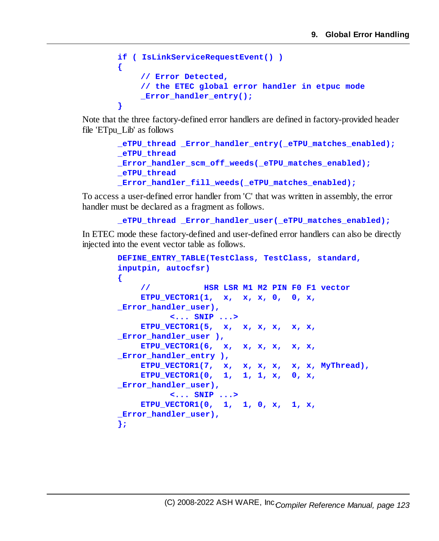```
if ( IsLinkServiceRequestEvent() )
{
    // Error Detected,
    // the ETEC global error handler in etpuc mode
    _Error_handler_entry();
}
```
Note that the three factory-defined error handlers are defined in factory-provided header file 'ETpu\_Lib' as follows

```
_eTPU_thread _Error_handler_entry(_eTPU_matches_enabled);
_eTPU_thread
Error handler scm off weeds( eTPU matches enabled);
_eTPU_thread
_Error_handler_fill_weeds(_eTPU_matches_enabled);
```
To access a user-defined error handler from 'C' that was written in assembly, the error handler must be declared as a fragment as follows.

```
_eTPU_thread _Error_handler_user(_eTPU_matches_enabled);
```
In ETEC mode these factory-defined and user-defined error handlers can also be directly injected into the event vector table as follows.

```
DEFINE_ENTRY_TABLE(TestClass, TestClass, standard,
inputpin, autocfsr)
{
    // HSR LSR M1 M2 PIN F0 F1 vector
    ETPU_VECTOR1(1, x, x, x, 0, 0, x,
Error handler user),
          <... SNIP ...>
    ETPU_VECTOR1(5, x, x, x, x, x, x,
_Error_handler_user ),
    ETPU_VECTOR1(6, x, x, x, x, x, x,
_Error_handler_entry ),
    ETPU_VECTOR1(7, x, x, x, x, x, x, MyThread),
    ETPU_VECTOR1(0, 1, 1, 1, x, 0, x,
Error handler user),
          <... SNIP ...>
    ETPU_VECTOR1(0, 1, 1, 0, x, 1, x,
_Error_handler_user),
};
```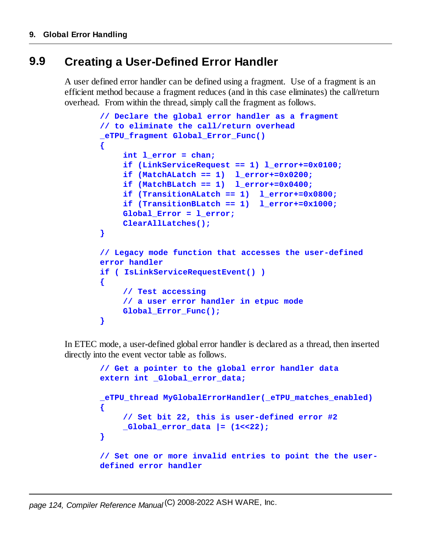# **9.9 Creating a User-Defined Error Handler**

A user defined error handler can be defined using a fragment. Use of a fragment is an efficient method because a fragment reduces (and in this case eliminates) the call/return overhead. From within the thread, simply call the fragment as follows.

```
// Declare the global error handler as a fragment
// to eliminate the call/return overhead
_eTPU_fragment Global_Error_Func()
{
    int l_error = chan;
    if (LinkServiceRequest == 1) l_error+=0x0100;
    if (MatchALatch == 1) l_error+=0x0200;
    if (MatchBLatch == 1) l_error+=0x0400;
    if (TransitionALatch == 1) l_error+=0x0800;
    if (TransitionBLatch == 1) l_error+=0x1000;
    Global_Error = l_error;
    ClearAllLatches();
}
// Legacy mode function that accesses the user-defined
error handler
if ( IsLinkServiceRequestEvent() )
{
    // Test accessing
    // a user error handler in etpuc mode
    Global Error Func();
}
```
In ETEC mode, a user-defined global error handler is declared as a thread, then inserted directly into the event vector table as follows.

```
// Get a pointer to the global error handler data
extern int _Global_error_data;
_eTPU_thread MyGlobalErrorHandler(_eTPU_matches_enabled)
{
    // Set bit 22, this is user-defined error #2
    _Global_error_data |= (1<<22);
}
// Set one or more invalid entries to point the the user-
defined error handler
```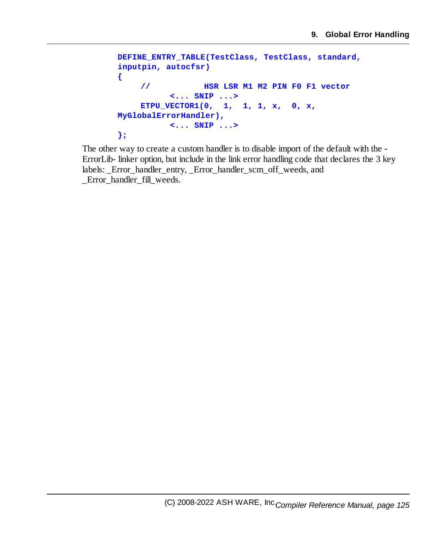```
DEFINE_ENTRY_TABLE(TestClass, TestClass, standard,
inputpin, autocfsr)
{
    // HSR LSR M1 M2 PIN F0 F1 vector
          <... SNIP ...>
    ETPU_VECTOR1(0, 1, 1, 1, x, 0, x,
MyGlobalErrorHandler),
          <... SNIP ...>
};
```
The other way to create a custom handler is to disable import of the default with the - ErrorLib- linker option, but include in the link error handling code that declares the 3 key labels: \_Error\_handler\_entry, \_Error\_handler\_scm\_off\_weeds, and \_Error\_handler\_fill\_weeds.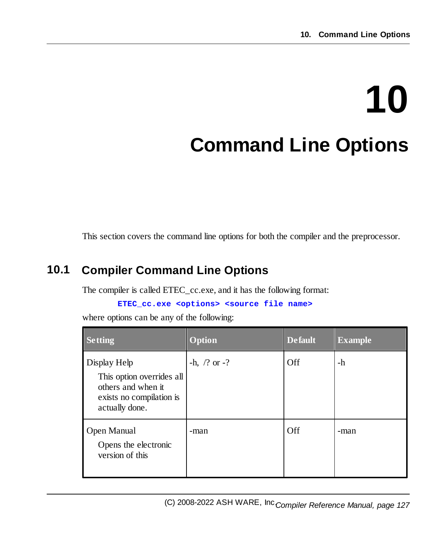This section covers the command line options for both the compiler and the preprocessor.

# **10.1 Compiler Command Line Options**

The compiler is called ETEC\_cc.exe, and it has the following format:

**ETEC\_cc.exe <options> <source file name>**

where options can be any of the following:

| <b>Setting</b>                                                                                                | Option                    | <b>Default</b> | <b>Example</b> |
|---------------------------------------------------------------------------------------------------------------|---------------------------|----------------|----------------|
| Display Help<br>This option overrides all<br>others and when it<br>exists no compilation is<br>actually done. | $-h, \frac{7}{2}$ or $-?$ | Off            | -h             |
| Open Manual<br>Opens the electronic<br>version of this                                                        | -man                      | Off            | -man           |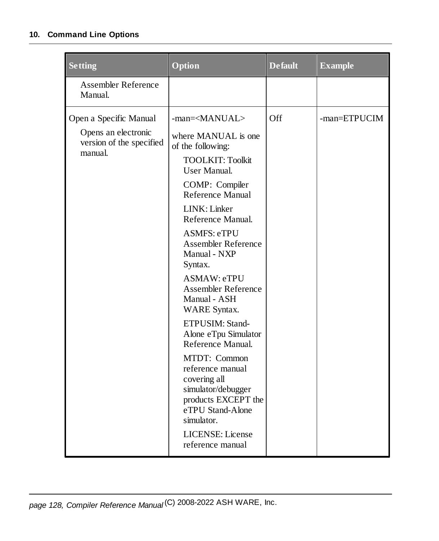| <b>Setting</b>                                                                       | Option                                                                                                                                                                                                                                                                                                                                                                                                                                                                                                                                                                                                                              | <b>Default</b> | <b>Example</b> |
|--------------------------------------------------------------------------------------|-------------------------------------------------------------------------------------------------------------------------------------------------------------------------------------------------------------------------------------------------------------------------------------------------------------------------------------------------------------------------------------------------------------------------------------------------------------------------------------------------------------------------------------------------------------------------------------------------------------------------------------|----------------|----------------|
| <b>Assembler Reference</b><br>Manual.                                                |                                                                                                                                                                                                                                                                                                                                                                                                                                                                                                                                                                                                                                     |                |                |
| Open a Specific Manual<br>Opens an electronic<br>version of the specified<br>manual. | -man= <manual><br/>where MANUAL is one<br/>of the following:<br/><b>TOOLKIT: Toolkit</b><br/><b>User Manual.</b><br/>COMP: Compiler<br/>Reference Manual<br/>LINK: Linker<br/>Reference Manual.<br/><b>ASMFS: eTPU</b><br/>Assembler Reference<br/>Manual - NXP<br/>Syntax.<br/>ASMAW: eTPU<br/>Assembler Reference<br/>Manual - ASH<br/><b>WARE Syntax.</b><br/>ETPUSIM: Stand-<br/>Alone eTpu Simulator<br/>Reference Manual.<br/>MTDT: Common<br/>reference manual<br/>covering all<br/>simulator/debugger<br/>products EXCEPT the<br/>eTPU Stand-Alone<br/>simulator.<br/><b>LICENSE:</b> License<br/>reference manual</manual> | Off            | -man=ETPUCIM   |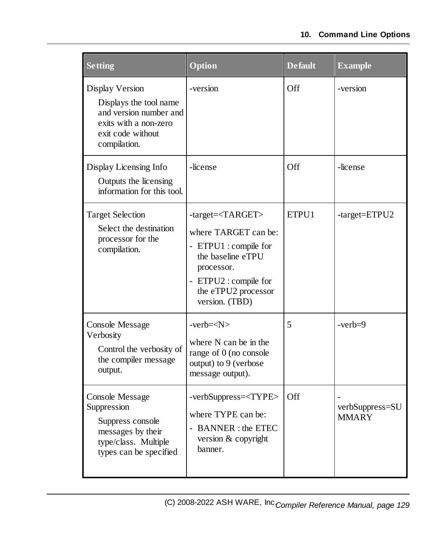| <b>Setting</b>                                                                                                                    | <b>Option</b>                                                                                                                                                                           | <b>Default</b> | <b>Example</b>           |
|-----------------------------------------------------------------------------------------------------------------------------------|-----------------------------------------------------------------------------------------------------------------------------------------------------------------------------------------|----------------|--------------------------|
| Display Version<br>Displays the tool name<br>and version number and<br>exits with a non-zero<br>exit code without<br>compilation. | -version                                                                                                                                                                                | Off            | -version                 |
| Display Licensing Info<br>Outputs the licensing<br>information for this tool.                                                     | -license                                                                                                                                                                                | Off            | -license                 |
| <b>Target Selection</b><br>Select the destination<br>processor for the<br>compilation.                                            | -target= <target><br/>where TARGET can be:<br/>- ETPU1 : compile for<br/>the baseline eTPU<br/>processor.<br/>- ETPU2 : compile for<br/>the eTPU2 processor<br/>version. (TBD)</target> | ETPU1          | -target=ETPU2            |
| <b>Console Message</b><br>Verbosity<br>Control the verbosity of<br>the compiler message<br>output.                                | $-verb=$<br>where N can be in the<br>range of 0 (no console<br>output) to 9 (verbose<br>message output).                                                                                | 5              | $-verb=9$                |
| <b>Console Message</b><br>Suppression<br>Suppress console<br>messages by their<br>type/class. Multiple<br>types can be specified  | -verbSuppress= <type><br/>where TYPE can be:<br/>- BANNER : the ETEC<br/>version &amp; copyright<br/>banner.</type>                                                                     | <b>Off</b>     | verbSuppress=SU<br>MMARY |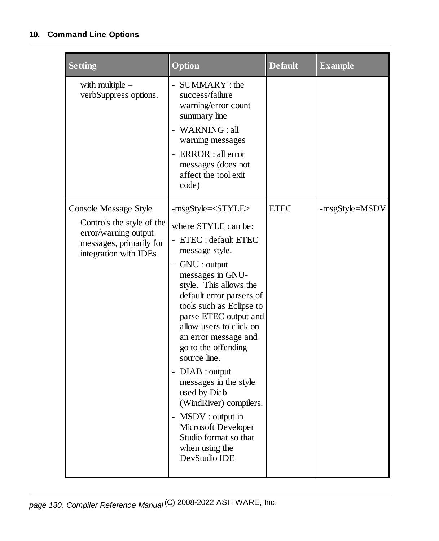| <b>Setting</b>                                                                                                                 | Option                                                                                                                                                                                        | <b>Default</b> | <b>Example</b> |
|--------------------------------------------------------------------------------------------------------------------------------|-----------------------------------------------------------------------------------------------------------------------------------------------------------------------------------------------|----------------|----------------|
| with multiple $-$<br>verbSuppress options.                                                                                     | - SUMMARY : the<br>success/failure<br>warning/error count<br>summary line<br>- WARNING: all<br>warning messages<br>- ERROR : all error<br>messages (does not<br>affect the tool exit<br>code) |                |                |
| Console Message Style<br>Controls the style of the<br>error/warning output<br>messages, primarily for<br>integration with IDEs | -msgStyle= <style></style>                                                                                                                                                                    |                |                |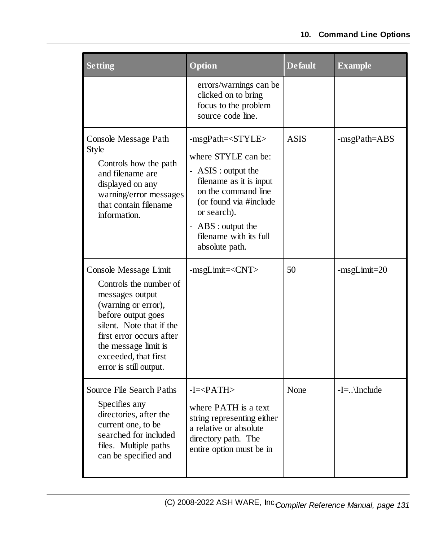| <b>Setting</b>                                                                                                                                                    | Option                                                                                     | <b>Default</b> | <b>Example</b> |
|-------------------------------------------------------------------------------------------------------------------------------------------------------------------|--------------------------------------------------------------------------------------------|----------------|----------------|
|                                                                                                                                                                   | errors/warnings can be<br>clicked on to bring<br>focus to the problem<br>source code line. |                |                |
| Console Message Path<br>Style<br>Controls how the path<br>and filename are<br>displayed on any<br>warning/error messages<br>that contain filename<br>information. | -msgPath= <style></style>                                                                  |                |                |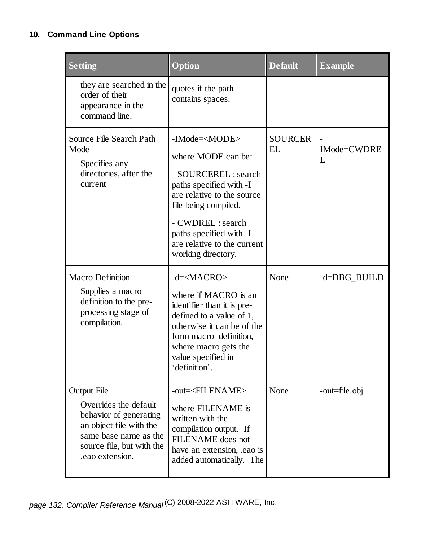| <b>Setting</b>                                                                                                                                                            | Option                                                                                                                                                                                                                                                             | <b>Default</b>       | <b>Example</b>   |
|---------------------------------------------------------------------------------------------------------------------------------------------------------------------------|--------------------------------------------------------------------------------------------------------------------------------------------------------------------------------------------------------------------------------------------------------------------|----------------------|------------------|
| they are searched in the<br>order of their<br>appearance in the<br>command line.                                                                                          | quotes if the path<br>contains spaces.                                                                                                                                                                                                                             |                      |                  |
| Source File Search Path<br>Mode<br>Specifies any<br>directories, after the<br>current                                                                                     | -IMode= <mode><br/>where MODE can be:<br/>- SOURCEREL : search<br/>paths specified with -I<br/>are relative to the source<br/>file being compiled.<br/>- CWDREL : search<br/>paths specified with -I<br/>are relative to the current<br/>working directory.</mode> | <b>SOURCER</b><br>EL | IMode=CWDRE<br>L |
| <b>Macro Definition</b><br>Supplies a macro<br>definition to the pre-<br>processing stage of<br>compilation.                                                              | $-d=\times$ MACRO><br>where if MACRO is an<br>identifier than it is pre-<br>defined to a value of 1,<br>otherwise it can be of the<br>form macro=definition,<br>where macro gets the<br>value specified in<br>'definition'.                                        | None                 | -d=DBG_BUILD     |
| <b>Output File</b><br>Overrides the default<br>behavior of generating<br>an object file with the<br>same base name as the<br>source file, but with the<br>.eao extension. | -out= <filename><br/>where FILENAME is<br/>written with the<br/>compilation output. If<br/>FILENAME does not<br/>have an extension, eao is<br/>added automatically. The</filename>                                                                                 | None                 | -out=file.obj    |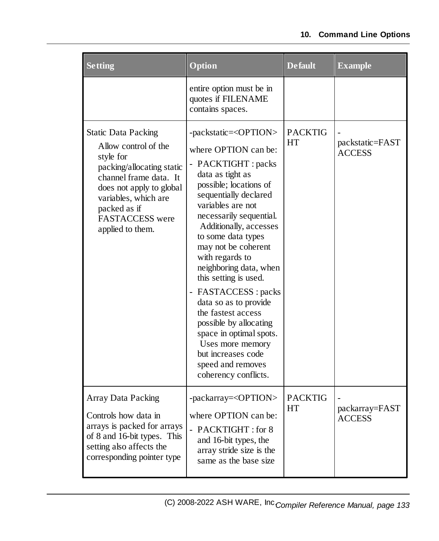| <b>Setting</b>                                                                                                                                                                                                                    | Option                                                                                                                                                                                                                                                                                                                                                                                                                                                                                                                                                                                     | <b>Default</b>       | <b>Example</b>                   |
|-----------------------------------------------------------------------------------------------------------------------------------------------------------------------------------------------------------------------------------|--------------------------------------------------------------------------------------------------------------------------------------------------------------------------------------------------------------------------------------------------------------------------------------------------------------------------------------------------------------------------------------------------------------------------------------------------------------------------------------------------------------------------------------------------------------------------------------------|----------------------|----------------------------------|
|                                                                                                                                                                                                                                   | entire option must be in<br>quotes if FILENAME<br>contains spaces.                                                                                                                                                                                                                                                                                                                                                                                                                                                                                                                         |                      |                                  |
| <b>Static Data Packing</b><br>Allow control of the<br>style for<br>packing/allocating static<br>channel frame data. It<br>does not apply to global<br>variables, which are<br>packed as if<br>FASTACCESS were<br>applied to them. | -packstatic= <option><br/>where OPTION can be:<br/>- PACKTIGHT : packs<br/>data as tight as<br/>possible; locations of<br/>sequentially declared<br/>variables are not<br/>necessarily sequential.<br/>Additionally, accesses<br/>to some data types<br/>may not be coherent<br/>with regards to<br/>neighboring data, when<br/>this setting is used.<br/>- FASTACCESS : packs<br/>data so as to provide<br/>the fastest access<br/>possible by allocating<br/>space in optimal spots.<br/>Uses more memory<br/>but increases code<br/>speed and removes<br/>coherency conflicts.</option> | <b>PACKTIG</b><br>HT | packstatic=FAST<br><b>ACCESS</b> |
| <b>Array Data Packing</b><br>Controls how data in<br>arrays is packed for arrays<br>of 8 and 16-bit types. This<br>setting also affects the<br>corresponding pointer type                                                         | -packarray= <option><br/>where OPTION can be:<br/>- PACKTIGHT: for 8<br/>and 16-bit types, the<br/>array stride size is the<br/>same as the base size</option>                                                                                                                                                                                                                                                                                                                                                                                                                             | <b>PACKTIG</b><br>HT | packarray=FAST<br><b>ACCESS</b>  |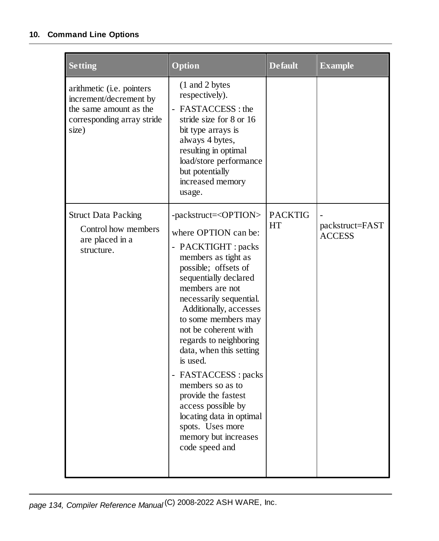| <b>Setting</b>                                                                                                       | Option                                                                                                                                                                                                                                                                                                                                                                                                                                                                                                                                                | <b>Default</b>       | <b>Example</b>                   |
|----------------------------------------------------------------------------------------------------------------------|-------------------------------------------------------------------------------------------------------------------------------------------------------------------------------------------------------------------------------------------------------------------------------------------------------------------------------------------------------------------------------------------------------------------------------------------------------------------------------------------------------------------------------------------------------|----------------------|----------------------------------|
| arithmetic (i.e. pointers<br>increment/decrement by<br>the same amount as the<br>corresponding array stride<br>size) | (1 and 2 bytes)<br>respectively).<br>- FASTACCESS : the<br>stride size for 8 or 16<br>bit type arrays is<br>always 4 bytes,<br>resulting in optimal<br>load/store performance<br>but potentially<br>increased memory<br>usage.                                                                                                                                                                                                                                                                                                                        |                      |                                  |
| <b>Struct Data Packing</b><br>Control how members<br>are placed in a<br>structure.                                   | -packstruct= <option><br/>where OPTION can be:<br/>- PACKTIGHT : packs<br/>members as tight as<br/>possible; offsets of<br/>sequentially declared<br/>members are not<br/>necessarily sequential.<br/>Additionally, accesses<br/>to some members may<br/>not be coherent with<br/>regards to neighboring<br/>data, when this setting<br/>is used.<br/>- FASTACCESS : packs<br/>members so as to<br/>provide the fastest<br/>access possible by<br/>locating data in optimal<br/>spots. Uses more<br/>memory but increases<br/>code speed and</option> | <b>PACKTIG</b><br>HT | packstruct=FAST<br><b>ACCESS</b> |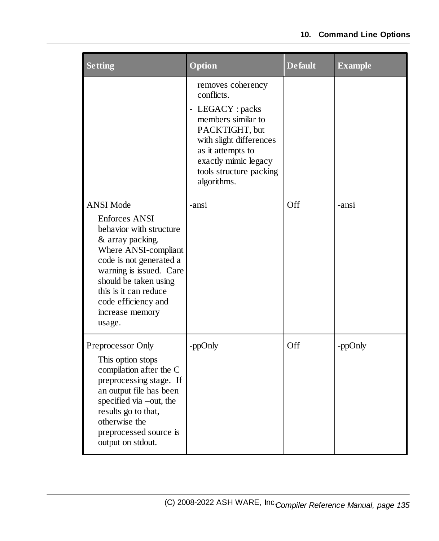| <b>Setting</b>                                                                                                                                                                                                                                                              | Option                                                                                                                                                                                                        | <b>Default</b> | <b>Example</b> |
|-----------------------------------------------------------------------------------------------------------------------------------------------------------------------------------------------------------------------------------------------------------------------------|---------------------------------------------------------------------------------------------------------------------------------------------------------------------------------------------------------------|----------------|----------------|
|                                                                                                                                                                                                                                                                             | removes coherency<br>conflicts.<br>- LEGACY : packs<br>members similar to<br>PACKTIGHT, but<br>with slight differences<br>as it attempts to<br>exactly mimic legacy<br>tools structure packing<br>algorithms. |                |                |
| <b>ANSI Mode</b><br><b>Enforces ANSI</b><br>behavior with structure<br>& array packing.<br>Where ANSI-compliant<br>code is not generated a<br>warning is issued. Care<br>should be taken using<br>this is it can reduce<br>code efficiency and<br>increase memory<br>usage. | -ansi                                                                                                                                                                                                         | Off            | -ansi          |
| Preprocessor Only<br>This option stops<br>compilation after the C<br>preprocessing stage. If<br>an output file has been<br>specified via -out, the<br>results go to that,<br>otherwise the<br>preprocessed source is<br>output on stdout.                                   | -ppOnly                                                                                                                                                                                                       | Off            | -ppOnly        |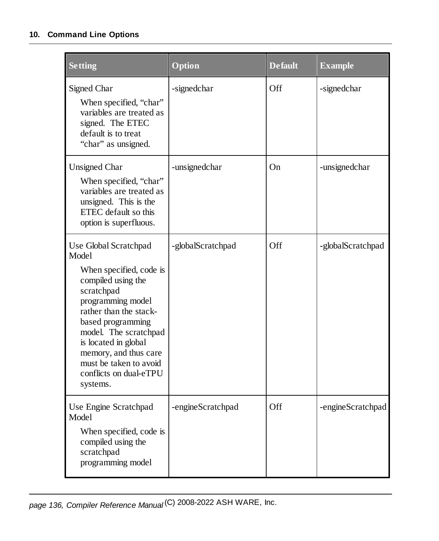| <b>Setting</b>                                                                                                                                                                                                                                                            | Option            | <b>Default</b> | <b>Example</b>    |
|---------------------------------------------------------------------------------------------------------------------------------------------------------------------------------------------------------------------------------------------------------------------------|-------------------|----------------|-------------------|
| Signed Char<br>When specified, "char"<br>variables are treated as<br>signed. The ETEC<br>default is to treat<br>"char" as unsigned.                                                                                                                                       | -signedchar       | Off            | -signedchar       |
| <b>Unsigned Char</b><br>When specified, "char"<br>variables are treated as<br>unsigned. This is the<br>ETEC default so this<br>option is superfluous.                                                                                                                     | -unsignedchar     | On             | -unsignedchar     |
| Use Global Scratchpad<br>Model                                                                                                                                                                                                                                            | -globalScratchpad | Off            | -globalScratchpad |
| When specified, code is<br>compiled using the<br>scratchpad<br>programming model<br>rather than the stack-<br>based programming<br>model. The scratchpad<br>is located in global<br>memory, and thus care<br>must be taken to avoid<br>conflicts on dual-eTPU<br>systems. |                   |                |                   |
| Use Engine Scratchpad<br>Model<br>When specified, code is<br>compiled using the<br>scratchpad<br>programming model                                                                                                                                                        | -engineScratchpad | Off            | -engineScratchpad |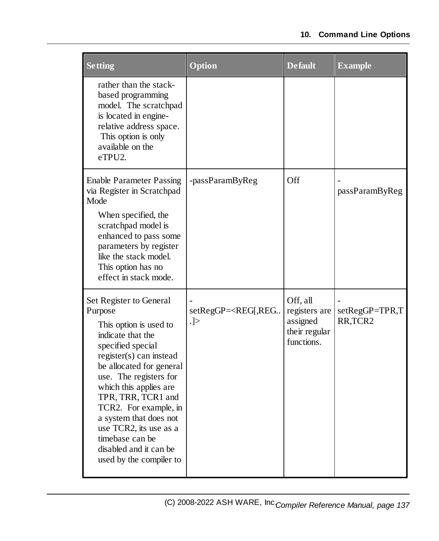| <b>Setting</b>                                                                                                                                                                                                                                                                                                                                                                               | Option                                                               | <b>Default</b>                                                       | <b>Example</b>                         |
|----------------------------------------------------------------------------------------------------------------------------------------------------------------------------------------------------------------------------------------------------------------------------------------------------------------------------------------------------------------------------------------------|----------------------------------------------------------------------|----------------------------------------------------------------------|----------------------------------------|
| rather than the stack-<br>based programming<br>model. The scratchpad<br>is located in engine-<br>relative address space.<br>This option is only<br>available on the<br>eTPU2.                                                                                                                                                                                                                |                                                                      |                                                                      |                                        |
| <b>Enable Parameter Passing</b><br>via Register in Scratchpad<br>Mode<br>When specified, the<br>scratchpad model is<br>enhanced to pass some<br>parameters by register<br>like the stack model.<br>This option has no<br>effect in stack mode.                                                                                                                                               | -passParamByReg                                                      | Off                                                                  | passParamByReg                         |
| Set Register to General<br>Purpose<br>This option is used to<br>indicate that the<br>specified special<br>register(s) can instead<br>be allocated for general<br>use. The registers for<br>which this applies are<br>TPR, TRR, TCR1 and<br>TCR2. For example, in<br>a system that does not<br>use TCR2, its use as a<br>timebase can be<br>disabled and it can be<br>used by the compiler to | setRegGP= <reg[,reg<br><math>\vert . \vert &gt;</math></reg[,reg<br> | Off, all<br>registers are<br>assigned<br>their regular<br>functions. | setRegGP=TPR,T<br>RR, TCR <sub>2</sub> |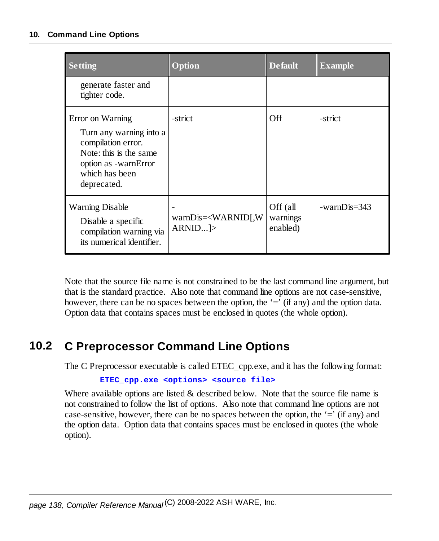| <b>Setting</b>                                                                                                                                       | Option                                       | <b>Default</b>                   | <b>Example</b> |
|------------------------------------------------------------------------------------------------------------------------------------------------------|----------------------------------------------|----------------------------------|----------------|
| generate faster and<br>tighter code.                                                                                                                 |                                              |                                  |                |
| Error on Warning<br>Turn any warning into a<br>compilation error.<br>Note: this is the same<br>option as -warnError<br>which has been<br>deprecated. | -strict                                      | <b>Off</b>                       | -strict        |
| <b>Warning Disable</b><br>Disable a specific<br>compilation warning via<br>its numerical identifier.                                                 | $warnDis=\langle WARNID $ , W<br>$ARNID$ $>$ | Off (all<br>warnings<br>enabled) | $-warnDis=343$ |

Note that the source file name is not constrained to be the last command line argument, but that is the standard practice. Also note that command line options are not case-sensitive, however, there can be no spaces between the option, the  $\equiv$  (if any) and the option data. Option data that contains spaces must be enclosed in quotes (the whole option).

# **10.2 C Preprocessor Command Line Options**

The C Preprocessor executable is called ETEC\_cpp.exe, and it has the following format:

```
ETEC_cpp.exe <options> <source file>
```
Where available options are listed  $&$  described below. Note that the source file name is not constrained to follow the list of options. Also note that command line options are not case-sensitive, however, there can be no spaces between the option, the  $=$ ' (if any) and the option data. Option data that contains spaces must be enclosed in quotes (the whole option).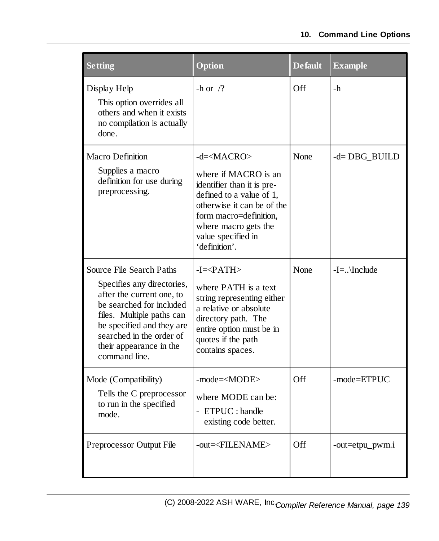| <b>Setting</b>                                                                                                                                                                                                                                    | <b>Option</b>                                                                                                                                                                                                               | <b>Default</b> | <b>Example</b>   |
|---------------------------------------------------------------------------------------------------------------------------------------------------------------------------------------------------------------------------------------------------|-----------------------------------------------------------------------------------------------------------------------------------------------------------------------------------------------------------------------------|----------------|------------------|
| Display Help<br>This option overrides all<br>others and when it exists<br>no compilation is actually<br>done.                                                                                                                                     | -h or $/?$                                                                                                                                                                                                                  | Off            | $-h$             |
| <b>Macro Definition</b><br>Supplies a macro<br>definition for use during<br>preprocessing.                                                                                                                                                        | $-d=\times$ MACRO><br>where if MACRO is an<br>identifier than it is pre-<br>defined to a value of 1,<br>otherwise it can be of the<br>form macro=definition,<br>where macro gets the<br>value specified in<br>'definition'. | None           | $-d = DBG$ BUILD |
| Source File Search Paths<br>Specifies any directories,<br>after the current one, to<br>be searched for included<br>files. Multiple paths can<br>be specified and they are<br>searched in the order of<br>their appearance in the<br>command line. | $-I = PATH$<br>where PATH is a text<br>string representing either<br>a relative or absolute<br>directory path. The<br>entire option must be in<br>quotes if the path<br>contains spaces.                                    | None           | $-I =$ \Include  |
| Mode (Compatibility)<br>Tells the C preprocessor<br>to run in the specified<br>mode.                                                                                                                                                              | -mode= <mode><br/>where MODE can be:<br/>- ETPUC : handle<br/>existing code better.</mode>                                                                                                                                  | Off            | -mode=ETPUC      |
| Preprocessor Output File                                                                                                                                                                                                                          | -out= <filename></filename>                                                                                                                                                                                                 | Off            | -out=etpu_pwm.i  |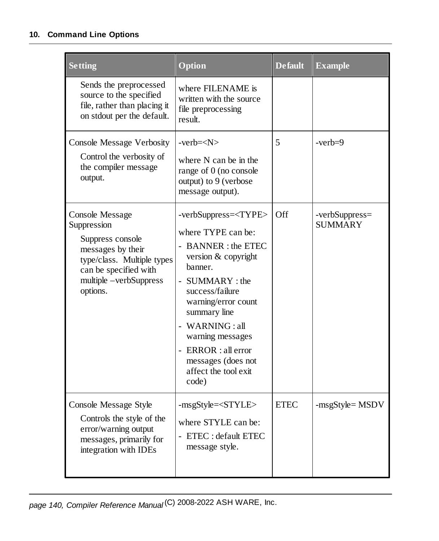| <b>Setting</b>                                                                                                                                                              | Option                                                                                                                                                                                                                                                                                                                         | <b>Default</b> | <b>Example</b>                   |
|-----------------------------------------------------------------------------------------------------------------------------------------------------------------------------|--------------------------------------------------------------------------------------------------------------------------------------------------------------------------------------------------------------------------------------------------------------------------------------------------------------------------------|----------------|----------------------------------|
| Sends the preprocessed<br>source to the specified<br>file, rather than placing it<br>on stdout per the default.                                                             | where FILENAME is<br>written with the source<br>file preprocessing<br>result.                                                                                                                                                                                                                                                  |                |                                  |
| <b>Console Message Verbosity</b><br>Control the verbosity of<br>the compiler message<br>output.                                                                             | $-verb=$<br>where N can be in the<br>range of 0 (no console<br>output) to 9 (verbose<br>message output).                                                                                                                                                                                                                       | 5              | $-verb=9$                        |
| <b>Console Message</b><br>Suppression<br>Suppress console<br>messages by their<br>type/class. Multiple types<br>can be specified with<br>multiple -verbSuppress<br>options. | -verbSuppress= <type><br/>where TYPE can be:<br/>- BANNER : the ETEC<br/>version &amp; copyright<br/>banner.<br/>- SUMMARY : the<br/>success/failure<br/>warning/error count<br/>summary line<br/>- WARNING: all<br/>warning messages<br/>- ERROR : all error<br/>messages (does not<br/>affect the tool exit<br/>code)</type> | Off            | -verbSuppress=<br><b>SUMMARY</b> |
| Console Message Style<br>Controls the style of the<br>error/warning output<br>messages, primarily for<br>integration with IDEs                                              | $-msgStyle=$                                                                                                                                                                                                                                                                                                                   |                |                                  |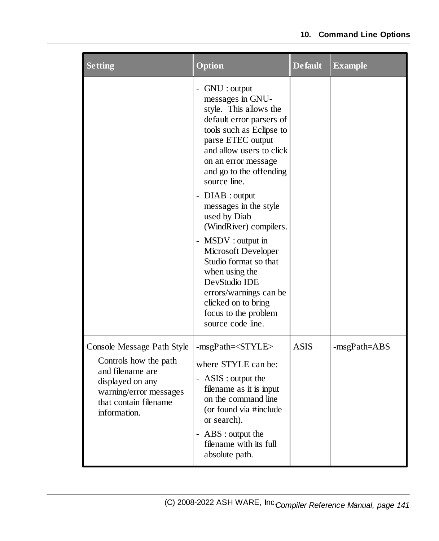| <b>Setting</b>                                                                                                                                                 | Option                                                                                                                                                                                                                                                                                                                                                                                                                                                                                                                               | <b>Default</b> | <b>Example</b> |
|----------------------------------------------------------------------------------------------------------------------------------------------------------------|--------------------------------------------------------------------------------------------------------------------------------------------------------------------------------------------------------------------------------------------------------------------------------------------------------------------------------------------------------------------------------------------------------------------------------------------------------------------------------------------------------------------------------------|----------------|----------------|
|                                                                                                                                                                | - GNU : output<br>messages in GNU-<br>style. This allows the<br>default error parsers of<br>tools such as Eclipse to<br>parse ETEC output<br>and allow users to click<br>on an error message<br>and go to the offending<br>source line.<br>- DIAB : output<br>messages in the style<br>used by Diab<br>(WindRiver) compilers.<br>- MSDV : output in<br>Microsoft Developer<br>Studio format so that<br>when using the<br>DevStudio IDE<br>errors/warnings can be<br>clicked on to bring<br>focus to the problem<br>source code line. |                |                |
| Console Message Path Style<br>Controls how the path<br>and filename are<br>displayed on any<br>warning/error messages<br>that contain filename<br>information. | -msgPath= <style></style>                                                                                                                                                                                                                                                                                                                                                                                                                                                                                                            |                |                |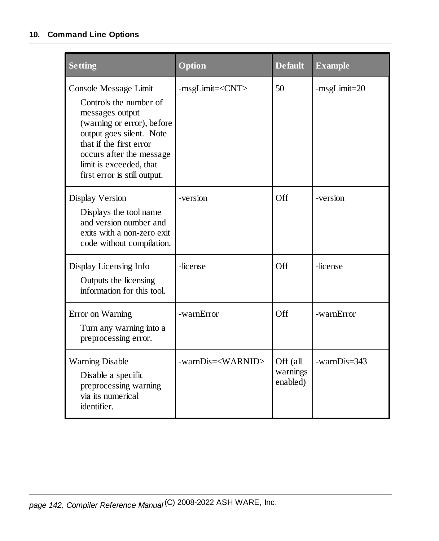| <b>Setting</b>                                                                                                                                                                                                                                 | Option                      | <b>Default</b>                   | <b>Example</b> |
|------------------------------------------------------------------------------------------------------------------------------------------------------------------------------------------------------------------------------------------------|-----------------------------|----------------------------------|----------------|
| Console Message Limit<br>Controls the number of<br>messages output<br>(warning or error), before<br>output goes silent. Note<br>that if the first error<br>occurs after the message<br>limit is exceeded, that<br>first error is still output. | -msgLimit= <cnt></cnt>      | 50                               | $-msgLimit=20$ |
| Display Version<br>Displays the tool name<br>and version number and<br>exits with a non-zero exit<br>code without compilation.                                                                                                                 | -version                    | Off                              | -version       |
| Display Licensing Info<br>Outputs the licensing<br>information for this tool.                                                                                                                                                                  | -license                    | Off                              | -license       |
| Error on Warning<br>Turn any warning into a<br>preprocessing error.                                                                                                                                                                            | -warnError                  | Off                              | -warnError     |
| <b>Warning Disable</b><br>Disable a specific<br>preprocessing warning<br>via its numerical<br>identifier.                                                                                                                                      | -warnDis= <warnid></warnid> | Off (all<br>warnings<br>enabled) | $-warnDis=343$ |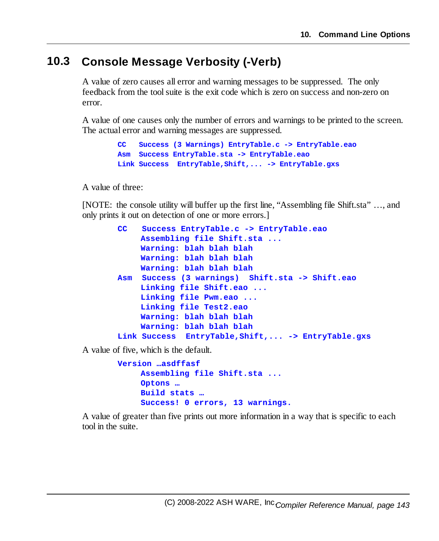# **10.3 Console Message Verbosity (-Verb)**

A value of zero causes all error and warning messages to be suppressed. The only feedback from the toolsuite is the exit code which is zero on success and non-zero on error.

A value of one causes only the number of errors and warnings to be printed to the screen. The actual error and warning messages are suppressed.

```
CC Success (3 Warnings) EntryTable.c -> EntryTable.eao
Asm Success EntryTable.sta -> EntryTable.eao
Link Success EntryTable,Shift,... -> EntryTable.gxs
```
A value of three:

[NOTE: the console utility will buffer up the first line, "Assembling file Shift.sta" …, and only prints it out on detection of one or more errors.]

```
CC Success EntryTable.c -> EntryTable.eao
    Assembling file Shift.sta ...
    Warning: blah blah blah
    Warning: blah blah blah
    Warning: blah blah blah
Asm Success (3 warnings) Shift.sta -> Shift.eao
    Linking file Shift.eao ...
    Linking file Pwm.eao ...
    Linking file Test2.eao
    Warning: blah blah blah
    Warning: blah blah blah
Link Success EntryTable,Shift,... -> EntryTable.gxs
```
A value of five, which is the default.

```
Version …asdffasf
    Assembling file Shift.sta ...
    Optons …
    Build stats …
    Success! 0 errors, 13 warnings.
```
A value of greater than five prints out more information in a way that is specific to each tool in the suite.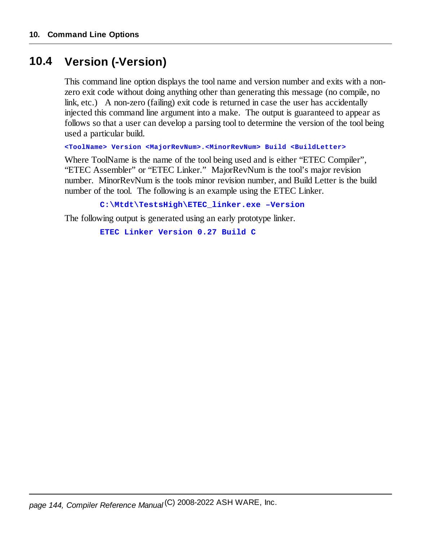# **10.4 Version (-Version)**

This command line option displays the tool name and version number and exits with a nonzero exit code without doing anything other than generating this message (no compile, no link, etc.) A non-zero (failing) exit code is returned in case the user has accidentally injected this command line argument into a make. The output is guaranteed to appear as follows so that a user can develop a parsing tool to determine the version of the tool being used a particular build.

**<ToolName> Version <MajorRevNum>.<MinorRevNum> Build <BuildLetter>**

Where ToolName is the name of the tool being used and is either "ETEC Compiler", "ETEC Assembler" or "ETEC Linker." MajorRevNum is the tool's major revision number. MinorRevNum is the tools minor revision number, and Build Letter is the build number of the tool. The following is an example using the ETEC Linker.

**C:\Mtdt\TestsHigh\ETEC\_linker.exe –Version**

The following output is generated using an early prototype linker.

**ETEC Linker Version 0.27 Build C**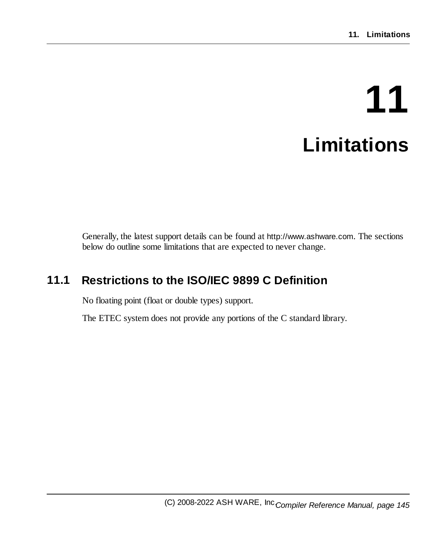# **11 Limitations**

Generally, the latest support details can be found at http://www.ashware.com. The sections below do outline some limitations that are expected to never change.

## **11.1 Restrictions to the ISO/IEC 9899 C Definition**

No floating point (float or double types) support.

The ETEC system does not provide any portions of the C standard library.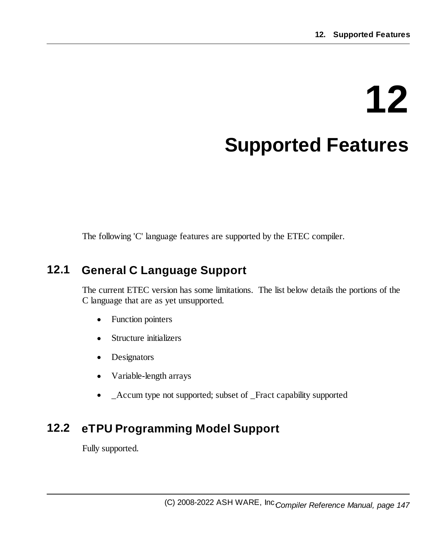# **12 Supported Features**

The following 'C' language features are supported by the ETEC compiler.

#### **12.1 General C Language Support**

The current ETEC version has some limitations. The list below details the portions of the C language that are as yet unsupported.

- ·Function pointers
- ·Structure initializers
- ·Designators
- ·Variable-length arrays
- $\bullet$ \_Accum type not supported; subset of \_Fract capability supported

### **12.2 eTPU Programming Model Support**

Fully supported.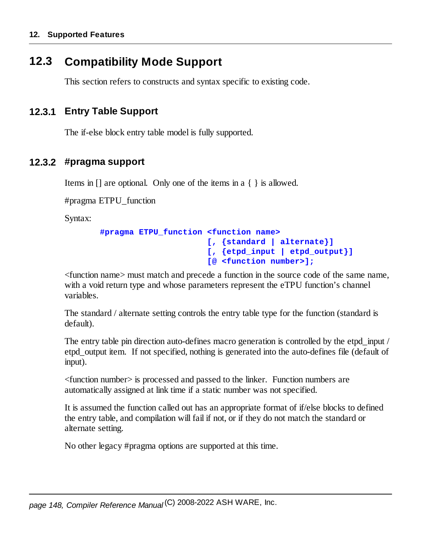#### **12.3 Compatibility Mode Support**

This section refers to constructs and syntax specific to existing code.

#### **12.3.1 Entry Table Support**

The if-else block entry table model is fully supported.

#### **12.3.2 #pragma support**

Items in [] are optional. Only one of the items in a { } is allowed.

#pragma ETPU\_function

Syntax:

```
#pragma ETPU_function <function name>
                      [, {standard | alternate}]
                      [, {etpd_input | etpd_output}]
                      [@ <function number>];
```
<function name> must match and precede a function in the source code of the same name, with a void return type and whose parameters represent the eTPU function's channel variables.

The standard / alternate setting controls the entry table type for the function (standard is default).

The entry table pin direction auto-defines macro generation is controlled by the etpd\_input / etpd output item. If not specified, nothing is generated into the auto-defines file (default of input).

<function number> is processed and passed to the linker. Function numbers are automatically assigned at link time if a static number was not specified.

It is assumed the function called out has an appropriate format of if/else blocks to defined the entry table, and compilation will fail if not, or if they do not match the standard or alternate setting.

No other legacy #pragma options are supported at this time.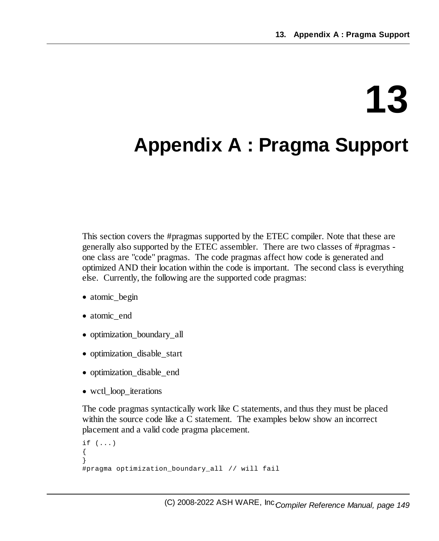# **13**

# **Appendix A : Pragma Support**

This section covers the #pragmas supported by the ETEC compiler. Note that these are generally also supported by the ETEC assembler. There are two classes of #pragmas one class are "code" pragmas. The code pragmas affect how code is generated and optimized AND their location within the code is important. The second class is everything else. Currently, the following are the supported code pragmas:

- atomic\_begin
- atomic\_end
- · optimization\_boundary\_all
- · optimization\_disable\_start
- · optimization\_disable\_end
- · wctl\_loop\_iterations

The code pragmas syntactically work like C statements, and thus they must be placed within the source code like a C statement. The examples below show an incorrect placement and a valid code pragma placement.

```
if ( \ldots ){
}
#pragma optimization_boundary_all // will fail
```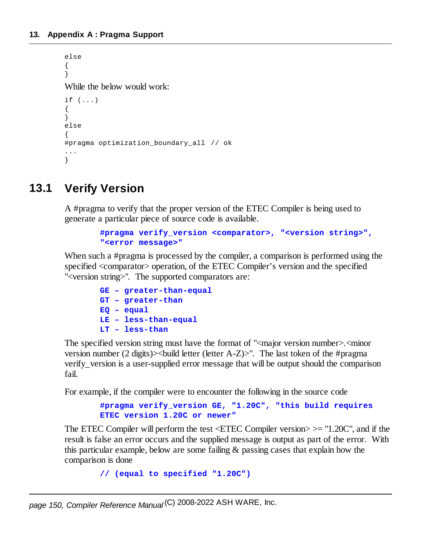```
else
{
}
While the below would work:
if (...)
{
}
else
{
#pragma optimization_boundary_all // ok
...
}
```
### **13.1 Verify Version**

A #pragma to verify that the proper version of the ETEC Compiler is being used to generate a particular piece of source code is available.

```
#pragma verify_version <comparator>, "<version string>",
"<error message>"
```
When such a #pragma is processed by the compiler, a comparison is performed using the specified <comparator> operation, of the ETEC Compiler's version and the specified "<version string>". The supported comparators are:

> **GE – greater-than-equal GT – greater-than EQ – equal LE – less-than-equal LT – less-than**

The specified version string must have the format of " $\leq$  major version number $\geq$ .  $\leq$  minor version number (2 digits)><build letter (letter A-Z)>". The last token of the #pragma verify\_version is a user-supplied error message that will be output should the comparison fail.

For example, if the compiler were to encounter the following in the source code

```
#pragma verify_version GE, "1.20C", "this build requires
ETEC version 1.20C or newer"
```
The ETEC Compiler will perform the test  $\langle$ ETEC Compiler version $\rangle$   $\geq$  "1.20C", and if the result is false an error occurs and the supplied message is output as part of the error. With this particular example, below are some failing & passing cases that explain how the comparison is done

```
// (equal to specified "1.20C")
```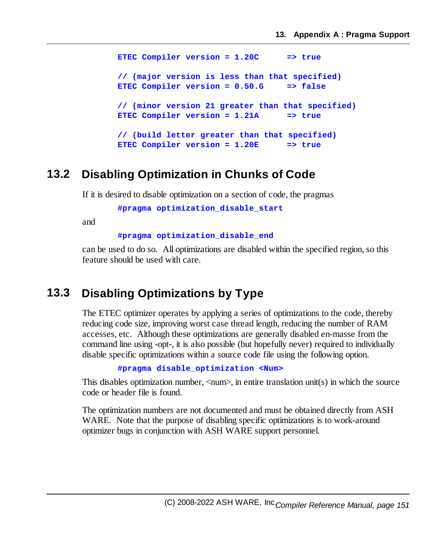**ETEC Compiler version = 1.20C => true // (major version is less than that specified) ETEC Compiler version = 0.50.G => false // (minor version 21 greater than that specified) ETEC Compiler version = 1.21A => true // (build letter greater than that specified) ETEC Compiler version = 1.20E => true**

#### **13.2 Disabling Optimization in Chunks of Code**

If it is desired to disable optimization on a section of code, the pragmas

**#pragma optimization\_disable\_start**

and

**#pragma optimization\_disable\_end**

can be used to do so. All optimizations are disabled within the specified region, so this feature should be used with care.

#### **13.3 Disabling Optimizations by Type**

The ETEC optimizer operates by applying a series of optimizations to the code, thereby reducing code size, improving worst case thread length, reducing the number of RAM accesses, etc. Although these optimizations are generally disabled en-masse from the command line using -opt-, it is also possible (but hopefully never) required to individually disable specific optimizations within a source code file using the following option.

**#pragma disable\_optimization <Num>**

This disables optimization number,  $\langle$ num $\rangle$ , in entire translation unit(s) in which the source code or header file is found.

The optimization numbers are not documented and must be obtained directly from ASH WARE. Note that the purpose of disabling specific optimizations is to work-around optimizer bugs in conjunction with ASH WARE support personnel.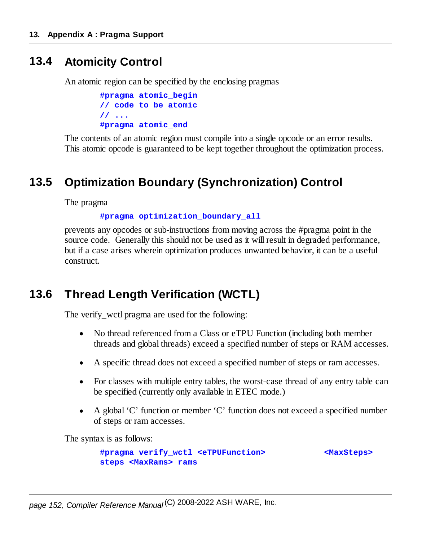#### **13.4 Atomicity Control**

An atomic region can be specified by the enclosing pragmas

```
#pragma atomic_begin
// code to be atomic
// ...
#pragma atomic_end
```
The contents of an atomic region must compile into a single opcode or an error results. This atomic opcode is guaranteed to be kept together throughout the optimization process.

### **13.5 Optimization Boundary (Synchronization) Control**

The pragma

**#pragma optimization\_boundary\_all**

prevents any opcodes or sub-instructions from moving across the #pragma point in the source code. Generally this should not be used as it will result in degraded performance, but if a case arises wherein optimization produces unwanted behavior, it can be a useful construct.

#### **13.6 Thread Length Verification (WCTL)**

The verify\_wctl pragma are used for the following:

- · No thread referenced from a Class or eTPU Function (including both member threads and global threads) exceed a specified number of steps or RAM accesses.
- ·A specific thread does not exceed a specified number of steps or ram accesses.
- · For classes with multiple entry tables, the worst-case thread of any entry table can be specified (currently only available in ETEC mode.)
- · A global 'C' function or member 'C' function does not exceed a specified number of steps or ram accesses.

The syntax is as follows:

**#pragma verify\_wctl <eTPUFunction> <MaxSteps> steps <MaxRams> rams**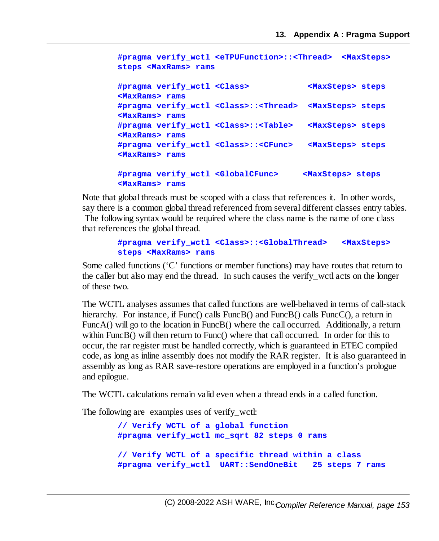```
#pragma verify_wctl <eTPUFunction>::<Thread> <MaxSteps>
steps <MaxRams> rams
#pragma verify_wctl <Class> <MaxSteps> steps
<MaxRams> rams
#pragma verify_wctl <Class>::<Thread> <MaxSteps> steps
<MaxRams> rams
#pragma verify_wctl <Class>::<Table> <MaxSteps> steps
<MaxRams> rams
#pragma verify_wctl <Class>::<CFunc> <MaxSteps> steps
<MaxRams> rams
#pragma verify_wctl <GlobalCFunc> <MaxSteps> steps
<MaxRams> rams
```
Note that global threads must be scoped with a class that references it. In other words, say there is a common global thread referenced from several different classes entry tables. The following syntax would be required where the class name is the name of one class that references the global thread.

#### **#pragma verify\_wctl <Class>::<GlobalThread> <MaxSteps> steps <MaxRams> rams**

Some called functions ('C' functions or member functions) may have routes that return to the caller but also may end the thread. In such causes the verify\_wctl acts on the longer of these two.

The WCTL analyses assumes that called functions are well-behaved in terms of call-stack hierarchy. For instance, if Func() calls FuncB() and FuncB() calls FuncC(), a return in FuncA() will go to the location in FuncB() where the call occurred. Additionally, a return within FuncB() will then return to Func() where that call occurred. In order for this to occur, the rar register must be handled correctly, which is guaranteed in ETEC compiled code, as long as inline assembly does not modify the RAR register. It is also guaranteed in assembly as long as RAR save-restore operations are employed in a function's prologue and epilogue.

The WCTL calculations remain valid even when a thread ends in a called function.

The following are examples uses of verify\_wctl:

```
// Verify WCTL of a global function
#pragma verify_wctl mc_sqrt 82 steps 0 rams
// Verify WCTL of a specific thread within a class
#pragma verify_wctl UART::SendOneBit 25 steps 7 rams
```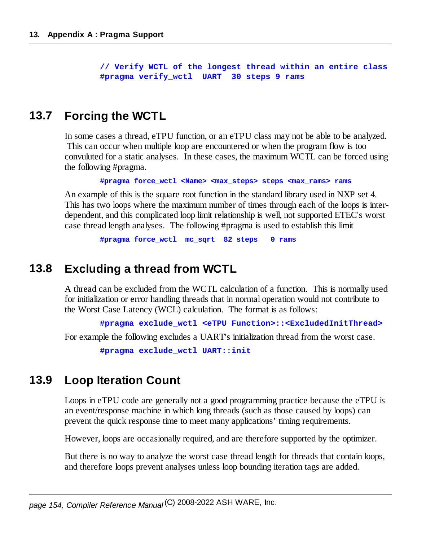**// Verify WCTL of the longest thread within an entire class #pragma verify\_wctl UART 30 steps 9 rams**

### **13.7 Forcing the WCTL**

In some cases a thread, eTPU function, or an eTPU class may not be able to be analyzed. This can occur when multiple loop are encountered or when the program flow is too convuluted for a static analyses. In these cases, the maximum WCTL can be forced using the following #pragma.

**#pragma force\_wctl <Name> <max\_steps> steps <max\_rams> rams**

An example of this is the square root function in the standard library used in NXP set 4. This has two loops where the maximum number of times through each of the loops is interdependent, and this complicated loop limit relationship is well, not supported ETEC's worst case thread length analyses. The following #pragma is used to establish this limit

**#pragma force\_wctl mc\_sqrt 82 steps 0 rams**

#### **13.8 Excluding a thread from WCTL**

A thread can be excluded from the WCTL calculation of a function. This is normally used for initialization or error handling threads that in normal operation would not contribute to the Worst Case Latency (WCL) calculation. The format is as follows:

**#pragma exclude\_wctl <eTPU Function>::<ExcludedInitThread>**

For example the following excludes a UART's initialization thread from the worst case.

**#pragma exclude\_wctl UART::init**

#### **13.9 Loop Iteration Count**

Loops in eTPU code are generally not a good programming practice because the eTPU is an event/response machine in which long threads (such as those caused by loops) can prevent the quick response time to meet many applications' timing requirements.

However, loops are occasionally required, and are therefore supported by the optimizer.

But there is no way to analyze the worst case thread length for threads that contain loops, and therefore loops prevent analyses unless loop bounding iteration tags are added.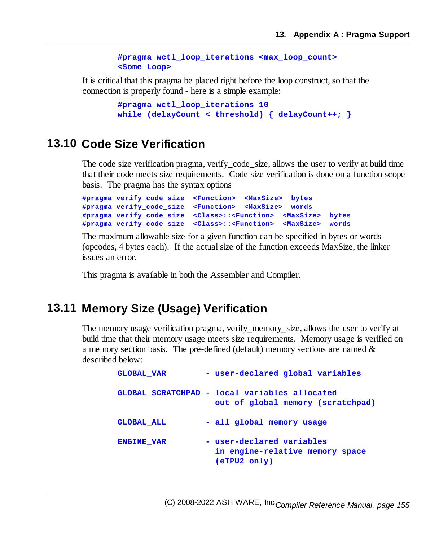```
#pragma wctl_loop_iterations <max_loop_count>
<Some Loop>
```
It is critical that this pragma be placed right before the loop construct, so that the connection is properly found - here is a simple example:

```
#pragma wctl_loop_iterations 10
while (delayCount < threshold) { delayCount++; }
```
#### **13.10 Code Size Verification**

The code size verification pragma, verify\_code\_size, allows the user to verify at build time that their code meets size requirements. Code size verification is done on a function scope basis. The pragma has the syntax options

```
#pragma verify_code_size <Function> <MaxSize> bytes
#pragma verify_code_size <Function> <MaxSize> words
#pragma verify_code_size <Class>::<Function> <MaxSize> bytes
#pragma verify_code_size <Class>::<Function> <MaxSize> words
```
The maximum allowable size for a given function can be specified in bytes or words (opcodes, 4 bytes each). If the actualsize of the function exceeds MaxSize, the linker issues an error.

This pragma is available in both the Assembler and Compiler.

#### **13.11 Memory Size (Usage) Verification**

The memory usage verification pragma, verify\_memory\_size, allows the user to verify at build time that their memory usage meets size requirements. Memory usage is verified on a memory section basis. The pre-defined (default) memory sections are named & described below:

| <b>GLOBAL VAR</b> | - user-declared global variables                                                      |
|-------------------|---------------------------------------------------------------------------------------|
|                   | GLOBAL SCRATCHPAD - local variables allocated<br>out of global memory (scratchpad)    |
| <b>GLOBAL ALL</b> | - all global memory usage                                                             |
| <b>ENGINE VAR</b> | - user-declared variables<br>in engine-relative memory space<br>$($ eTPU $2$ only $)$ |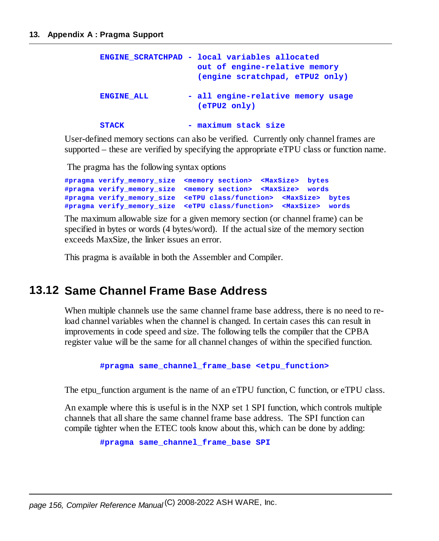```
ENGINE_SCRATCHPAD - local variables allocated
                  out of engine-relative memory
                  (engine scratchpad, eTPU2 only)
ENGINE_ALL - all engine-relative memory usage
                  (eTPU2 only)
STACK - maximum stack size
```
User-defined memory sections can also be verified. Currently only channel frames are supported – these are verified by specifying the appropriate eTPU class or function name.

The pragma has the following syntax options

```
#pragma verify_memory_size <memory section> <MaxSize> bytes
#pragma verify_memory_size <memory section> <MaxSize> words
#pragma verify_memory_size <eTPU class/function> <MaxSize> bytes
#pragma verify_memory_size <eTPU class/function> <MaxSize> words
```
The maximum allowable size for a given memory section (or channel frame) can be specified in bytes or words (4 bytes/word). If the actualsize of the memory section exceeds MaxSize, the linker issues an error.

This pragma is available in both the Assembler and Compiler.

#### **13.12 Same Channel Frame Base Address**

When multiple channels use the same channel frame base address, there is no need to reload channel variables when the channel is changed. In certain cases this can result in improvements in code speed and size. The following tells the compiler that the CPBA register value will be the same for all channel changes of within the specified function.

**#pragma same\_channel\_frame\_base <etpu\_function>**

The etpu function argument is the name of an eTPU function, C function, or eTPU class.

An example where this is useful is in the NXP set 1 SPI function, which controls multiple channels that allshare the same channel frame base address. The SPI function can compile tighter when the ETEC tools know about this, which can be done by adding:

**#pragma same\_channel\_frame\_base SPI**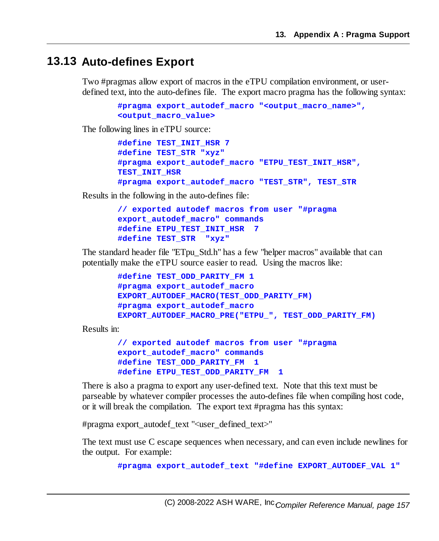#### **13.13 Auto-defines Export**

Two #pragmas allow export of macros in the eTPU compilation environment, or userdefined text, into the auto-defines file. The export macro pragma has the following syntax:

```
#pragma export_autodef_macro "<output_macro_name>",
<output_macro_value>
```
The following lines in eTPU source:

```
#define TEST_INIT_HSR 7
#define TEST_STR "xyz"
#pragma export_autodef_macro "ETPU_TEST_INIT_HSR",
TEST_INIT_HSR
#pragma export_autodef_macro "TEST_STR", TEST_STR
```
Results in the following in the auto-defines file:

```
// exported autodef macros from user "#pragma
export_autodef_macro" commands
#define ETPU_TEST_INIT_HSR 7
#define TEST_STR "xyz"
```
The standard header file "ETpu\_Std.h" has a few "helper macros" available that can potentially make the eTPU source easier to read. Using the macros like:

```
#define TEST_ODD_PARITY_FM 1
#pragma export_autodef_macro
EXPORT_AUTODEF_MACRO(TEST_ODD_PARITY_FM)
#pragma export_autodef_macro
EXPORT_AUTODEF_MACRO_PRE("ETPU_", TEST_ODD_PARITY_FM)
```
Results in:

```
// exported autodef macros from user "#pragma
export_autodef_macro" commands
#define TEST_ODD_PARITY_FM 1
#define ETPU_TEST_ODD_PARITY_FM 1
```
There is also a pragma to export any user-defined text. Note that this text must be parseable by whatever compiler processes the auto-defines file when compiling host code, or it will break the compilation. The export text #pragma has this syntax:

#pragma export\_autodef\_text "<user\_defined\_text>"

The text must use C escape sequences when necessary, and can even include newlines for the output. For example:

**#pragma export\_autodef\_text "#define EXPORT\_AUTODEF\_VAL 1"**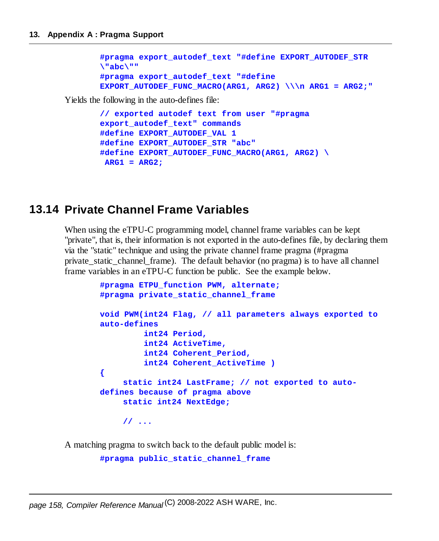```
#pragma export_autodef_text "#define EXPORT_AUTODEF_STR
\"abc\""
#pragma export_autodef_text "#define
EXPORT_AUTODEF_FUNC_MACRO(ARG1, ARG2) \\\n ARG1 = ARG2;"
```
Yields the following in the auto-defines file:

```
// exported autodef text from user "#pragma
export_autodef_text" commands
#define EXPORT_AUTODEF_VAL 1
#define EXPORT_AUTODEF_STR "abc"
#define EXPORT_AUTODEF_FUNC_MACRO(ARG1, ARG2) \
ARG1 = ARG2;
```
#### **13.14 Private Channel Frame Variables**

When using the eTPU-C programming model, channel frame variables can be kept "private", that is, their information is not exported in the auto-defines file, by declaring them via the "static" technique and using the private channel frame pragma (#pragma private static channel frame). The default behavior (no pragma) is to have all channel frame variables in an eTPU-C function be public. See the example below.

```
#pragma ETPU_function PWM, alternate;
#pragma private_static_channel_frame
void PWM(int24 Flag, // all parameters always exported to
auto-defines
         int24 Period,
         int24 ActiveTime,
         int24 Coherent_Period,
         int24 Coherent_ActiveTime )
{
    static int24 LastFrame; // not exported to auto-
defines because of pragma above
    static int24 NextEdge;
    // ...
```
A matching pragma to switch back to the default public model is:

```
#pragma public_static_channel_frame
```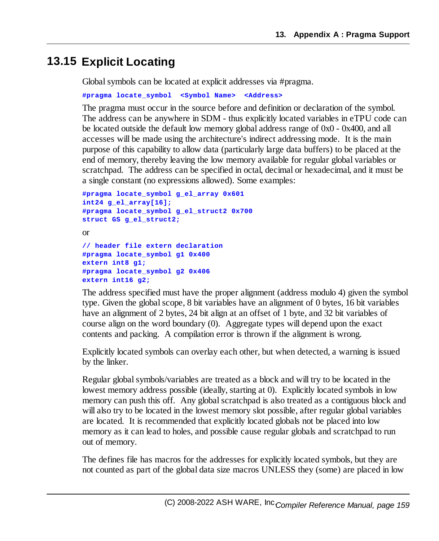#### **13.15 Explicit Locating**

Global symbols can be located at explicit addresses via #pragma.

```
#pragma locate_symbol <Symbol Name> <Address>
```
The pragma must occur in the source before and definition or declaration of the symbol. The address can be anywhere in SDM - thus explicitly located variables in eTPU code can be located outside the default low memory global address range of 0x0 - 0x400, and all accesses will be made using the architecture's indirect addressing mode. It is the main purpose of this capability to allow data (particularly large data buffers) to be placed at the end of memory, thereby leaving the low memory available for regular global variables or scratchpad. The address can be specified in octal, decimal or hexadecimal, and it must be a single constant (no expressions allowed). Some examples:

```
#pragma locate_symbol g_el_array 0x601
int24 g_el_array[16];
#pragma locate_symbol g_el_struct2 0x700
struct GS g_el_struct2;
or
// header file extern declaration
#pragma locate_symbol g1 0x400
extern int8 g1;
#pragma locate_symbol g2 0x406
extern int16 g2;
```
The address specified must have the proper alignment (address modulo 4) given the symbol type. Given the globalscope, 8 bit variables have an alignment of 0 bytes, 16 bit variables have an alignment of 2 bytes, 24 bit align at an offset of 1 byte, and 32 bit variables of course align on the word boundary (0). Aggregate types will depend upon the exact contents and packing. A compilation error is thrown if the alignment is wrong.

Explicitly located symbols can overlay each other, but when detected, a warning is issued by the linker.

Regular globalsymbols/variables are treated as a block and will try to be located in the lowest memory address possible (ideally, starting at 0). Explicitly located symbols in low memory can push this off. Any global scratchpad is also treated as a contiguous block and will also try to be located in the lowest memory slot possible, after regular global variables are located. It is recommended that explicitly located globals not be placed into low memory as it can lead to holes, and possible cause regular globals and scratchpad to run out of memory.

The defines file has macros for the addresses for explicitly located symbols, but they are not counted as part of the global data size macros UNLESS they (some) are placed in low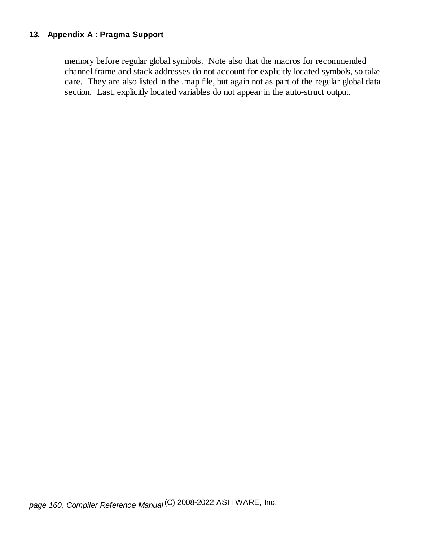memory before regular globalsymbols. Note also that the macros for recommended channel frame and stack addresses do not account for explicitly located symbols, so take care. They are also listed in the .map file, but again not as part of the regular global data section. Last, explicitly located variables do not appear in the auto-struct output.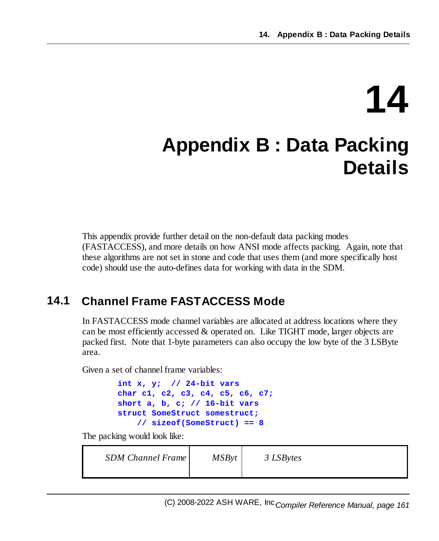# **14**

## **Appendix B : Data Packing Details**

This appendix provide further detail on the non-default data packing modes (FASTACCESS), and more details on how ANSI mode affects packing. Again, note that these algorithms are not set in stone and code that uses them (and more specifically host code) should use the auto-defines data for working with data in the SDM.

## **14.1 Channel Frame FASTACCESS Mode**

In FASTACCESS mode channel variables are allocated at address locations where they can be most efficiently accessed  $\&$  operated on. Like TIGHT mode, larger objects are packed first. Note that 1-byte parameters can also occupy the low byte of the 3 LSByte area.

Given a set of channel frame variables:

```
int x, y; // 24-bit vars
char c1, c2, c3, c4, c5, c6, c7;
short a, b, c; // 16-bit vars
struct SomeStruct somestruct;
    // sizeof(SomeStruct) == 8
```
The packing would look like:

| <b>SDM Channel Frame</b> | <b>MSByt</b> | 3 LSBytes |
|--------------------------|--------------|-----------|
|--------------------------|--------------|-----------|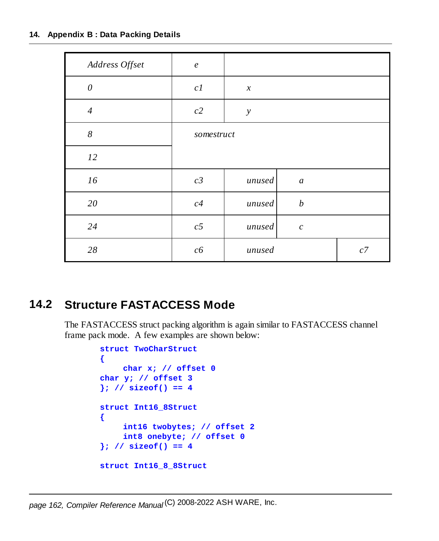#### **14. Appendix B : Data Packing Details**

| Address Offset        | $\boldsymbol{e}$ |                            |                  |    |
|-----------------------|------------------|----------------------------|------------------|----|
| $\boldsymbol{\theta}$ | c1               | $\boldsymbol{\mathcal{X}}$ |                  |    |
| $\overline{4}$        | $c2\,$           | $\mathcal{Y}$              |                  |    |
| $\boldsymbol{8}$      | somestruct       |                            |                  |    |
| 12                    |                  |                            |                  |    |
| 16                    | $c\mathcal{Z}$   | unused                     | $\boldsymbol{a}$ |    |
| 20                    | c4               | unused                     | $\boldsymbol{b}$ |    |
| 24                    | c5               | unused                     | $\boldsymbol{c}$ |    |
| $28\,$                | c6               | unused                     |                  | c7 |

### **14.2 Structure FASTACCESS Mode**

The FASTACCESS struct packing algorithm is again similar to FASTACCESS channel frame pack mode. A few examples are shown below:

```
struct TwoCharStruct
{
    char x; // offset 0
char y; // offset 3
}; // sizeof() == 4
struct Int16_8Struct
{
    int16 twobytes; // offset 2
    int8 onebyte; // offset 0
}; // sizeof() == 4
struct Int16_8_8Struct
```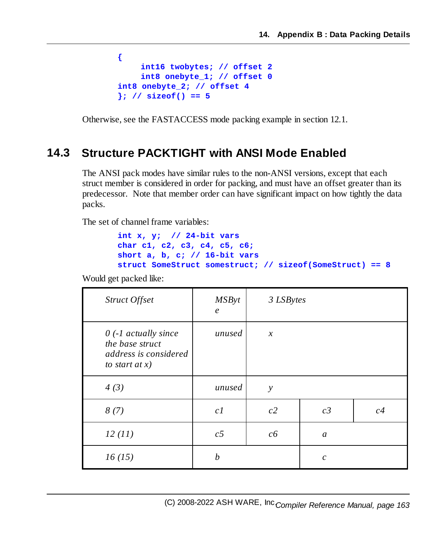```
{
    int16 twobytes; // offset 2
    int8 onebyte_1; // offset 0
int8 onebyte_2; // offset 4
}; // sizeof() == 5
```
Otherwise, see the FASTACCESS mode packing example in section 12.1.

#### **14.3 Structure PACKTIGHT with ANSI Mode Enabled**

The ANSI pack modes have similar rules to the non-ANSI versions, except that each struct member is considered in order for packing, and must have an offset greater than its predecessor. Note that member order can have significant impact on how tightly the data packs.

The set of channel frame variables:

```
int x, y; // 24-bit vars
char c1, c2, c3, c4, c5, c6;
short a, b, c; // 16-bit vars
struct SomeStruct somestruct; // sizeof(SomeStruct) == 8
```
Would get packed like:

| Struct Offset                                                                          | <b>MSByt</b><br>$\epsilon$ | 3 LSBytes     |                  |    |
|----------------------------------------------------------------------------------------|----------------------------|---------------|------------------|----|
| $0$ (-1 actually since<br>the base struct<br>address is considered<br>to start at $x)$ | unused                     | $\mathcal{X}$ |                  |    |
| 4(3)                                                                                   | unused                     | $\mathcal{Y}$ |                  |    |
| 8(7)                                                                                   | c1                         | c2            | c3               | c4 |
| 12(11)                                                                                 | c <sub>5</sub>             | c6            | $\mathfrak a$    |    |
| 16(15)                                                                                 | $\boldsymbol{b}$           |               | $\boldsymbol{c}$ |    |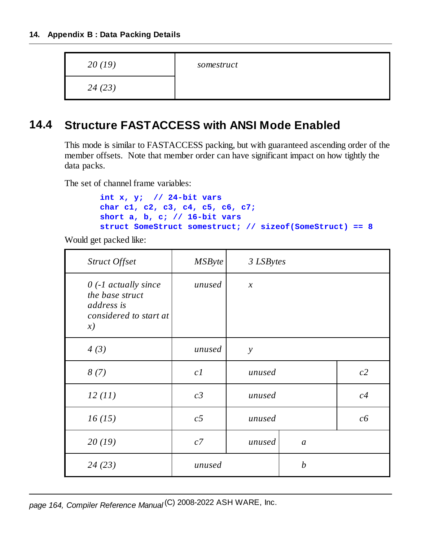| 20(19) | somestruct |
|--------|------------|
| 24(23) |            |

### **14.4 Structure FASTACCESS with ANSI Mode Enabled**

This mode is similar to FASTACCESS packing, but with guaranteed ascending order of the member offsets. Note that member order can have significant impact on how tightly the data packs.

The set of channel frame variables:

```
int x, y; // 24-bit vars
char c1, c2, c3, c4, c5, c6, c7;
short a, b, c; // 16-bit vars
struct SomeStruct somestruct; // sizeof(SomeStruct) == 8
```
Would get packed like:

| Struct Offset                                                                           | <b>MSByte</b>  | 3 LSBytes     |                  |    |
|-----------------------------------------------------------------------------------------|----------------|---------------|------------------|----|
| $0$ (-1 actually since<br>the base struct<br>address is<br>considered to start at<br>x) | unused         | $\mathcal{X}$ |                  |    |
| 4(3)                                                                                    | unused         | $\mathcal{Y}$ |                  |    |
| 8(7)                                                                                    | c1             | unused        |                  | c2 |
| 12(11)                                                                                  | c3             | unused        |                  | c4 |
| 16(15)                                                                                  | c <sub>5</sub> | unused        |                  | c6 |
| 20(19)                                                                                  | c7             | unused        | a                |    |
| 24(23)                                                                                  | unused         |               | $\boldsymbol{b}$ |    |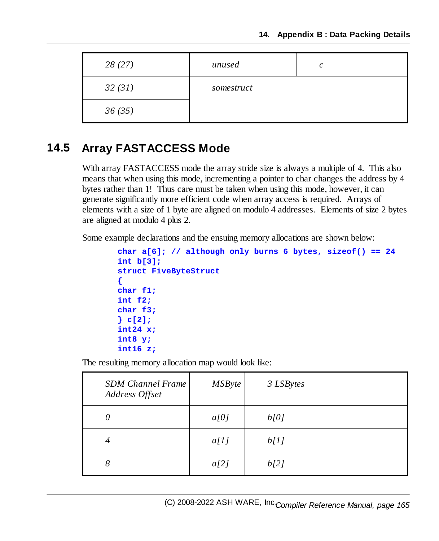| 28(27) | unused     | $\mathcal{C}$ |
|--------|------------|---------------|
| 32(31) | somestruct |               |
| 36(35) |            |               |

### **14.5 Array FASTACCESS Mode**

With array FASTACCESS mode the array stride size is always a multiple of 4. This also means that when using this mode, incrementing a pointer to char changes the address by 4 bytes rather than 1! Thus care must be taken when using this mode, however, it can generate significantly more efficient code when array access is required. Arrays of elements with a size of 1 byte are aligned on modulo 4 addresses. Elements of size 2 bytes are aligned at modulo 4 plus 2.

Some example declarations and the ensuing memory allocations are shown below:

```
char a[6]; // although only burns 6 bytes, sizeof() == 24
int b[3];
struct FiveByteStruct
{
char f1;
int f2;
char f3;
} c[2];
int24 x;
int8 y;
int16 z;
```
The resulting memory allocation map would look like:

| <b>SDM Channel Frame</b><br>Address Offset | <b>MSByte</b> | 3 LSBytes |
|--------------------------------------------|---------------|-----------|
| 0                                          | a[0]          | b[0]      |
| $\overline{4}$                             | a[1]          | b[1]      |
| 8                                          | a[2]          | b[2]      |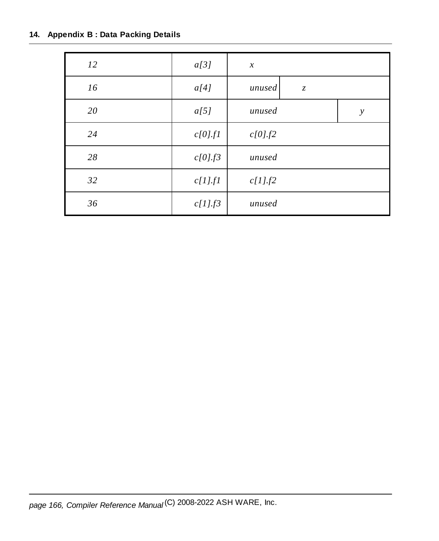#### **14. Appendix B : Data Packing Details**

| 12 | a[3]       | $\boldsymbol{\mathcal{X}}$ |
|----|------------|----------------------------|
| 16 | a[4]       | unused<br>$\mathcal{Z}$    |
| 20 | a[5]       | unused<br>$\mathcal{Y}$    |
| 24 | c[0].f1    | c[0].f2                    |
| 28 | c[0].f3    | unused                     |
| 32 | $c[1]$ .fl | $c[1]$ . $f2$              |
| 36 | $c[1]$ .f3 | unused                     |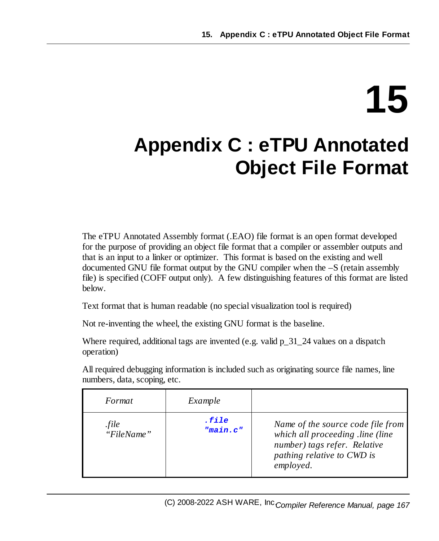# **15**

# **Appendix C : eTPU Annotated Object File Format**

The eTPU Annotated Assembly format (.EAO) file format is an open format developed for the purpose of providing an object file format that a compiler or assembler outputs and that is an input to a linker or optimizer. This format is based on the existing and well documented GNU file format output by the GNU compiler when the –S (retain assembly file) is specified (COFF output only). A few distinguishing features of this format are listed below.

Text format that is human readable (no special visualization tool is required)

Not re-inventing the wheel, the existing GNU format is the baseline.

Where required, additional tags are invented (e.g. valid  $p_31_24$  values on a dispatch operation)

All required debugging information is included such as originating source file names, line numbers, data, scoping, etc.

| Format              | Example           |                                                                                                                                                  |
|---------------------|-------------------|--------------------------------------------------------------------------------------------------------------------------------------------------|
| .file<br>"FileName" | .file<br>"main.c" | Name of the source code file from<br>which all proceeding .line (line<br>number) tags refer. Relative<br>pathing relative to CWD is<br>employed. |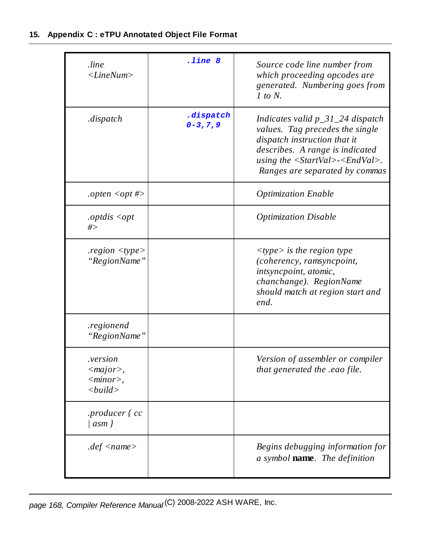| .line<br>$\langle LineNum \rangle$                               | .line 8                    | Source code line number from<br>which proceeding opcodes are<br>generated. Numbering goes from<br>$1$ to $N$ .                                                                                                                                      |
|------------------------------------------------------------------|----------------------------|-----------------------------------------------------------------------------------------------------------------------------------------------------------------------------------------------------------------------------------------------------|
| .dispatch                                                        | .dispatch<br>$0 - 3, 7, 9$ | Indicates valid $p_31_24$ dispatch<br>values. Tag precedes the single<br>dispatch instruction that it<br>describes. A range is indicated<br>using the $\langle StartVal \rangle \langle \langle EndVal \rangle$ .<br>Ranges are separated by commas |
| .opten <opt <math="">\#&gt;</opt>                                |                            | <b>Optimization Enable</b>                                                                                                                                                                                                                          |
| .optdis $\langle opt$<br>#>                                      |                            | <b>Optimization Disable</b>                                                                                                                                                                                                                         |
| region < type><br>"RegionName"                                   |                            | $\langle$ type $\rangle$ is the region type<br>(coherency, ramsyncpoint,<br>intsyncpoint, atomic,<br>chanchange). RegionName<br>should match at region start and<br>end.                                                                            |
| .regionend<br>"RegionName"                                       |                            |                                                                                                                                                                                                                                                     |
| <i>version</i><br>$<$ major $>$ ,<br>$<$ minor $>$ ,<br>< build> |                            | Version of assembler or compiler<br>that generated the .eao file.                                                                                                                                                                                   |
| .producer { cc<br> asm                                           |                            |                                                                                                                                                                                                                                                     |
| $def$ <name>.</name>                                             |                            | Begins debugging information for<br>a symbol <b>name</b> . The definition                                                                                                                                                                           |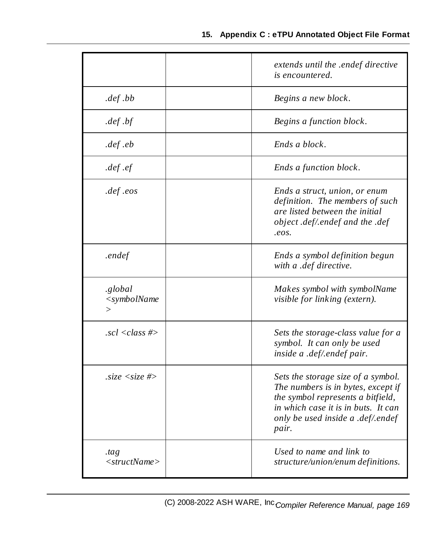|                                          | extends until the .endef directive<br>is encountered.                                                                                                                                              |
|------------------------------------------|----------------------------------------------------------------------------------------------------------------------------------------------------------------------------------------------------|
| def.bb                                   | Begins a new block.                                                                                                                                                                                |
| def.                                     | Begins a function block.                                                                                                                                                                           |
| $def$ .eb                                | Ends a block.                                                                                                                                                                                      |
| def.ef.                                  | Ends a function block.                                                                                                                                                                             |
| def.eos                                  | Ends a struct, union, or enum<br>definition. The members of such<br>are listed between the initial<br>object .def/.endef and the .def<br>$e$ os.                                                   |
| .endef                                   | Ends a symbol definition begun<br>with a .def directive.                                                                                                                                           |
| .global<br>$<$ symbolName<br>$\rm{>}$    | Makes symbol with symbolName<br><i>visible for linking (extern).</i>                                                                                                                               |
| $. \text{sc} \ell \ll \text{class} \neq$ | Sets the storage-class value for a<br>symbol. It can only be used<br>inside a .def/.endef pair.                                                                                                    |
| $.size < size$ #>                        | Sets the storage size of a symbol.<br>The numbers is in bytes, except if<br>the symbol represents a bitfield,<br>in which case it is in buts. It can<br>only be used inside a .def/.endef<br>pair. |
| tag<br>$\langle$ structName $\rangle$    | Used to name and link to<br>structure/union/enum definitions.                                                                                                                                      |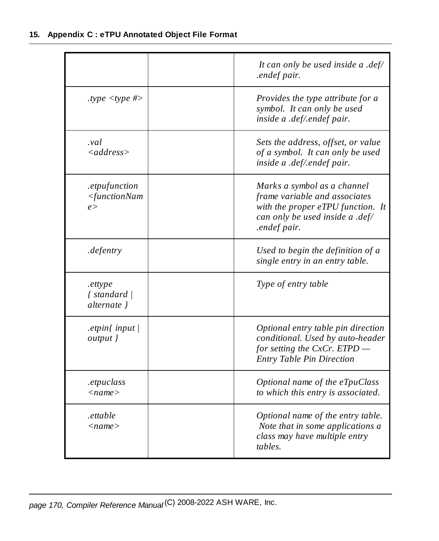|                                                          | It can only be used inside a .def/<br>.endef pair.                                                                                                   |
|----------------------------------------------------------|------------------------------------------------------------------------------------------------------------------------------------------------------|
| .type $\langle$ type #>                                  | Provides the type attribute for a<br>symbol. It can only be used<br>inside a .def/.endef pair.                                                       |
| val.<br>$\langle address \rangle$                        | Sets the address, offset, or value<br>of a symbol. It can only be used<br>inside a .def/.endef pair.                                                 |
| .etpufunction<br><functionnam<br>e &gt;</functionnam<br> | Marks a symbol as a channel<br>frame variable and associates<br>with the proper eTPU function. It<br>can only be used inside a .def/<br>.endef pair. |
| .defentry                                                | Used to begin the definition of a<br>single entry in an entry table.                                                                                 |
| .ettype<br>{ standard  <br>alternate }                   | Type of entry table                                                                                                                                  |
| .etpin $\{$ input $\}$<br>output }                       | Optional entry table pin direction<br>conditional. Used by auto-header<br>for setting the CxCr. ETPD<br><b>Entry Table Pin Direction</b>             |
| .etpuclass<br>$<$ name $>$                               | Optional name of the eTpuClass<br>to which this entry is associated.                                                                                 |
| .ettable<br>$<$ name $>$                                 | Optional name of the entry table.<br>Note that in some applications a<br>class may have multiple entry<br>tables.                                    |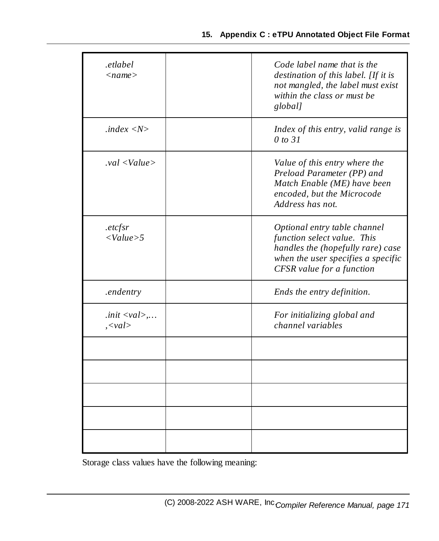#### **15. Appendix C : eTPU Annotated Object File Format**

| .etlabel<br>$<$ name $>$                             | Code label name that is the<br>destination of this label. [If it is<br>not mangled, the label must exist<br>within the class or must be<br>global]                  |
|------------------------------------------------------|---------------------------------------------------------------------------------------------------------------------------------------------------------------------|
| index <n></n>                                        | Index of this entry, valid range is<br>0 to 31                                                                                                                      |
| $val$ <value></value>                                | Value of this entry where the<br>Preload Parameter (PP) and<br>Match Enable (ME) have been<br>encoded, but the Microcode<br>Address has not.                        |
| . <i>etcfsr</i><br>< Value > 5                       | Optional entry table channel<br>function select value. This<br>handles the (hopefully rare) case<br>when the user specifies a specific<br>CFSR value for a function |
| .endentry                                            | Ends the entry definition.                                                                                                                                          |
| . <i>init</i> $\langle val \rangle$ ,<br>$,\leq val$ | For initializing global and<br>channel variables                                                                                                                    |
|                                                      |                                                                                                                                                                     |
|                                                      |                                                                                                                                                                     |
|                                                      |                                                                                                                                                                     |
|                                                      |                                                                                                                                                                     |
|                                                      |                                                                                                                                                                     |

Storage class values have the following meaning: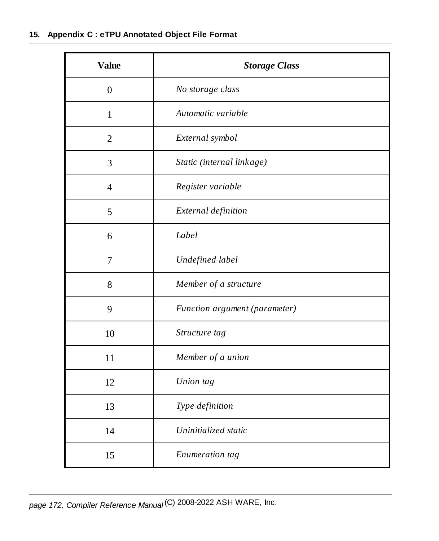| <b>Value</b>   | <b>Storage Class</b>          |
|----------------|-------------------------------|
| $\overline{0}$ | No storage class              |
| $\mathbf{1}$   | Automatic variable            |
| $\overline{2}$ | External symbol               |
| 3              | Static (internal linkage)     |
| $\overline{4}$ | Register variable             |
| 5              | External definition           |
| 6              | Label                         |
| 7              | Undefined label               |
| 8              | Member of a structure         |
| 9              | Function argument (parameter) |
| 10             | Structure tag                 |
| 11             | Member of a union             |
| 12             | Union tag                     |
| 13             | Type definition               |
| 14             | Uninitialized static          |
| 15             | Enumeration tag               |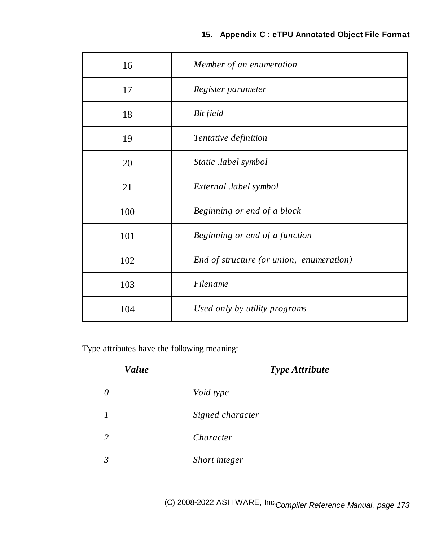| 16  | Member of an enumeration                 |
|-----|------------------------------------------|
| 17  | Register parameter                       |
| 18  | Bit field                                |
| 19  | Tentative definition                     |
| 20  | Static .label symbol                     |
| 21  | External .label symbol                   |
| 100 | Beginning or end of a block              |
| 101 | Beginning or end of a function           |
| 102 | End of structure (or union, enumeration) |
| 103 | Filename                                 |
| 104 | Used only by utility programs            |

Type attributes have the following meaning:

| <b>Value</b>     |                  | <b>Type Attribute</b> |
|------------------|------------------|-----------------------|
| $\theta$         | Void type        |                       |
| $\boldsymbol{l}$ | Signed character |                       |
| 2                | Character        |                       |
| 3                | Short integer    |                       |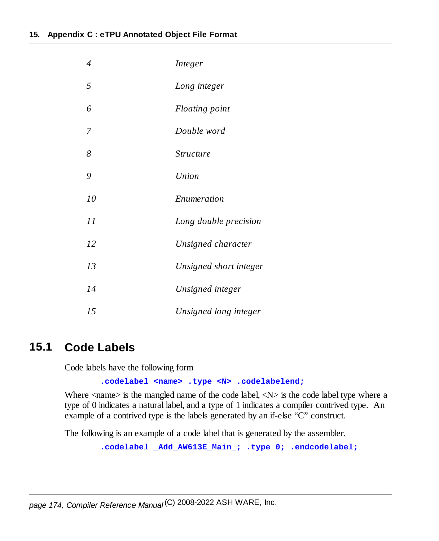| 4  | Integer                |
|----|------------------------|
| 5  | Long integer           |
| 6  | Floating point         |
| 7  | Double word            |
| 8  | <i>Structure</i>       |
| 9  | Union                  |
| 10 | Enumeration            |
| 11 | Long double precision  |
| 12 | Unsigned character     |
| 13 | Unsigned short integer |
| 14 | Unsigned integer       |
| 15 | Unsigned long integer  |

#### **15.1 Code Labels**

Code labels have the following form

**.codelabel <name> .type <N> .codelabelend;**

Where  $\langle$ name $\rangle$  is the mangled name of the code label,  $\langle N \rangle$  is the code label type where a type of 0 indicates a natural label, and a type of 1 indicates a compiler contrived type. An example of a contrived type is the labels generated by an if-else "C" construct.

The following is an example of a code label that is generated by the assembler.

**.codelabel \_Add\_AW613E\_Main\_; .type 0; .endcodelabel;**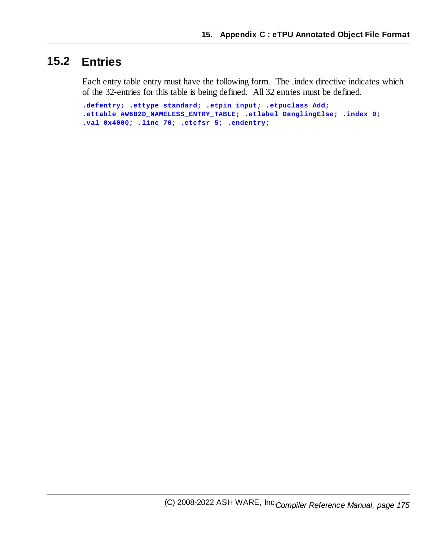#### **15.2 Entries**

Each entry table entry must have the following form. The .index directive indicates which of the 32-entries for this table is being defined. All 32 entries must be defined.

**.defentry; .ettype standard; .etpin input; .etpuclass Add; .ettable AW6B2D\_NAMELESS\_ENTRY\_TABLE; .etlabel DanglingElse; .index 0; .val 0x4000; .line 70; .etcfsr 5; .endentry;**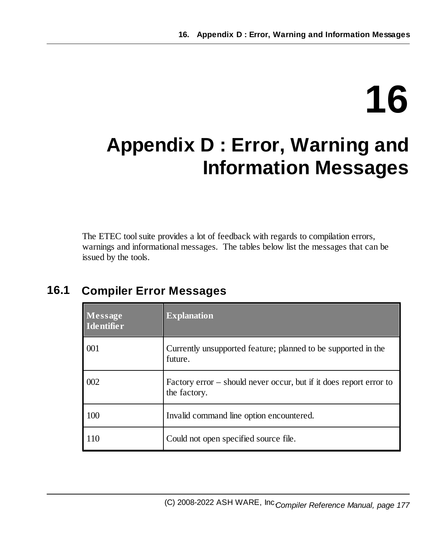# **16**

# **Appendix D : Error, Warning and Information Messages**

The ETEC tool suite provides a lot of feedback with regards to compilation errors, warnings and informational messages. The tables below list the messages that can be issued by the tools.

## **16.1 Compiler Error Messages**

| Message<br>Identifier | <b>Explanation</b>                                                                 |
|-----------------------|------------------------------------------------------------------------------------|
| 001                   | Currently unsupported feature; planned to be supported in the<br>future.           |
| 002                   | Factory error – should never occur, but if it does report error to<br>the factory. |
| 100                   | Invalid command line option encountered.                                           |
| 110                   | Could not open specified source file.                                              |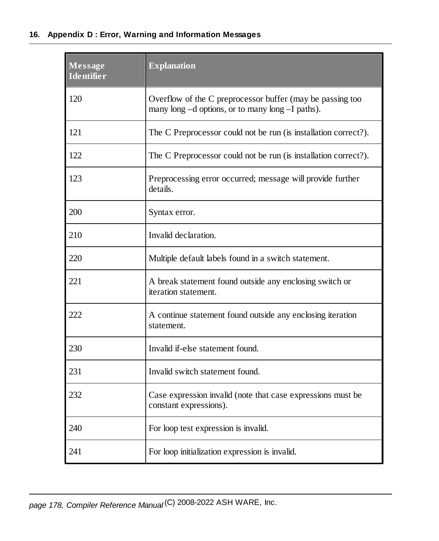#### **16. Appendix D : Error, Warning and Information Messages**

| Message<br><b>Identifier</b> | <b>Explanation</b>                                                                                            |
|------------------------------|---------------------------------------------------------------------------------------------------------------|
| 120                          | Overflow of the C preprocessor buffer (may be passing too<br>many long -d options, or to many long -I paths). |
| 121                          | The C Preprocessor could not be run (is installation correct?).                                               |
| 122                          | The C Preprocessor could not be run (is installation correct?).                                               |
| 123                          | Preprocessing error occurred; message will provide further<br>details.                                        |
| 200                          | Syntax error.                                                                                                 |
| 210                          | Invalid declaration.                                                                                          |
| 220                          | Multiple default labels found in a switch statement.                                                          |
| 221                          | A break statement found outside any enclosing switch or<br>iteration statement.                               |
| 222                          | A continue statement found outside any enclosing iteration<br>statement.                                      |
| 230                          | Invalid if-else statement found.                                                                              |
| 231                          | Invalid switch statement found.                                                                               |
| 232                          | Case expression invalid (note that case expressions must be<br>constant expressions).                         |
| 240                          | For loop test expression is invalid.                                                                          |
| 241                          | For loop initialization expression is invalid.                                                                |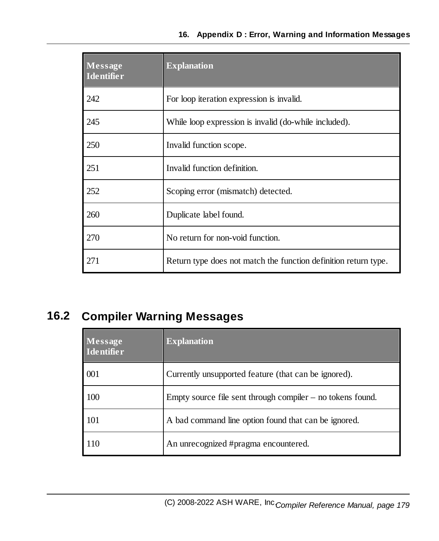| <b>Message</b><br><b>Identifier</b> | <b>Explanation</b>                                              |
|-------------------------------------|-----------------------------------------------------------------|
| 242                                 | For loop iteration expression is invalid.                       |
| 245                                 | While loop expression is invalid (do-while included).           |
| 250                                 | Invalid function scope.                                         |
| 251                                 | Invalid function definition.                                    |
| 252                                 | Scoping error (mismatch) detected.                              |
| 260                                 | Duplicate label found.                                          |
| 270                                 | No return for non-void function.                                |
| 271                                 | Return type does not match the function definition return type. |

## **16.2 Compiler Warning Messages**

| Message<br><b>Identifier</b> | <b>Explanation</b>                                           |
|------------------------------|--------------------------------------------------------------|
| 001                          | Currently unsupported feature (that can be ignored).         |
| 100                          | Empty source file sent through compiler $-$ no tokens found. |
| 101                          | A bad command line option found that can be ignored.         |
| 110                          | An unrecognized #pragma encountered.                         |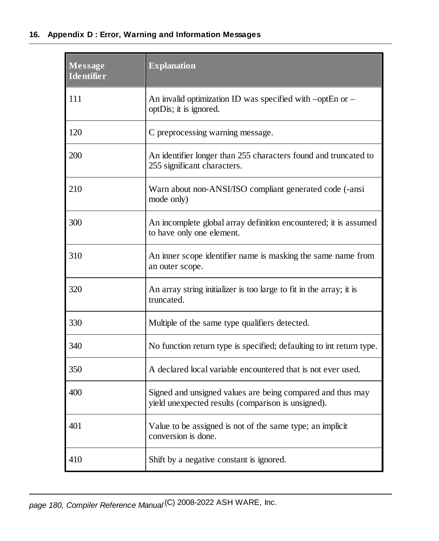#### **16. Appendix D : Error, Warning and Information Messages**

| Message<br><b>Identifier</b> | <b>Explanation</b>                                                                                               |
|------------------------------|------------------------------------------------------------------------------------------------------------------|
| 111                          | An invalid optimization ID was specified with -optEn or -<br>optDis; it is ignored.                              |
| 120                          | C preprocessing warning message.                                                                                 |
| 200                          | An identifier longer than 255 characters found and truncated to<br>255 significant characters.                   |
| 210                          | Warn about non-ANSI/ISO compliant generated code (-ansi<br>mode only)                                            |
| 300                          | An incomplete global array definition encountered; it is assumed<br>to have only one element.                    |
| 310                          | An inner scope identifier name is masking the same name from<br>an outer scope.                                  |
| 320                          | An array string initializer is too large to fit in the array; it is<br>truncated.                                |
| 330                          | Multiple of the same type qualifiers detected.                                                                   |
| 340                          | No function return type is specified; defaulting to int return type.                                             |
| 350                          | A declared local variable encountered that is not ever used.                                                     |
| 400                          | Signed and unsigned values are being compared and thus may<br>yield unexpected results (comparison is unsigned). |
| 401                          | Value to be assigned is not of the same type; an implicit<br>conversion is done.                                 |
| 410                          | Shift by a negative constant is ignored.                                                                         |